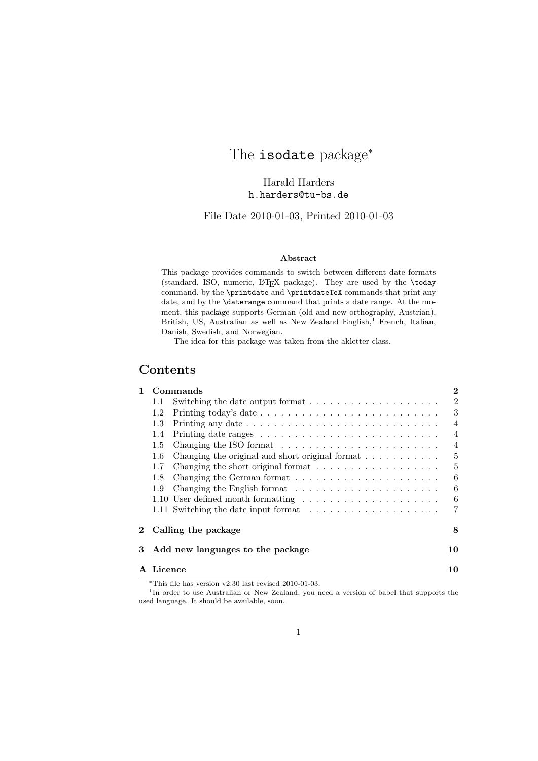# The isodate package<sup>\*</sup>

Harald Harders h.harders@tu-bs.de

File Date 2010-01-03, Printed 2010-01-03

#### Abstract

This package provides commands to switch between different date formats (standard, ISO, numeric, LATEX package). They are used by the \today command, by the \printdate and \printdateTeX commands that print any date, and by the \daterange command that prints a date range. At the moment, this package supports German (old and new orthography, Austrian), British, US, Australian as well as New Zealand English, $<sup>1</sup>$  French, Italian,</sup> Danish, Swedish, and Norwegian.

The idea for this package was taken from the akletter class.

### Contents

| 1              |                              | Commands                                                                      | $\bf{2}$       |
|----------------|------------------------------|-------------------------------------------------------------------------------|----------------|
|                | 1.1                          | Switching the date output format $\ldots \ldots \ldots \ldots \ldots \ldots$  | $\overline{2}$ |
|                | 1.2                          |                                                                               | 3              |
|                | $1.3\,$                      |                                                                               | $\overline{4}$ |
|                | 1.4                          |                                                                               | $\overline{4}$ |
|                | $1.5\,$                      | Changing the ISO format $\ldots \ldots \ldots \ldots \ldots \ldots \ldots$    | $\overline{4}$ |
|                | $1.6\,$                      | Changing the original and short original format $\ldots \ldots \ldots$        | 5              |
|                | 1.7                          | Changing the short original format $\dots \dots \dots \dots \dots \dots$      | 5              |
|                | 1.8                          | Changing the German format $\ldots \ldots \ldots \ldots \ldots \ldots \ldots$ | 6              |
|                | 1.9                          |                                                                               | 6              |
|                |                              | 1.10 User defined month formatting                                            | 6              |
|                |                              |                                                                               | 7              |
| $\mathbf{2}^-$ |                              | Calling the package                                                           | 8              |
| 3              |                              | Add new languages to the package                                              | 10             |
|                | ${\bf A} \;\; {\bf Licence}$ |                                                                               | 10             |
|                |                              | *This file has version $v^2$ 30 last revised $2010-01-03$                     |                |

<sup>∗</sup>This file has version v2.30 last revised 2010-01-03. 1 In order to use Australian or New Zealand, you need a version of babel that supports the used language. It should be available, soon.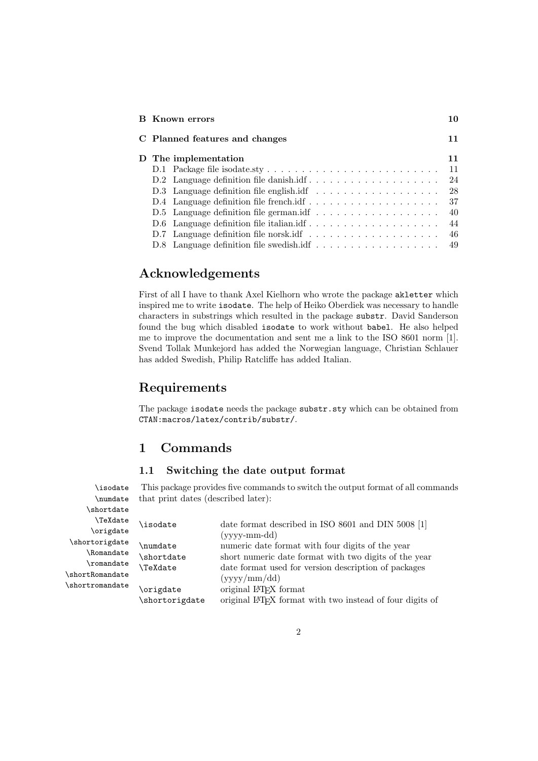| Known errors                                                                         | 10 |
|--------------------------------------------------------------------------------------|----|
| C Planned features and changes                                                       | 11 |
| D The implementation                                                                 | 11 |
|                                                                                      | 11 |
| D.2 Language definition file danishidf                                               | 24 |
| D.3 Language definition file english.idf $\ldots \ldots \ldots \ldots \ldots \ldots$ | 28 |
| D.4 Language definition file frenchidf $\dots \dots \dots \dots \dots \dots \dots$   | 37 |
|                                                                                      | 40 |
|                                                                                      | 44 |
| D.7 Language definition file norsk.idf $\ldots \ldots \ldots \ldots \ldots \ldots$   | 46 |
|                                                                                      | 49 |

# Acknowledgements

First of all I have to thank Axel Kielhorn who wrote the package akletter which inspired me to write isodate. The help of Heiko Oberdiek was necessary to handle characters in substrings which resulted in the package substr. David Sanderson found the bug which disabled isodate to work without babel. He also helped me to improve the documentation and sent me a link to the ISO 8601 norm [1]. Svend Tollak Munkejord has added the Norwegian language, Christian Schlauer has added Swedish, Philip Ratcliffe has added Italian.

# Requirements

The package isodate needs the package substr.sty which can be obtained from CTAN:macros/latex/contrib/substr/.

## 1 Commands

### 1.1 Switching the date output format

\isodate This package provides five commands to switch the output format of all commands \numdate that print dates (described later):

| <i>shortdate</i> |                  |                                                                       |
|------------------|------------------|-----------------------------------------------------------------------|
| \TeXdate         | \isodate         | date format described in ISO 8601 and DIN 5008 [1]                    |
| \origdate        |                  | $(yyyy-mm-dd)$                                                        |
| \shortorigdate   | <b>\numdate</b>  | numeric date format with four digits of the year                      |
| \Romandate       | <i>shortdate</i> | short numeric date format with two digits of the year                 |
| $\Gamma$         | <b>\TeXdate</b>  | date format used for version description of packages                  |
| \shortRomandate  |                  | (yyyy/mm/dd)                                                          |
| \shortromandate  | origdate         | original L <sup>AT</sup> FX format                                    |
|                  | shortorigdate    | original LAT <sub>F</sub> X format with two instead of four digits of |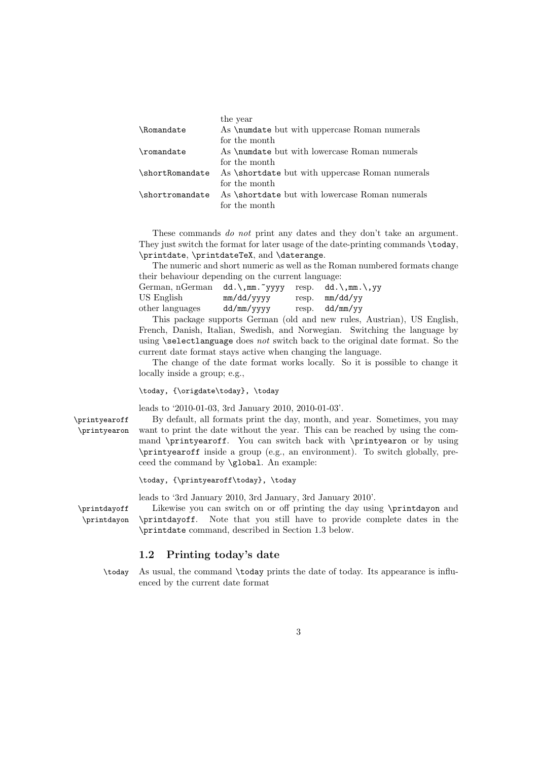|                          | the year                                              |
|--------------------------|-------------------------------------------------------|
| <i><b>\Romandate</b></i> | As <i>\numdate but with uppercase Roman numerals</i>  |
|                          | for the month                                         |
| \romandate               | As <b>\numdate</b> but with lowercase Roman numerals  |
|                          | for the month                                         |
| \shortRomandate          | As <i>shortdate but with uppercase Roman numerals</i> |
|                          | for the month                                         |
| \shortromandate          | As \shortdate but with lowercase Roman numerals       |
|                          | for the month                                         |

These commands *do not* print any dates and they don't take an argument. They just switch the format for later usage of the date-printing commands \today, \printdate, \printdateTeX, and \daterange.

The numeric and short numeric as well as the Roman numbered formats change their behaviour depending on the current language:

| German, nGerman dd.\,mm.~yyyy |            | resp. dd. \, mm. \, yy |
|-------------------------------|------------|------------------------|
| US English                    | mm/dd/yyyy | resp. $mm/dd/vv$       |
| other languages               | dd/mm/yyyy | resp. $dd/mm/yy$       |

This package supports German (old and new rules, Austrian), US English, French, Danish, Italian, Swedish, and Norwegian. Switching the language by using **\selectlanguage** does not switch back to the original date format. So the current date format stays active when changing the language.

The change of the date format works locally. So it is possible to change it locally inside a group; e.g.,

\today, {\origdate\today}, \today

leads to '2010-01-03, 3rd January 2010, 2010-01-03'.

\printyearoff By default, all formats print the day, month, and year. Sometimes, you may \printyearon want to print the date without the year. This can be reached by using the command \printyearoff. You can switch back with \printyearon or by using \printyearoff inside a group (e.g., an environment). To switch globally, preceed the command by \global. An example:

\today, {\printyearoff\today}, \today

leads to '3rd January 2010, 3rd January, 3rd January 2010'.

\printdate command, described in Section 1.3 below.

\printdayoff Likewise you can switch on or off printing the day using \printdayon and \printdayon \printdayoff. Note that you still have to provide complete dates in the

#### 1.2 Printing today's date

\today As usual, the command \today prints the date of today. Its appearance is influenced by the current date format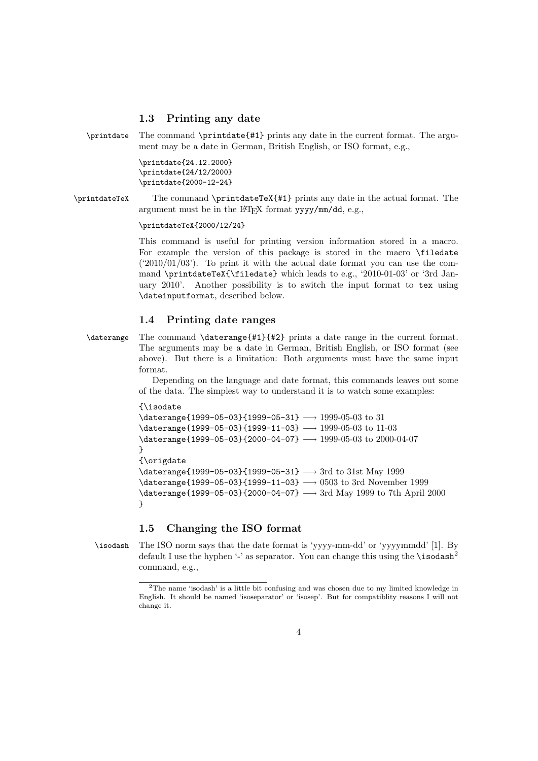#### 1.3 Printing any date

\printdate The command \printdate{#1} prints any date in the current format. The argument may be a date in German, British English, or ISO format, e.g.,

> \printdate{24.12.2000} \printdate{24/12/2000} \printdate{2000-12-24}

\printdateTeX The command \printdateTeX{#1} prints any date in the actual format. The argument must be in the LAT<sub>EX</sub> format  $yyyy/mm/dd$ , e.g.,

\printdateTeX{2000/12/24}

This command is useful for printing version information stored in a macro. For example the version of this package is stored in the macro \filedate  $('2010/01/03')$ . To print it with the actual date format you can use the command \printdateTeX{\filedate} which leads to e.g., '2010-01-03' or '3rd January 2010'. Another possibility is to switch the input format to tex using \dateinputformat, described below.

#### 1.4 Printing date ranges

\daterange The command \daterange{#1}{#2} prints a date range in the current format. The arguments may be a date in German, British English, or ISO format (see above). But there is a limitation: Both arguments must have the same input format.

> Depending on the language and date format, this commands leaves out some of the data. The simplest way to understand it is to watch some examples:

```
{\isodate
\daterange{1999-05-03}{1999-05-31} −→ 1999-05-03 to 31
\ \dot{t} = 1999-05-03}{1999-11-03} \rightarrow 1999-05-03 to 11-03
\daterange{1999-05-03}{2000-04-07} −→ 1999-05-03 to 2000-04-07
}
{\origdate
\daterange{1999-05-03}{1999-05-31} −→ 3rd to 31st May 1999
\daterange{1999-05-03}{1999-11-03} −→ 0503 to 3rd November 1999
\daterange{1999-05-03}{2000-04-07} −→ 3rd May 1999 to 7th April 2000
}
```
### 1.5 Changing the ISO format

\isodash The ISO norm says that the date format is 'yyyy-mm-dd' or 'yyyymmdd' [1]. By default I use the hyphen '-' as separator. You can change this using the  $\iota$ sodash<sup>2</sup> command, e.g.,

<sup>2</sup>The name 'isodash' is a little bit confusing and was chosen due to my limited knowledge in English. It should be named 'isoseparator' or 'isosep'. But for compatiblity reasons I will not change it.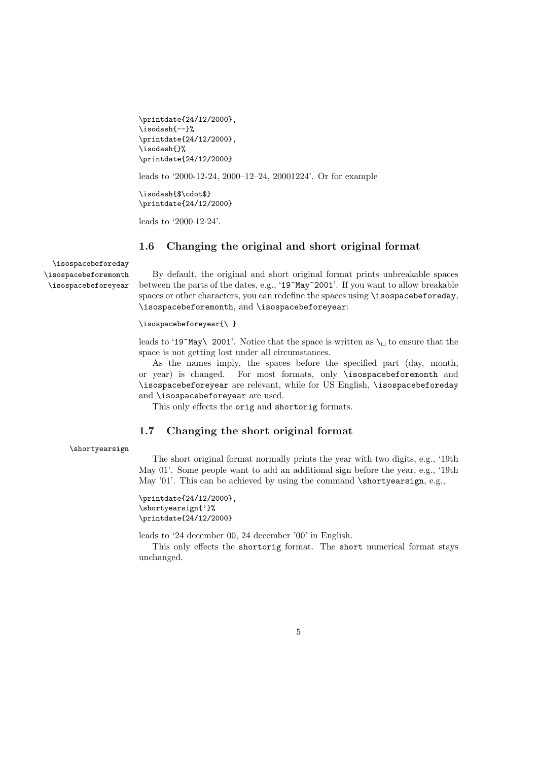```
\printdate{24/12/2000},
\isodash{--}%
\printdate{24/12/2000},
\isodash{}%
\printdate{24/12/2000}
```
leads to '2000-12-24, 2000–12–24, 20001224'. Or for example

\isodash{\$\cdot\$} \printdate{24/12/2000}

leads to '2000·12·24'.

### 1.6 Changing the original and short original format

\isospacebeforeday \isospacebeforemonth \isospacebeforeyear

By default, the original and short original format prints unbreakable spaces between the parts of the dates, e.g., '19~May~2001'. If you want to allow breakable spaces or other characters, you can redefine the spaces using \isospacebeforeday, \isospacebeforemonth, and \isospacebeforeyear:

#### \isospacebeforeyear{\ }

leads to '19~May\ 2001'. Notice that the space is written as  $\setminus \_$  to ensure that the space is not getting lost under all circumstances.

As the names imply, the spaces before the specified part (day, month, or year) is changed. For most formats, only \isospacebeforemonth and \isospacebeforeyear are relevant, while for US English, \isospacebeforeday and \isospacebeforeyear are used.

This only effects the orig and shortorig formats.

### 1.7 Changing the short original format

\shortyearsign

The short original format normally prints the year with two digits, e.g., '19th May 01'. Some people want to add an additional sign before the year, e.g., '19th May '01'. This can be achieved by using the command \shortyearsign, e.g.,

\printdate{24/12/2000}, \shortyearsign{'}% \printdate{24/12/2000}

leads to '24 december 00, 24 december '00' in English.

This only effects the shortorig format. The short numerical format stays unchanged.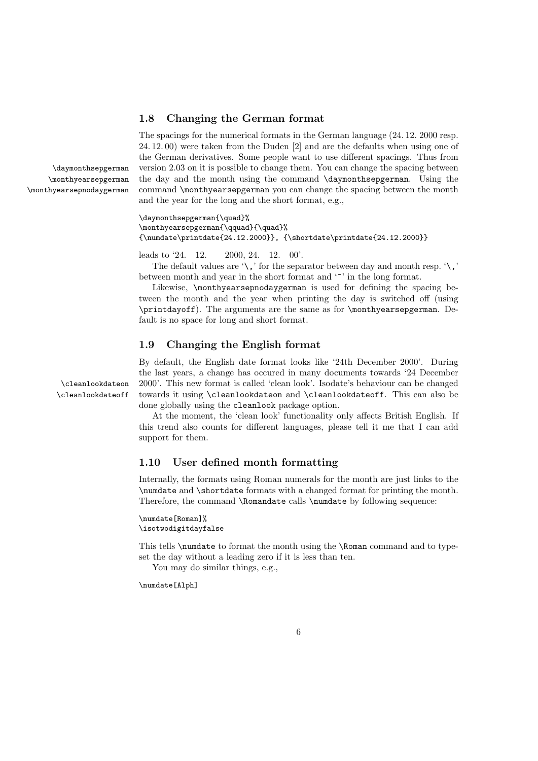### 1.8 Changing the German format

The spacings for the numerical formats in the German language (24. 12. 2000 resp. 24. 12. 00) were taken from the Duden [2] and are the defaults when using one of the German derivatives. Some people want to use different spacings. Thus from \daymonthsepgerman version 2.03 on it is possible to change them. You can change the spacing between the day and the month using the command \daymonthsepgerman. Using the command \monthyearsepgerman you can change the spacing between the month and the year for the long and the short format, e.g.,

> \daymonthsepgerman{\quad}% \monthyearsepgerman{\qquad}{\quad}%  ${\numdate\printdate{24.12.2000}}$ ,  ${\shortchar[24.12.2000]}$

leads to '24. 12. 2000, 24. 12. 00'.

The default values are  $\langle \cdot, \cdot \rangle$  for the separator between day and month resp.  $\langle \cdot, \cdot \rangle$ between month and year in the short format and  $\cdot$  in the long format.

Likewise, **\monthyearsepnodaygerman** is used for defining the spacing between the month and the year when printing the day is switched off (using \printdayoff). The arguments are the same as for \monthyearsepgerman. Default is no space for long and short format.

### 1.9 Changing the English format

By default, the English date format looks like '24th December 2000'. During the last years, a change has occured in many documents towards '24 December \cleanlookdateon 2000'. This new format is called 'clean look'. Isodate's behaviour can be changed \cleanlookdateoff towards it using \cleanlookdateon and \cleanlookdateoff. This can also be done globally using the cleanlook package option.

> At the moment, the 'clean look' functionality only affects British English. If this trend also counts for different languages, please tell it me that I can add support for them.

### 1.10 User defined month formatting

Internally, the formats using Roman numerals for the month are just links to the \numdate and \shortdate formats with a changed format for printing the month. Therefore, the command \Romandate calls \numdate by following sequence:

\numdate[Roman]% \isotwodigitdayfalse

This tells \numdate to format the month using the \Roman command and to typeset the day without a leading zero if it is less than ten.

You may do similar things, e.g.,

\numdate[Alph]

\monthyearsepgerman \monthyearsepnodaygerman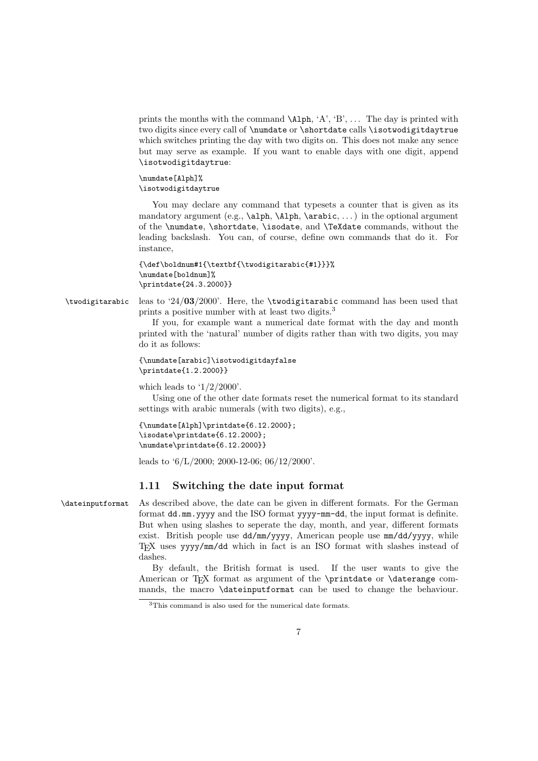prints the months with the command  $\Lambda$ .  $\Lambda'$ ,  $\Lambda'$ ,  $\Lambda'$ ,  $\Lambda'$ ,  $\Lambda'$ ,  $\Lambda'$  is printed with two digits since every call of \numdate or \shortdate calls \isotwodigitdaytrue which switches printing the day with two digits on. This does not make any sence but may serve as example. If you want to enable days with one digit, append \isotwodigitdaytrue:

#### \numdate[Alph]% \isotwodigitdaytrue

You may declare any command that typesets a counter that is given as its mandatory argument (e.g.,  $\alpha, \alpha, \alpha, \ldots$ ) in the optional argument of the \numdate, \shortdate, \isodate, and \TeXdate commands, without the leading backslash. You can, of course, define own commands that do it. For instance,

```
{\def\boldnum#1{\textbf{\twodigitarabic{#1}}}%
\numdate[boldnum]%
\printdate{24.3.2000}}
```
\twodigitarabic leas to '24/03/2000'. Here, the \twodigitarabic command has been used that prints a positive number with at least two digits.<sup>3</sup>

> If you, for example want a numerical date format with the day and month printed with the 'natural' number of digits rather than with two digits, you may do it as follows:

```
{\numdate[arabic]\isotwodigitdayfalse
\printdate{1.2.2000}}
```
which leads to  $1/2/2000'$ .

Using one of the other date formats reset the numerical format to its standard settings with arabic numerals (with two digits), e.g.,

```
{\numdate[Alph]\printdate{6.12.2000};
\isodate\printdate{6.12.2000};
\numdate\printdate{6.12.2000}}
```
leads to '6/L/2000; 2000-12-06; 06/12/2000'.

### 1.11 Switching the date input format

\dateinputformat As described above, the date can be given in different formats. For the German format dd.mm.yyyy and the ISO format yyyy-mm-dd, the input format is definite. But when using slashes to seperate the day, month, and year, different formats exist. British people use dd/mm/yyyy, American people use mm/dd/yyyy, while TEX uses yyyy/mm/dd which in fact is an ISO format with slashes instead of dashes.

By default, the British format is used. If the user wants to give the American or T<sub>E</sub>X format as argument of the \printdate or \daterange commands, the macro \dateinputformat can be used to change the behaviour.

<sup>3</sup>This command is also used for the numerical date formats.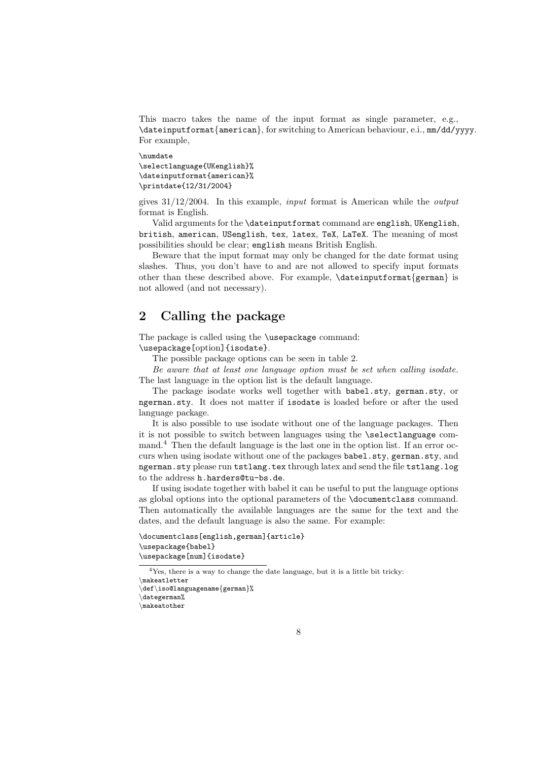This macro takes the name of the input format as single parameter, e.g., \dateinputformat{american}, for switching to American behaviour, e.i., mm/dd/yyyy. For example,

\numdate \selectlanguage{UKenglish}% \dateinputformat{american}% \printdate{12/31/2004}

```
gives 31/12/2004. In this example, input format is American while the output
format is English.
```
Valid arguments for the \dateinputformat command are english, UKenglish, british, american, USenglish, tex, latex, TeX, LaTeX. The meaning of most possibilities should be clear; english means British English.

Beware that the input format may only be changed for the date format using slashes. Thus, you don't have to and are not allowed to specify input formats other than these described above. For example, \dateinputformat{german} is not allowed (and not necessary).

# 2 Calling the package

The package is called using the \usepackage command: \usepackage[option]{isodate}.

The possible package options can be seen in table 2.

Be aware that at least one language option must be set when calling isodate. The last language in the option list is the default language.

The package isodate works well together with babel.sty, german.sty, or ngerman.sty. It does not matter if isodate is loaded before or after the used language package.

It is also possible to use isodate without one of the language packages. Then it is not possible to switch between languages using the \selectlanguage command.<sup>4</sup> Then the default language is the last one in the option list. If an error occurs when using isodate without one of the packages babel.sty, german.sty, and ngerman.sty please run tstlang.tex through latex and send the file tstlang.log to the address h.harders@tu-bs.de.

If using isodate together with babel it can be useful to put the language options as global options into the optional parameters of the \documentclass command. Then automatically the available languages are the same for the text and the dates, and the default language is also the same. For example:

```
\documentclass[english,german]{article}
\usepackage{babel}
\usepackage[num]{isodate}
```

```
<sup>4</sup>Yes, there is a way to change the date language, but it is a little bit tricky:
```

```
\makeatother
```
<sup>\</sup>makeatletter

<sup>\</sup>def\iso@languagename{german}% \dategerman%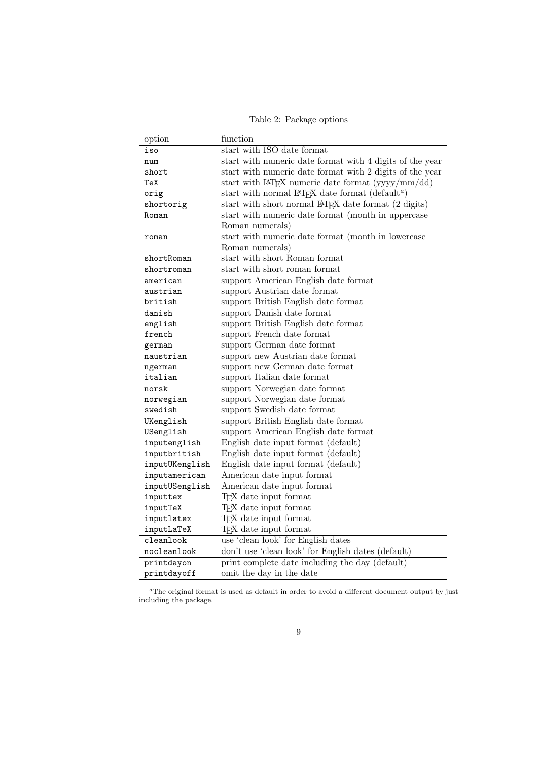Table 2: Package options

| option         | function                                                                 |
|----------------|--------------------------------------------------------------------------|
| iso            | start with ISO date format                                               |
| num            | start with numeric date format with 4 digits of the year                 |
| short          | start with numeric date format with 2 digits of the year                 |
| TeX            | start with $L^2F_X$ numeric date format $(yyyy/mm/dd)$                   |
| orig           | start with normal IAT <sub>F</sub> X date format (default <sup>a</sup> ) |
| shortorig      | start with short normal LAT <sub>F</sub> X date format (2 digits)        |
| Roman          | start with numeric date format (month in uppercase                       |
|                | Roman numerals)                                                          |
| roman          | start with numeric date format (month in lowercase                       |
|                | Roman numerals)                                                          |
| shortRoman     | start with short Roman format                                            |
| shortroman     | start with short roman format                                            |
| american       | support American English date format                                     |
| austrian       | support Austrian date format                                             |
| british        | support British English date format                                      |
| danish         | support Danish date format                                               |
| english        | support British English date format                                      |
| french         | support French date format                                               |
| german         | support German date format                                               |
| naustrian      | support new Austrian date format                                         |
| ngerman        | support new German date format                                           |
| italian        | support Italian date format                                              |
| norsk          | support Norwegian date format                                            |
| norwegian      | support Norwegian date format                                            |
| swedish        | support Swedish date format                                              |
| UKenglish      | support British English date format                                      |
| USenglish      | support American English date format                                     |
| inputenglish   | English date input format (default)                                      |
| inputbritish   | English date input format (default)                                      |
| inputUKenglish | English date input format (default)                                      |
| inputamerican  | American date input format                                               |
| inputUSenglish | American date input format                                               |
| inputtex       | T <sub>F</sub> X date input format                                       |
| inputTeX       | T <sub>F</sub> X date input format                                       |
| inputlatex     | T <sub>F</sub> X date input format                                       |
| inputLaTeX     | T <sub>F</sub> X date input format                                       |
| cleanlook      | use 'clean look' for English dates                                       |
| nocleanlook    | don't use 'clean look' for English dates (default)                       |
| printdayon     | print complete date including the day (default)                          |
| printdayoff    | omit the day in the date                                                 |

 $a$ The original format is used as default in order to avoid a different document output by just including the package.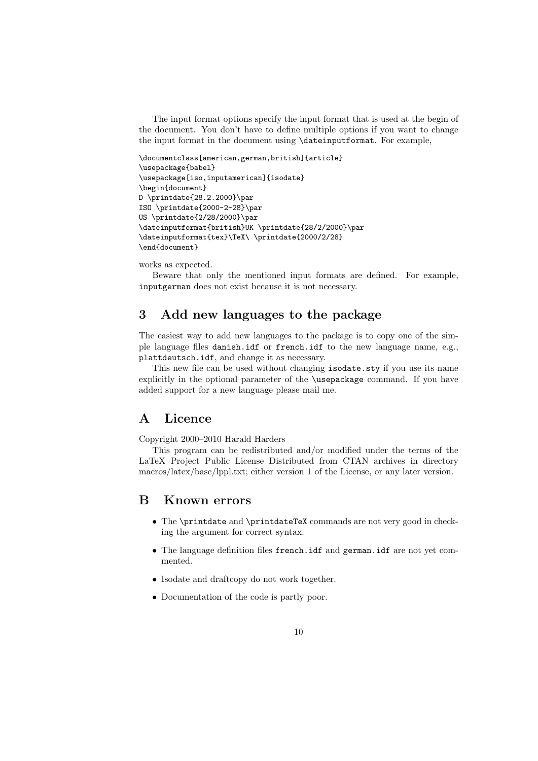The input format options specify the input format that is used at the begin of the document. You don't have to define multiple options if you want to change the input format in the document using \dateinputformat. For example,

```
\documentclass[american,german,british]{article}
\usepackage{babel}
\usepackage[iso,inputamerican]{isodate}
\begin{document}
D \printdate{28.2.2000}\par
ISO \printdate{2000-2-28}\par
US \printdate{2/28/2000}\par
\dateinputformat{british}UK \printdate{28/2/2000}\par
\dateinputformat{tex}\TeX\ \printdate{2000/2/28}
\end{document}
```
works as expected.

Beware that only the mentioned input formats are defined. For example, inputgerman does not exist because it is not necessary.

# 3 Add new languages to the package

The easiest way to add new languages to the package is to copy one of the simple language files danish.idf or french.idf to the new language name, e.g., plattdeutsch.idf, and change it as necessary.

This new file can be used without changing isodate.sty if you use its name explicitly in the optional parameter of the \usepackage command. If you have added support for a new language please mail me.

## A Licence

Copyright 2000–2010 Harald Harders

This program can be redistributed and/or modified under the terms of the LaTeX Project Public License Distributed from CTAN archives in directory macros/latex/base/lppl.txt; either version 1 of the License, or any later version.

### B Known errors

- The \printdate and \printdateTeX commands are not very good in checking the argument for correct syntax.
- The language definition files french.idf and german.idf are not yet commented.
- Isodate and draftcopy do not work together.
- Documentation of the code is partly poor.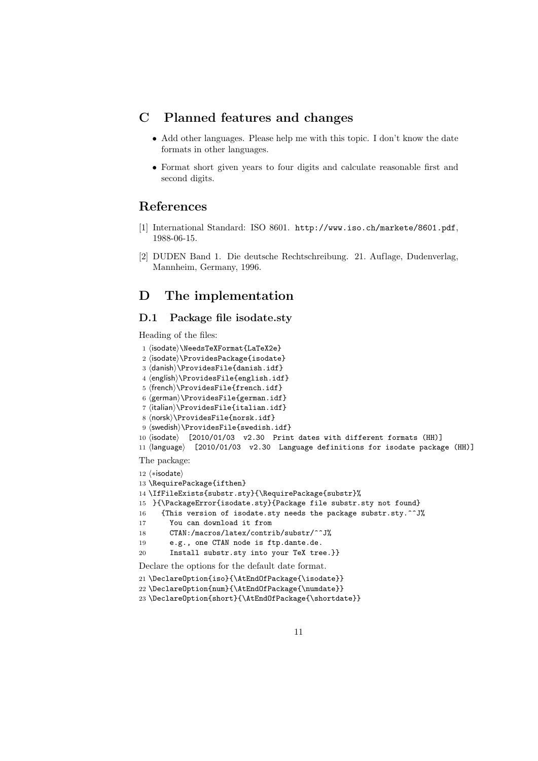# C Planned features and changes

- Add other languages. Please help me with this topic. I don't know the date formats in other languages.
- Format short given years to four digits and calculate reasonable first and second digits.

# References

- [1] International Standard: ISO 8601. http://www.iso.ch/markete/8601.pdf, 1988-06-15.
- [2] DUDEN Band 1. Die deutsche Rechtschreibung. 21. Auflage, Dudenverlag, Mannheim, Germany, 1996.

## D The implementation

### D.1 Package file isodate.sty

Heading of the files:

```
1 (isodate)\NeedsTeXFormat{LaTeX2e}
2 (isodate)\ProvidesPackage{isodate}
3 (danish)\ProvidesFile{danish.idf}
4 (english)\ProvidesFile{english.idf}
5 (french)\ProvidesFile{french.idf}
6 (german)\ProvidesFile{german.idf}
7 (italian)\ProvidesFile{italian.idf}
8 (norsk)\ProvidesFile{norsk.idf}
9 (swedish)\ProvidesFile{swedish.idf}
10 \langleisodate\rangle [2010/01/03 v2.30 Print dates with different formats (HH)]
11 \langlelanguage\rangle [2010/01/03 v2.30 Language definitions for isodate package (HH)]
The package:
12 \langle *isodate \rangle13 \RequirePackage{ifthen}
14 \IfFileExists{substr.sty}{\RequirePackage{substr}%
15 }{\PackageError{isodate.sty}{Package file substr.sty not found}
16 {This version of isodate.sty needs the package substr.sty.^^J%
17 You can download it from
18 CTAN:/macros/latex/contrib/substr/^^J%
19 e.g., one CTAN node is ftp.dante.de.
20 Install substr.sty into your TeX tree.}}
Declare the options for the default date format.
```

```
21 \DeclareOption{iso}{\AtEndOfPackage{\isodate}}
```

```
22 \DeclareOption{num}{\AtEndOfPackage{\numdate}}
```

```
23 \DeclareOption{short}{\AtEndOfPackage{\shortdate}}
```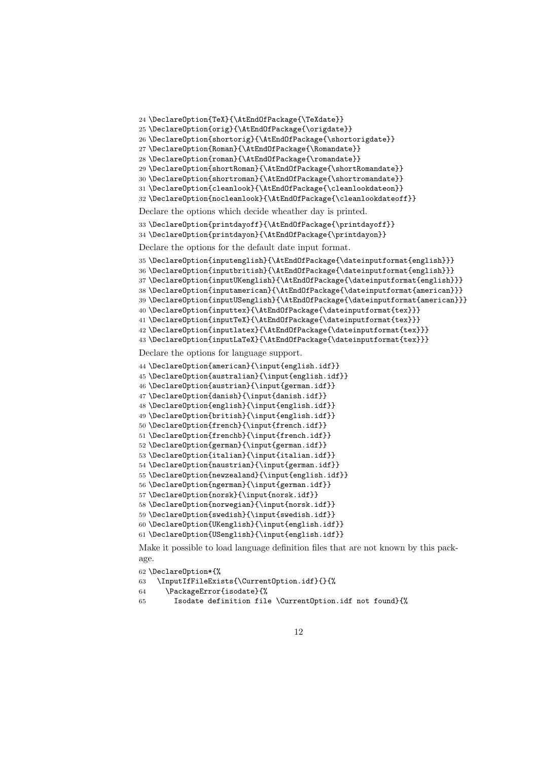```
24 \DeclareOption{TeX}{\AtEndOfPackage{\TeXdate}}
25 \DeclareOption{orig}{\AtEndOfPackage{\origdate}}
26 \DeclareOption{shortorig}{\AtEndOfPackage{\shortorigdate}}
27 \DeclareOption{Roman}{\AtEndOfPackage{\Romandate}}
28 \DeclareOption{roman}{\AtEndOfPackage{\romandate}}
29 \DeclareOption{shortRoman}{\AtEndOfPackage{\shortRomandate}}
30 \DeclareOption{shortroman}{\AtEndOfPackage{\shortromandate}}
31 \DeclareOption{cleanlook}{\AtEndOfPackage{\cleanlookdateon}}
32 \ {\tt DeclareOption{nocleanlook}\{\tt AtEndOfPackage{\textbf{set}}\}Declare the options which decide wheather day is printed.
33 \DeclareOption{printdayoff}{\AtEndOfPackage{\printdayoff}}
34 \DeclareOption{printdayon}{\AtEndOfPackage{\printdayon}}
Declare the options for the default date input format.
35 \DeclareOption{inputenglish}{\AtEndOfPackage{\dateinputformat{english}}}
36 \DeclareOption{inputbritish}{\AtEndOfPackage{\dateinputformat{english}}}
37 \DeclareOption{inputUKenglish}{\AtEndOfPackage{\dateinputformat{english}}}
38 \DeclareOption{inputamerican}{\AtEndOfPackage{\dateinputformat{american}}}
39 \DeclareOption{inputUSenglish}{\AtEndOfPackage{\dateinputformat{american}}}
40 \DeclareOption{inputtex}{\AtEndOfPackage{\dateinputformat{tex}}}
41 \DeclareOption{inputTeX}{\AtEndOfPackage{\dateinputformat{tex}}}
42 \DeclareOption{inputlatex}{\AtEndOfPackage{\dateinputformat{tex}}}
43 \DeclareOption{inputLaTeX}{\AtEndOfPackage{\dateinputformat{tex}}}
Declare the options for language support.
44 \DeclareOption{american}{\input{english.idf}}
45 \DeclareOption{australian}{\input{english.idf}}
46 \DeclareOption{austrian}{\input{german.idf}}
47 \DeclareOption{danish}{\input{danish.idf}}
48 \DeclareOption{english}{\input{english.idf}}
49 \DeclareOption{british}{\input{english.idf}}
50 \DeclareOption{french}{\input{french.idf}}
51 \DeclareOption{frenchb}{\input{french.idf}}
52 \DeclareOption{german}{\input{german.idf}}
53 \DeclareOption{italian}{\input{italian.idf}}
54 \DeclareOption{naustrian}{\input{german.idf}}
55 \DeclareOption{newzealand}{\input{english.idf}}
56 \DeclareOption{ngerman}{\input{german.idf}}
57 \DeclareOption{norsk}{\input{norsk.idf}}
```

```
58 \DeclareOption{norwegian}{\input{norsk.idf}}
```

```
59 \DeclareOption{swedish}{\input{swedish.idf}}
```

```
60 \DeclareOption{UKenglish}{\input{english.idf}}
```
\DeclareOption{USenglish}{\input{english.idf}}

Make it possible to load language definition files that are not known by this package.

\DeclareOption\*{%

```
63 \InputIfFileExists{\CurrentOption.idf}{}{%
```

```
64 \PackageError{isodate}{%
```
Isodate definition file \CurrentOption.idf not found}{%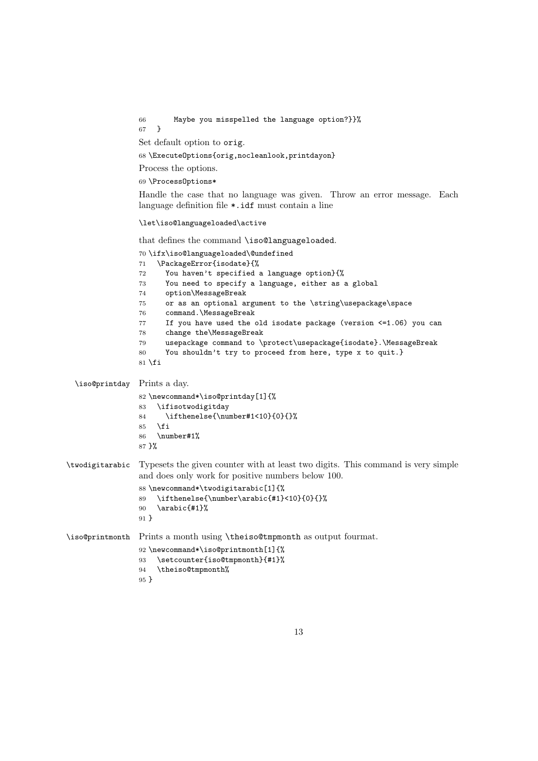```
66 Maybe you misspelled the language option?}}%
                 67 }
                 Set default option to orig.
                 68 \ExecuteOptions{orig,nocleanlook,printdayon}
                 Process the options.
                 69 \ProcessOptions*
                 Handle the case that no language was given. Throw an error message. Each
                 language definition file *.idf must contain a line
                 \let\iso@languageloaded\active
                 that defines the command \iso@languageloaded.
                 70 \ifx\iso@languageloaded\@undefined
                 71 \PackageError{isodate}{%
                 72 You haven't specified a language option}{%
                 73 You need to specify a language, either as a global
                 74 option\MessageBreak
                 75 or as an optional argument to the \string\usepackage\space
                 76 command.\MessageBreak
                 77 If you have used the old isodate package (version <=1.06) you can
                 78 change the\MessageBreak
                 79 usepackage command to \protect\usepackage{isodate}.\MessageBreak
                 80 You shouldn't try to proceed from here, type x to quit.}
                 81 \overline{\text{f}i}\iso@printday Prints a day.
                 82 \newcommand*\iso@printday[1]{%
                 83 \ifisotwodigitday
                 84 \ifthenelse{\number#1<10}{0}{}%
                 85 \fi
                 86 \number#1%
                 87 }%
\twodigitarabic Typesets the given counter with at least two digits. This command is very simple
                 and does only work for positive numbers below 100.
                 88 \newcommand*\twodigitarabic[1]{%
                 89 \ifthenelse{\number\arabic{#1}<10}{0}{}%
                 90 \arabic{#1}%
                 91 }
\iso@printmonth Prints a month using \theiso@tmpmonth as output fourmat.
                 92 \newcommand*\iso@printmonth[1]{%
                 93 \setcounter{iso@tmpmonth}{#1}%
                 94 \theiso@tmpmonth%
                 95 }
```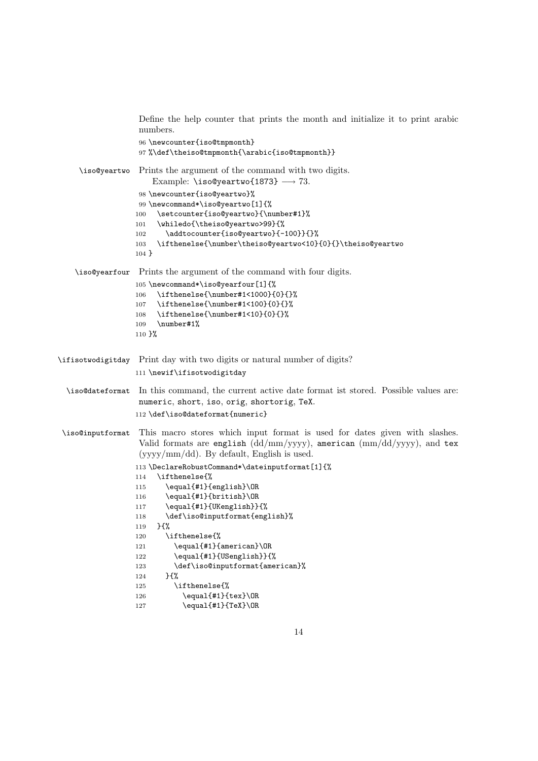```
Define the help counter that prints the month and initialize it to print arabic
                   numbers.
                   96 \newcounter{iso@tmpmonth}
                   97 %\def\theiso@tmpmonth{\arabic{iso@tmpmonth}}
     \iso@yeartwo Prints the argument of the command with two digits.
                      Example: \text{iso@yeartwo{1873}} \longrightarrow 73.
                   98 \newcounter{iso@yeartwo}%
                   99 \newcommand*\iso@yeartwo[1]{%
                  100 \setcounter{iso@yeartwo}{\number#1}%
                  101 \whiledo{\theiso@yeartwo>99}{%
                  102 \addtocounter{iso@yeartwo}{-100}}{}%
                  103 \ifthenelse{\number\theiso@yeartwo<10}{0}{}\theiso@yeartwo
                  104 }
    \iso@yearfour Prints the argument of the command with four digits.
                  105 \newcommand*\iso@yearfour[1]{%
                  106 \ifthenelse{\number#1<1000}{0}{}%
                  107 \ifthenelse{\number#1<100}{0}{}%
                  108 \ifthenelse{\number#1<10}{0}{}%
                  109 \number#1%
                  110 }%
\ifisotwodigitday Print day with two digits or natural number of digits?
                  111 \newif\ifisotwodigitday
  \iso@dateformat In this command, the current active date format ist stored. Possible values are:
                   numeric, short, iso, orig, shortorig, TeX.
                  112 \def\iso@dateformat{numeric}
\iso@inputformat This macro stores which input format is used for dates given with slashes.
                   Valid formats are english \left(\frac{dd}{mm}/\frac{yyyy}{} \right), american \left(\frac{mm}{dd}/\frac{yyyy}{} \right), and tex
                   (yyyy/mm/dd). By default, English is used.
                  113 \DeclareRobustCommand*\dateinputformat[1]{%
                  114 \ifthenelse{%
                  115 \equal{#1}{english}\OR
                  116 \equal{#1}{british}\OR
                  117 \equal{#1}{UKenglish}}{%
                  118 \def\iso@inputformat{english}%
                  119 }{%
                  120 \ifthenelse{%
                  121 \equal{#1}{american}\OR
                  122 \equal{#1}{USenglish}}{%
                  123 \def\iso@inputformat{american}%
                  124 }{%
                  125 \ifthenelse{%
                  126 \equal{#1}{tex}\OR
                  127 \equal{#1}{TeX}\OR
```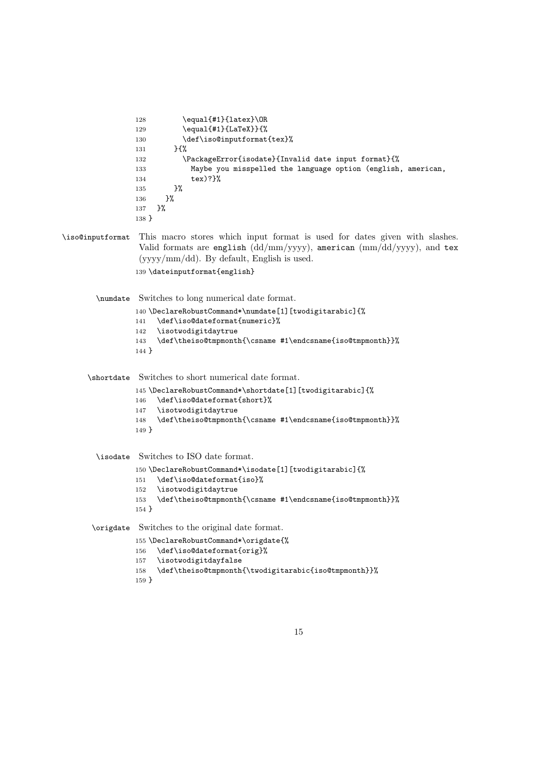```
128 \equal{#1}{latex}\OR
                 129 \equal{#1}{LaTeX}}{%
                 130 \def\iso@inputformat{tex}%
                 131 }{%
                 132 \PackageError{isodate}{Invalid date input format}{%
                 133 Maybe you misspelled the language option (english, american,
                 134 tex)?}%
                 135 }%
                 136 }%
                 137 }%
                 138 }
\iso@inputformat This macro stores which input format is used for dates given with slashes.
                  Valid formats are english \left(\frac{dd}{mm}/y\right)yy\right), american \left(\frac{mm}{dd}/y\right)yy\right), and tex
                  (yyyy/mm/dd). By default, English is used.
                 139 \dateinputformat{english}
        \numdate Switches to long numerical date format.
                 140 \DeclareRobustCommand*\numdate[1][twodigitarabic]{%
                 141 \def\iso@dateformat{numeric}%
                 142 \isotwodigitdaytrue
                 143 \def\theiso@tmpmonth{\csname #1\endcsname{iso@tmpmonth}}%
                 144 }
      \shortdate Switches to short numerical date format.
                 145 \DeclareRobustCommand*\shortdate[1][twodigitarabic]{%
                 146 \def\iso@dateformat{short}%
                 147 \isotwodigitdaytrue
                 148 \def\theiso@tmpmonth{\csname #1\endcsname{iso@tmpmonth}}%
                 149 }
        \isodate Switches to ISO date format.
                 150 \DeclareRobustCommand*\isodate[1][twodigitarabic]{%
                 151 \def\iso@dateformat{iso}%
                 152 \isotwodigitdaytrue
                 153 \def\theiso@tmpmonth{\csname #1\endcsname{iso@tmpmonth}}%
                 154 }
       \origdate Switches to the original date format.
                 155 \DeclareRobustCommand*\origdate{%
                 156 \def\iso@dateformat{orig}%
                 157 \isotwodigitdayfalse
                 158 \def\theiso@tmpmonth{\twodigitarabic{iso@tmpmonth}}%
                 159 }
```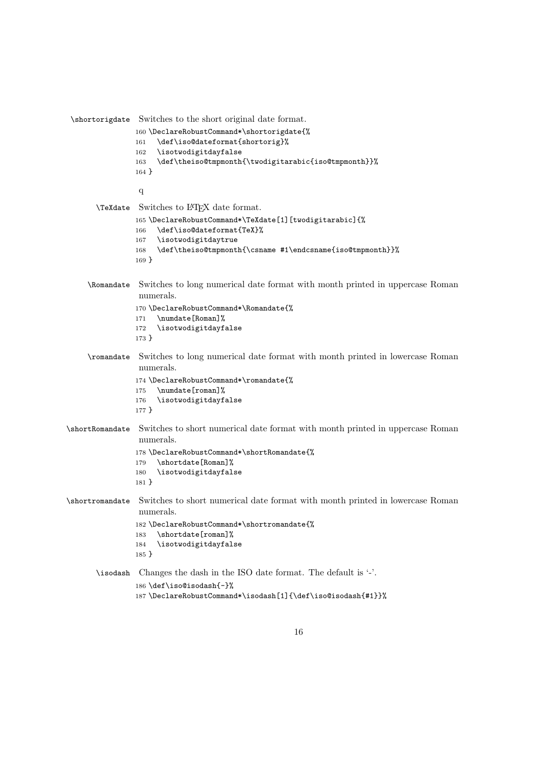```
\shortorigdate Switches to the short original date format.
                160 \DeclareRobustCommand*\shortorigdate{%
                161 \def\iso@dateformat{shortorig}%
                162 \isotwodigitdayfalse<br>163 \def\theiso@tmpmonth
                     \def\theiso@tmpmonth{\twodigitarabic{iso@tmpmonth}}%
                164 }
                 q
       \TeXdate Switches to LATEX date format.
                165 \DeclareRobustCommand*\TeXdate[1][twodigitarabic]{%
                166 \def\iso@dateformat{TeX}%
                167 \isotwodigitdaytrue
                168 \def\theiso@tmpmonth{\csname #1\endcsname{iso@tmpmonth}}%
                169 }
     \Romandate Switches to long numerical date format with month printed in uppercase Roman
                 numerals.
                170 \DeclareRobustCommand*\Romandate{%
                171 \numdate[Roman]%
                172 \isotwodigitdayfalse
                173 }
     \romandate Switches to long numerical date format with month printed in lowercase Roman
                 numerals.
                174 \DeclareRobustCommand*\romandate{%
                175 \numdate[roman]%
                176 \isotwodigitdayfalse
                177 }
\shortRomandate Switches to short numerical date format with month printed in uppercase Roman
                 numerals.
                178 \DeclareRobustCommand*\shortRomandate{%
                179 \shortdate[Roman]%
                180 \isotwodigitdayfalse
                181 }
\shortromandate Switches to short numerical date format with month printed in lowercase Roman
                 numerals.
                182 \DeclareRobustCommand*\shortromandate{%
                183 \shortdate[roman]%
                184 \isotwodigitdayfalse
                185 }
       \isodash Changes the dash in the ISO date format. The default is '-'.
                186 \def\iso@isodash{-}%
                187 \DeclareRobustCommand*\isodash[1]{\def\iso@isodash{#1}}%
```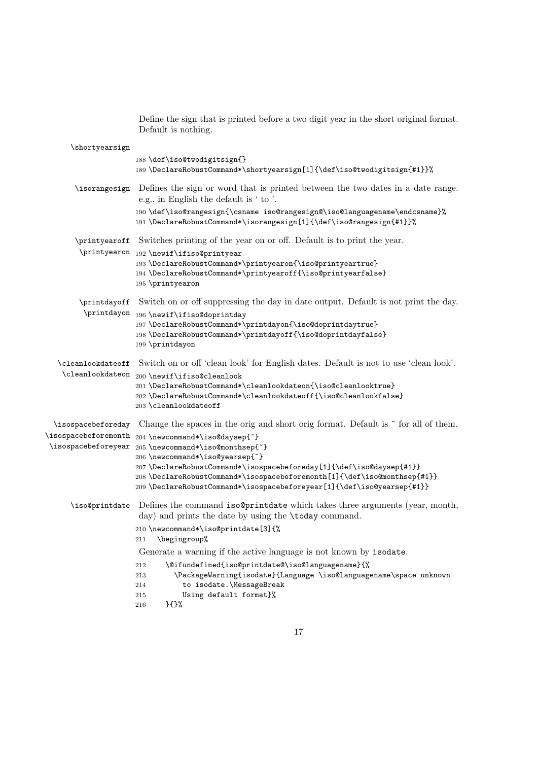Define the sign that is printed before a two digit year in the short original format. Default is nothing.

| \shortyearsign                             |                                                                                                                                                                                                                                                                   |
|--------------------------------------------|-------------------------------------------------------------------------------------------------------------------------------------------------------------------------------------------------------------------------------------------------------------------|
|                                            | 188 \def\iso@twodigitsign{}<br>189\DeclareRobustCommand*\shortyearsign[1]{\def\iso@twodigitsign{#1}}%                                                                                                                                                             |
| \isorangesign                              | Defines the sign or word that is printed between the two dates in a date range.<br>e.g., in English the default is ' to '.                                                                                                                                        |
|                                            | 190\def\iso@rangesign{\csname iso@rangesign@\iso@languagename\endcsname}%<br>191\DeclareRobustCommand*\isorangesign[1]{\def\iso@rangesign{#1}}%                                                                                                                   |
| \printyearoff                              | Switches printing of the year on or off. Default is to print the year.                                                                                                                                                                                            |
|                                            | $\verb \printyear  on _{192 \newif\ifiso@printyear $<br>193 \DeclareRobustCommand*\printyearon{\iso@printyeartrue}<br>194 \DeclareRobustCommand*\printyearoff{\iso@printyearfalse}<br>195 \printyearon                                                            |
|                                            | \printdayoff Switch on or off suppressing the day in date output. Default is not print the day.<br>$\verb \printdayon _196 \newif\ifiso@doprintday $                                                                                                              |
|                                            | 197 \DeclareRobustCommand*\printdayon{\iso@doprintdaytrue}<br>198\DeclareRobustCommand*\printdayoff{\iso@doprintdayfalse}<br>199 \printdayon                                                                                                                      |
| \cleanlookdateoff                          | Switch on or off 'clean look' for English dates. Default is not to use 'clean look'.<br>$\verb \clean ookdate on _200 \newcommand{\mbox}{\mbox{\label{thm:12}newif}}\ref{thm:200\newcommand{\mbox}{\mbox{\label{thm:12}newif}}\def\b{\mbox{\label{thm:12}newif}}$ |
|                                            | 201 \DeclareRobustCommand*\cleanlookdateon{\iso@cleanlooktrue}<br>202 \DeclareRobustCommand*\cleanlookdateoff{\iso@cleanlookfalse}<br>203 \cleanlookdateoff                                                                                                       |
| \isospacebeforeday<br>\isospacebeforemonth | Change the spaces in the orig and short orig format. Default is $\tilde{\phantom{a}}$ for all of them.                                                                                                                                                            |
| \isospacebeforeyear                        | 204 \newcommand*\iso@daysep{~}<br>205 \newcommand*\iso@monthsep{~}                                                                                                                                                                                                |
|                                            | 206 \newcommand*\iso@yearsep{~}<br>207\DeclareRobustCommand*\isospacebeforeday[1]{\def\iso@daysep{#1}}<br>208\DeclareRobustCommand*\isospacebeforemonth[1]{\def\iso@monthsep{#1}}<br>209 \DeclareRobustCommand*\isospacebeforeyear [1] { \def \iso@yearsep{#1} }  |
| \iso@printdate                             | Defines the command iso@printdate which takes three arguments (year, month,<br>day) and prints the date by using the <b>\today</b> command.                                                                                                                       |
|                                            | 210 \newcommand*\iso@printdate[3]{%<br>\begingroup%<br>211                                                                                                                                                                                                        |
|                                            | Generate a warning if the active language is not known by isodate.                                                                                                                                                                                                |
|                                            | \@ifundefined{iso@printdate@\iso@languagename}{%<br>212                                                                                                                                                                                                           |
|                                            | \PackageWarning{isodate}{Language \iso@languagename\space unknown<br>213<br>to isodate.\MessageBreak<br>214                                                                                                                                                       |
|                                            | Using default format}%<br>215<br>$}$<br>216                                                                                                                                                                                                                       |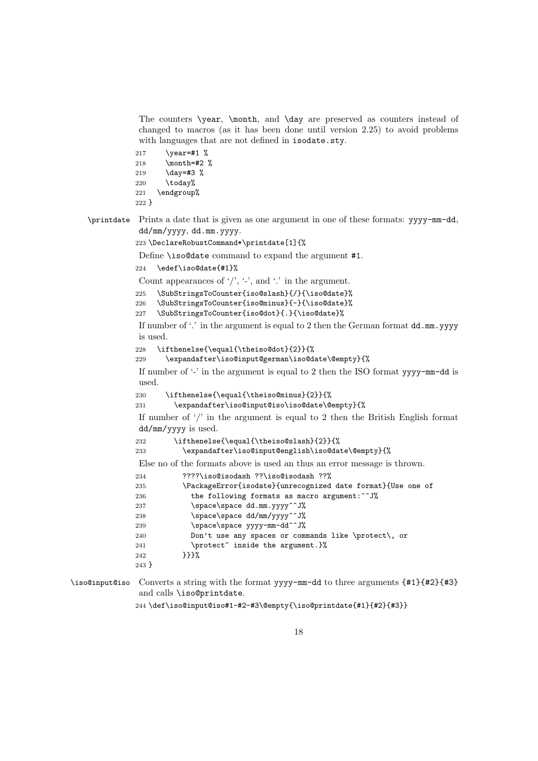The counters \year, \month, and \day are preserved as counters instead of changed to macros (as it has been done until version 2.25) to avoid problems with languages that are not defined in isodate.sty.

217 \year=#1 % 218 \month=#2 % 219 \day=#3 %  $220 \text{ }$  \today% 221 \endgroup%

```
222 }
```
\printdate Prints a date that is given as one argument in one of these formats: yyyy-mm-dd, dd/mm/yyyy, dd.mm.yyyy.

223 \DeclareRobustCommand\*\printdate[1]{%

Define \iso@date command to expand the argument #1.

```
224 \edef\iso@date{#1}%
```
Count appearances of  $\prime$ ,  $\prime$ ,  $\prime$ , and  $\prime$ , in the argument.

```
225 \SubStringsToCounter{iso@slash}{/}{\iso@date}%
```
226 \SubStringsToCounter{iso@minus}{-}{\iso@date}%

```
227 \SubStringsToCounter{iso@dot}{.}{\iso@date}%
```
If number of '.' in the argument is equal to 2 then the German format  $dd$ .mm.yyyy is used.

```
228 \ifthenelse{\equal{\theiso@dot}{2}}{%
```
229 \expandafter\iso@input@german\iso@date\@empty}{%

If number of '-' in the argument is equal to 2 then the ISO format yyyy-mm-dd is used.

230 \ifthenelse{\equal{\theiso@minus}{2}}{%

```
231 \expandafter\iso@input@iso\iso@date\@empty}{%
```
If number of  $\frac{1}{2}$  in the argument is equal to 2 then the British English format dd/mm/yyyy is used.

232 \ifthenelse{\equal{\theiso@slash}{2}}{%

233 \expandafter\iso@input@english\iso@date\@empty}{%

Else no of the formats above is used an thus an error message is thrown.

```
234 ????\iso@isodash ??\iso@isodash ??%
```

| 235     | \PackageError{isodate}{unrecognized date format}{Use one of |
|---------|-------------------------------------------------------------|
| 236     | the following formats as macro argument: ^^ J%              |
| 237     | \space\space dd.mm.yyyy^^J%                                 |
| 238     | \space\space dd/mm/yyyy^^J%                                 |
| 239     | \space\space yyyy-mm-dd^^J%                                 |
| 240     | Don't use any spaces or commands like \protect\, or         |
| 241     | \protect <sup>~</sup> inside the argument.}%                |
| 242     | ንንን‰                                                        |
| $243$ } |                                                             |

\iso@input@iso Converts a string with the format yyyy-mm-dd to three arguments {#1}{#2}{#3} and calls \iso@printdate.

244 \def\iso@input@iso#1-#2-#3\@empty{\iso@printdate{#1}{#2}{#3}}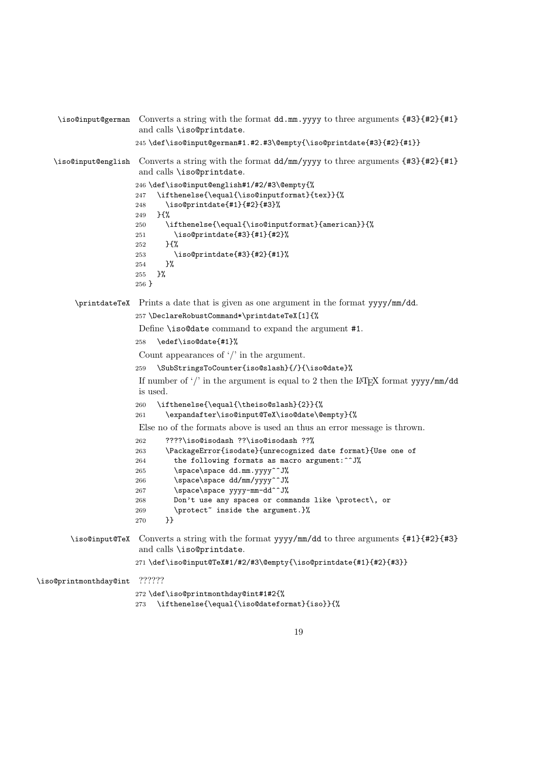```
\iso@input@german Converts a string with the format dd.mm.yyyy to three arguments {#3}{#2}{#1}
                       and calls \iso@printdate.
                       245 \def\iso@input@german#1.#2.#3\@empty{\iso@printdate{#3}{#2}{#1}}
    \iso@input@english Converts a string with the format dd/mm/yyyy to three arguments {#3}{#2}{#1}
                       and calls \iso@printdate.
                      246 \def\iso@input@english#1/#2/#3\@empty{%
                      247 \ifthenelse{\equal{\iso@inputformat}{tex}}{%
                      248 \iso@printdate{#1}{#2}{#3}%
                      249 }{%
                      250 \ifthenelse{\equal{\iso@inputformat}{american}}{%
                      251 \iso@printdate{#3}{#1}{#2}%
                      252 }{%
                      253 \iso@printdate{#3}{#2}{#1}%
                      254 }%
                      255 }%
                      256 }
         \printdateTeX Prints a date that is given as one argument in the format yyyy/mm/dd.
                      257 \DeclareRobustCommand*\printdateTeX[1]{%
                       Define \iso@date command to expand the argument #1.
                      258 \edef\iso@date{#1}%
                       Count appearances of '/' in the argument.
                       259 \SubStringsToCounter{iso@slash}{/}{\iso@date}%
                       If number of '/' in the argument is equal to 2 then the LAT<sub>EX</sub> format yyyy/mm/dd
                       is used.
                      260 \ifthenelse{\equal{\theiso@slash}{2}}{%
                      261 \expandafter\iso@input@TeX\iso@date\@empty}{%
                       Else no of the formats above is used an thus an error message is thrown.
                      262 ????\iso@isodash ??\iso@isodash ??%
                      263 \PackageError{isodate}{unrecognized date format}{Use one of
                      264 the following formats as macro argument:\hat{ } J'
                      265 \space\space dd.mm.yyyy^^J%
                      266 \space\space dd/mm/yyyy^^J%
                      267 \space\space yyyy-mm-dd^^J%
                      268 Don't use any spaces or commands like \protect\, or
                      269 \protect<sup>*</sup> inside the argument.}%
                      270 }}
       \iso@input@TeX Converts a string with the format yyyy/mm/dd to three arguments {#1}{#2}{#3}
                       and calls \iso@printdate.
                       271 \def\iso@input@TeX#1/#2/#3\@empty{\iso@printdate{#1}{#2}{#3}}
\iso@printmonthday@int ??????
                      272 \def\iso@printmonthday@int#1#2{%
                       273 \ifthenelse{\equal{\iso@dateformat}{iso}}{%
```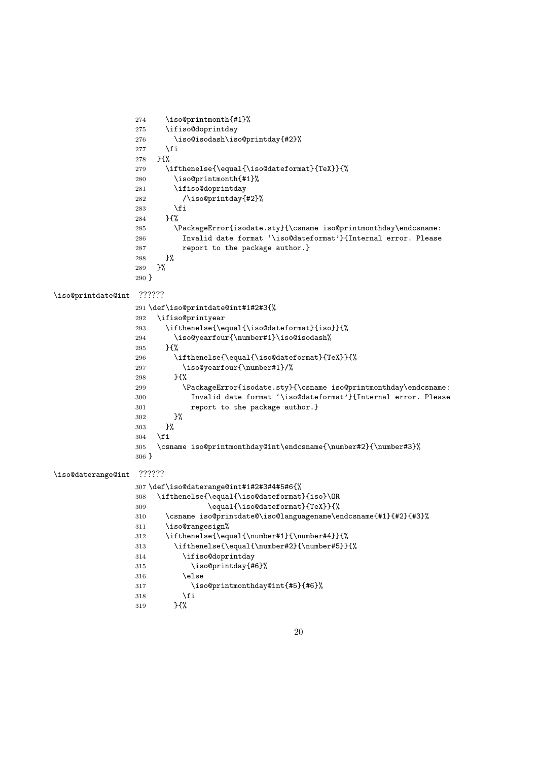```
274 \iso@printmonth{#1}%
                 275 \ifiso@doprintday
                 276 \iso@isodash\iso@printday{#2}%
                 277 \fi
                 278 }{%
                 279 \ifthenelse{\equal{\iso@dateformat}{TeX}}{%
                 280 \iso@printmonth{#1}%
                 281 \ifiso@doprintday
                 282 /\iso@printday{#2}%
                 283 \overrightarrow{fi}284 }{%
                 285 \PackageError{isodate.sty}{\csname iso@printmonthday\endcsname:
                 286 Invalid date format '\iso@dateformat'}{Internal error. Please
                 287 report to the package author.}
                 288 } ?
                 289 }%
                 290 }
\iso@printdate@int ??????
                 291 \def\iso@printdate@int#1#2#3{%
                 292 \ifiso@printyear
                 293 \ifthenelse{\equal{\iso@dateformat}{iso}}{%
                 294 \iso@yearfour{\number#1}\iso@isodash%
                 295 }{%
                 296 \ifthenelse{\equal{\iso@dateformat}{TeX}}{%
                 297 \iso@yearfour{\number#1}/%
                 298 }{%
                 299 \hspace{13pt} \verb|\Gamma:531| and \verb|\PackageError{isodate.sty}{\csname iso@printmonthday\end{csname:}300 Invalid date format '\iso@dateformat'}{Internal error. Please
                 301 report to the package author.}
                 302 }%
                 303 }%
                 304 \fi
                 305 \csname iso@printmonthday@int\endcsname{\number#2}{\number#3}%
                 306 }
\iso@daterange@int ??????
                 307 \def\iso@daterange@int#1#2#3#4#5#6{%
                 308 \ifthenelse{\equal{\iso@dateformat}{iso}\OR
                 309 \equal{\iso@dateformat}{TeX}}{%
                 310 \csname iso@printdate@\iso@languagename\endcsname{#1}{#2}{#3}%
                 311 \iso@rangesign%
                 312 \ifthenelse{\equal{\number#1}{\number#4}}{%
                 313 \ifthenelse{\equal{\number#2}{\number#5}}{%
                 314 \ifiso@doprintday
                 315 \iso@printday{#6}%
                 316 \else
                 317 \iso@printmonthday@int{#5}{#6}%
                 318 \overrightarrow{1}319 }{%
```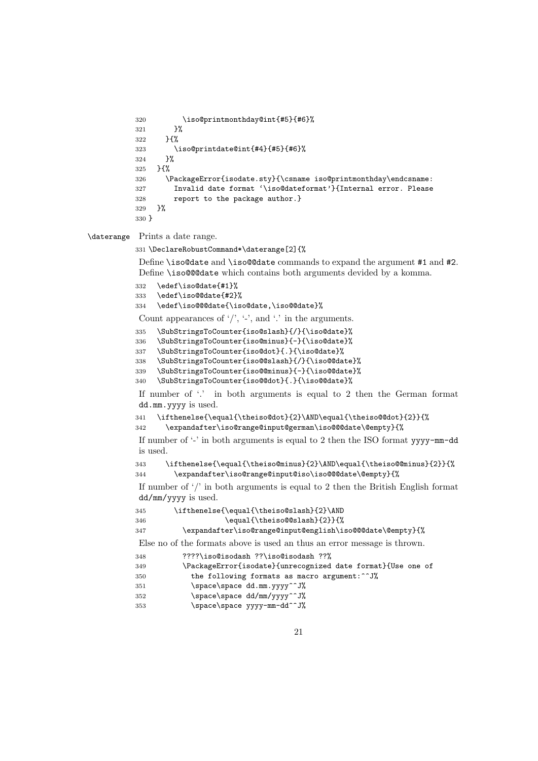```
320 \iso@printmonthday@int{#5}{#6}%<br>321 }%
321322 }{%
323 \iso@printdate@int{#4}{#5}{#6}%
324 }%
325 }{%
326 \PackageError{isodate.sty}{\csname iso@printmonthday\endcsname:
327 Invalid date format '\iso@dateformat'}{Internal error. Please
328 report to the package author.}
329 }%
330 }
```
\daterange Prints a date range.

\DeclareRobustCommand\*\daterange[2]{%

Define \iso@date and \iso@@date commands to expand the argument #1 and #2. Define \iso@@@date which contains both arguments devided by a komma.

```
332 \edef\iso@date{#1}%
```

```
333 \edef\iso@@date{#2}%
```
\edef\iso@@@date{\iso@date,\iso@@date}%

Count appearances of  $\langle \cdot \rangle$ ,  $\langle \cdot \rangle$ , and  $\langle \cdot \rangle$  in the arguments.

\SubStringsToCounter{iso@slash}{/}{\iso@date}%

\SubStringsToCounter{iso@minus}{-}{\iso@date}%

\SubStringsToCounter{iso@dot}{.}{\iso@date}%

\SubStringsToCounter{iso@@slash}{/}{\iso@@date}%

\SubStringsToCounter{iso@@minus}{-}{\iso@@date}%

```
340 \SubStringsToCounter{iso@@dot}{.}{\iso@@date}%
```
If number of '.' in both arguments is equal to 2 then the German format dd.mm.yyyy is used.

```
341 \ifthenelse{\equal{\theiso@dot}{2}\AND\equal{\theiso@@dot}{2}}{%
342 \expandafter\iso@range@input@german\iso@@@date\@empty}{%
```
If number of  $\cdot$ -' in both arguments is equal to 2 then the ISO format yyyy- $mm-dd$ is used.

```
343 \ifthenelse{\equal{\theiso@minus}{2}\AND\equal{\theiso@@minus}{2}}{%
344 \expandafter\iso@range@input@iso\iso@@@date\@empty}{%
```
If number of '/' in both arguments is equal to 2 then the British English format dd/mm/yyyy is used.

```
345 \ifthenelse{\equal{\theiso@slash}{2}\AND
```

```
346 \equal{\theiso@@slash}{2}}{%
```
\expandafter\iso@range@input@english\iso@@@date\@empty}{%

Else no of the formats above is used an thus an error message is thrown.

```
348 ????\iso@isodash ??\iso@isodash ??%
```

```
349 \PackageError{isodate}{unrecognized date format}{Use one of
```

```
350 the following formats as macro argument:^^J%
```
- 351 \space\space dd.mm.yyyy^^J%
- 352 \space\space dd/mm/yyyy^^J%
- 353 \space\space yyyy-mm-dd^^J%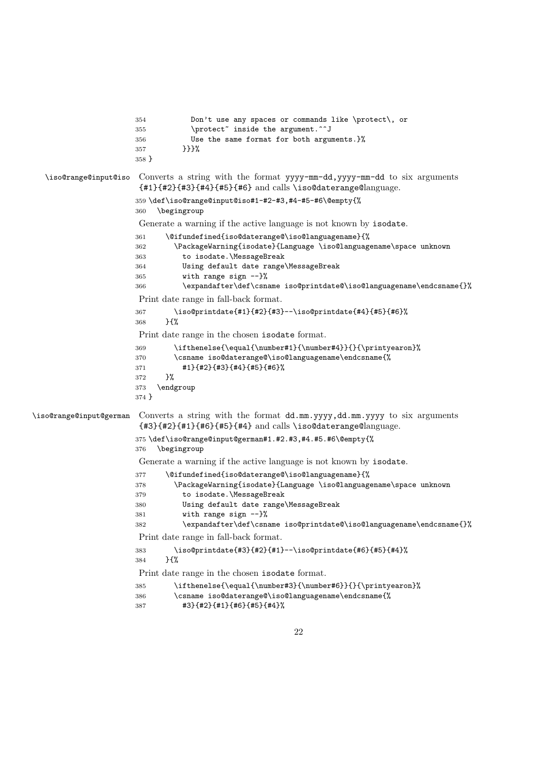|                         | Don't use any spaces or commands like \protect\, or<br>354<br>\protect" inside the argument."^J<br>355<br>Use the same format for both arguments.}%<br>356<br>}}}%<br>357<br>$358$ }                                                                                                                                                   |
|-------------------------|----------------------------------------------------------------------------------------------------------------------------------------------------------------------------------------------------------------------------------------------------------------------------------------------------------------------------------------|
| \iso@range@input@iso    | Converts a string with the format yyyy-mm-dd, yyyy-mm-dd to six arguments<br>{#1}{#2}{#3}{#4}{#5}{#6} and calls \iso@daterange@language.                                                                                                                                                                                               |
|                         | 359 \def\iso@range@input@iso#1-#2-#3,#4-#5-#6\@empty{%<br>\begingroup<br>360                                                                                                                                                                                                                                                           |
|                         | Generate a warning if the active language is not known by isodate.                                                                                                                                                                                                                                                                     |
|                         | \@ifundefined{iso@daterange@\iso@languagename}{%<br>361<br>\PackageWarning{isodate}{Language \iso@languagename\space unknown<br>362<br>to isodate.\MessageBreak<br>363<br>Using default date range\MessageBreak<br>364<br>with range sign --}%<br>365                                                                                  |
|                         | \expandafter\def\csname iso@printdate@\iso@languagename\endcsname{}%<br>366                                                                                                                                                                                                                                                            |
|                         | Print date range in fall-back format.                                                                                                                                                                                                                                                                                                  |
|                         | \iso@printdate{#1}{#2}{#3}--\iso@printdate{#4}{#5}{#6}%<br>367<br>} {%<br>368                                                                                                                                                                                                                                                          |
|                         | Print date range in the chosen isodate format.                                                                                                                                                                                                                                                                                         |
|                         | \ifthenelse{\equal{\number#1}{\number#4}}{}{\printyearon}%<br>369<br>\csname iso@daterange@\iso@languagename\endcsname{%<br>370<br>#1}{#2}{#3}{#4}{#5}{#6}%<br>371<br>}%<br>372<br>\endgroup<br>373<br>374 }                                                                                                                           |
| \iso@range@input@german | Converts a string with the format dd.mm.yyyy,dd.mm.yyyy to six arguments<br>{#3}{#2}{#1}{#6}{#5}{#4} and calls \iso@daterange@language.                                                                                                                                                                                                |
|                         | 375\def\iso@range@input@german#1.#2.#3,#4.#5.#6\@empty{%<br>\begingroup<br>376                                                                                                                                                                                                                                                         |
|                         | Generate a warning if the active language is not known by isodate.                                                                                                                                                                                                                                                                     |
|                         | \@ifundefined{iso@daterange@\iso@languagename}{%<br>377<br>\PackageWarning{isodate}{Language \iso@languagename\space unknown<br>378<br>to isodate.\MessageBreak<br>379<br>Using default date range\MessageBreak<br>380<br>with range sign $-$ }%<br>381<br>\expandafter\def\csname iso@printdate@\iso@languagename\endcsname{}%<br>382 |
|                         | Print date range in fall-back format.                                                                                                                                                                                                                                                                                                  |
|                         | \iso@printdate{#3}{#2}{#1}--\iso@printdate{#6}{#5}{#4}%<br>383<br>}{%<br>384                                                                                                                                                                                                                                                           |
|                         | Print date range in the chosen isodate format.                                                                                                                                                                                                                                                                                         |
|                         | \ifthenelse{\equal{\number#3}{\number#6}}{}{\printyearon}%<br>385<br>\csname iso@daterange@\iso@languagename\endcsname{%<br>386<br>#3}{#2}{#1}{#6}{#5}{#4}%<br>387                                                                                                                                                                     |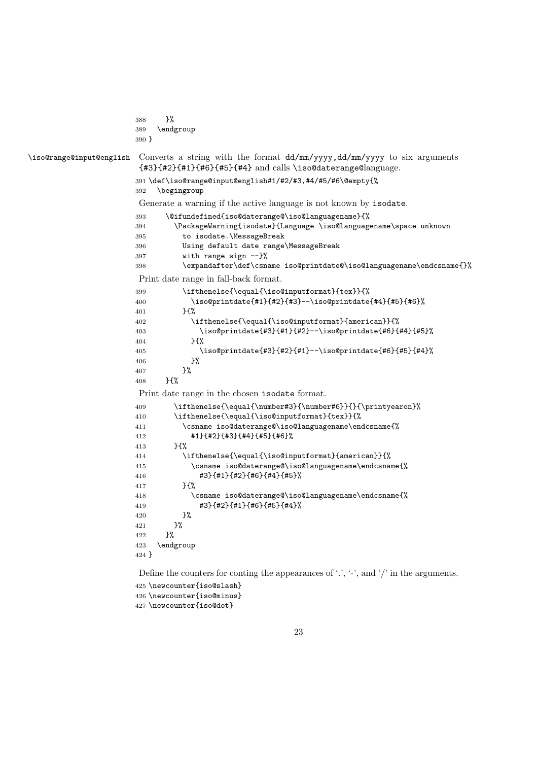```
388 }%
                      389 \endgroup
                      390 }
\iso@range@input@english Converts a string with the format dd/mm/yyyy,dd/mm/yyyy to six arguments
                       {#3}{#2}{#1}{#6}{#5}{#4} and calls \iso@daterange@language.
                      391 \def\iso@range@input@english#1/#2/#3,#4/#5/#6\@empty{%
                      392 \begingroup
                       Generate a warning if the active language is not known by isodate.
                      393 \@ifundefined{iso@daterange@\iso@languagename}{%
                      394 \label{p:23} $$ \Pack \varphi{1} \subset \langle \infty \rangle \sp{2395 to isodate.\MessageBreak
                      396 Using default date range\MessageBreak
                      397 with range sign --}%
                      398 \expandafter\def\csname iso@printdate@\iso@languagename\endcsname{}%
                       Print date range in fall-back format.
                      399 \ifthenelse{\equal{\iso@inputformat}{tex}}{%
                      400 \iso@printdate{#1}{#2}{#3}--\iso@printdate{#4}{#5}{#6}%
                      401 }{%
                      402 \ifthenelse{\equal{\iso@inputformat}{american}}{%
                      403 \iso@printdate{#3}{#1}{#2}--\iso@printdate{#6}{#4}{#5}%
                      404 } {%
                      405 \iso@printdate{#3}{#2}{#1}--\iso@printdate{#6}{#5}{#4}%
                      406 }%
                      407 }%
                      408 }{%
                       Print date range in the chosen isodate format.
                      409 \ifthenelse{\equal{\number#3}{\number#6}}{}{\printyearon}%
                      410 \ifthenelse{\equal{\iso@inputformat}{tex}}{%
                      411 \csname iso@daterange@\iso@languagename\endcsname{%
                      412 #1}{#2}{#3}{#4}{#5}{#6}%
                      413 }{%
                      414 \ifthenelse{\equal{\iso@inputformat}{american}}{%
                      415 \csname iso@daterange@\iso@languagename\endcsname{%
                      416 #3}{#1}{#2}{#6}{#4}{#5}%
                      417 }{%
                      418 \csname iso@daterange@\iso@languagename\endcsname{%
                      419 #3}{#2}{#1}{#6}{#5}{#4}%
                      420 }%
                      421 }%
                      422 }%
                      423 \endgroup
                      424 }
                       Define the counters for conting the appearances of '.', '-', and '/' in the arguments.
```

```
425 \newcounter{iso@slash}
426 \newcounter{iso@minus}
```

```
427 \newcounter{iso@dot}
```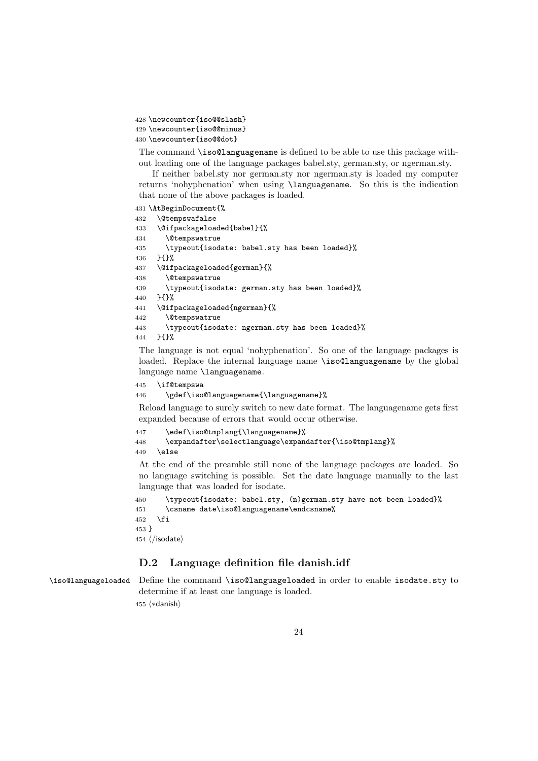```
428 \newcounter{iso@@slash}
429 \newcounter{iso@@minus}
430 \newcounter{iso@@dot}
```
The command \iso@languagename is defined to be able to use this package without loading one of the language packages babel.sty, german.sty, or ngerman.sty.

If neither babel.sty nor german.sty nor ngerman.sty is loaded my computer returns 'nohyphenation' when using \languagename. So this is the indication that none of the above packages is loaded.

```
431 \AtBeginDocument{%
432 \@tempswafalse
433 \@ifpackageloaded{babel}{%
434 \@tempswatrue
435 \typeout{isodate: babel.sty has been loaded}%
436 }{}%
437 \@ifpackageloaded{german}{%
438 \@tempswatrue
439 \typeout{isodate: german.sty has been loaded}%
440 }{}%
441 \@ifpackageloaded{ngerman}{%
442 \@tempswatrue
443 \typeout{isodate: ngerman.sty has been loaded}%
444 }{}%
```
The language is not equal 'nohyphenation'. So one of the language packages is loaded. Replace the internal language name \iso@languagename by the global language name \languagename.

```
445 \if@tempswa
```

```
446 \gdef\iso@languagename{\languagename}%
```
Reload language to surely switch to new date format. The languagename gets first expanded because of errors that would occur otherwise.

```
447 \edef\iso@tmplang{\languagename}%
448 \expandafter\selectlanguage\expandafter{\iso@tmplang}%
449 \else
```
At the end of the preamble still none of the language packages are loaded. So no language switching is possible. Set the date language manually to the last language that was loaded for isodate.

```
450 \typeout{isodate: babel.sty, (n)german.sty have not been loaded}%
451 \csname date\iso@languagename\endcsname%
452 \fi
453 }
454 \; \langle \text{/isodate} \rangle
```
### D.2 Language definition file danish.idf

\iso@languageloaded Define the command \iso@languageloaded in order to enable isodate.sty to determine if at least one language is loaded. 455 (\*danish)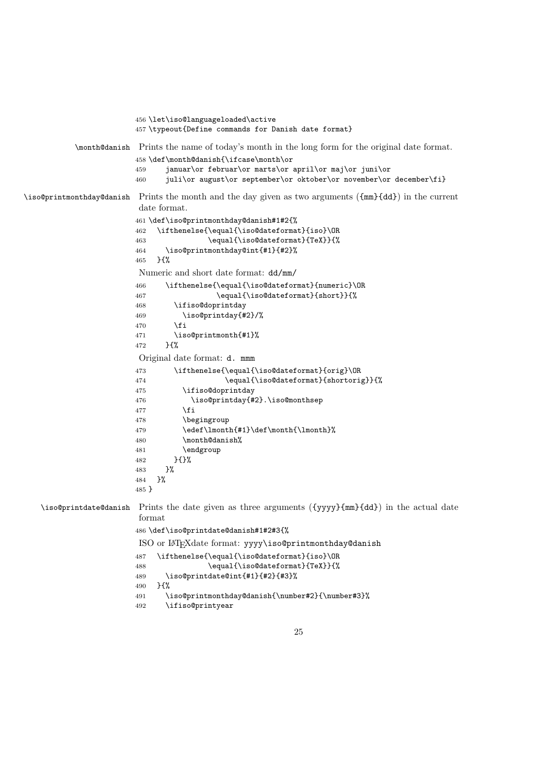```
456 \let\iso@languageloaded\active
                       457 \typeout{Define commands for Danish date format}
           \month@danish Prints the name of today's month in the long form for the original date format.
                        458 \def\month@danish{\ifcase\month\or
                        459 januar\or februar\or marts\or april\or maj\or juni\or
                        460 juli\or august\or september\or oktober\or november\or december\fi}
\iso@printmonthday@danish Prints the month and the day given as two arguments ({mm}{dd}) in the current
                        date format.
                        461 \def\iso@printmonthday@danish#1#2{%
                        462 \ifthenelse{\equal{\iso@dateformat}{iso}\OR
                        463 \equal{\iso@dateformat}{TeX}}{%
                        464 \iso@printmonthday@int{#1}{#2}%
                        465 }{%
                        Numeric and short date format: dd/mm/
                       466 \ifthenelse{\equal{\iso@dateformat}{numeric}\OR
                        467 \equal{\iso@dateformat}{short}}{%
                        468 \ifiso@doprintday
                        469 \iso@printday{#2}/%
                        470 \fi
                        471 \iso@printmonth{#1}%
                       472 }{%
                        Original date format: d. mmm
                       473 \ifthenelse{\equal{\iso@dateformat}{orig}\OR
                       474 \equal{\iso@dateformat}{shortorig}}{%
                        475 \ifiso@doprintday
                        476 \iso@printday{#2}.\iso@monthsep
                        477 \inti
                        478 \begingroup
                       479 \edef\lmonth{#1}\def\month{\lmonth}%
                       480 \month@danish%
                       481 \endgroup
                       482 }{}%
                       483 }%
                       484 }%
                       485 }
   \iso@printdate@danish Prints the date given as three arguments ({yyyy}{mm}{dd}) in the actual date
                        format
                        486 \def\iso@printdate@danish#1#2#3{%
                        ISO or LATEXdate format: yyyy\iso@printmonthday@danish
                        487 \ifthenelse{\equal{\iso@dateformat}{iso}\OR
                       488 \equal{\iso@dateformat}{TeX}}{%
                        489 \iso@printdate@int{#1}{#2}{#3}%
                        490 }{%
                        491 \iso@printmonthday@danish{\number#2}{\number#3}%
                       492 \ifiso@printyear
```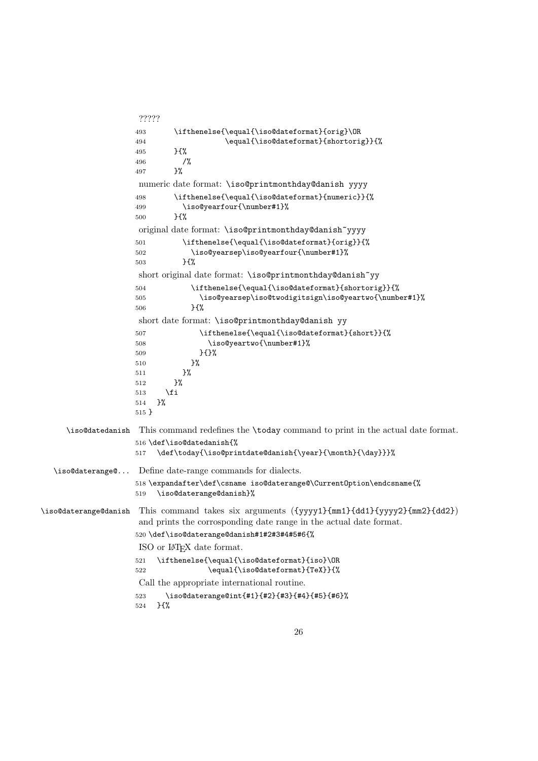```
?????
                   493 \ifthenelse{\equal{\iso@dateformat}{orig}\OR
                    494 \equal{\iso@dateformat}{shortorig}}{%
                    495 }{%
                    496 /%
                   497 }%
                    numeric date format: \iso@printmonthday@danish yyyy
                   498 \ifthenelse{\equal{\iso@dateformat}{numeric}}{%
                   499 \iso@yearfour{\number#1}%
                   500 }{%
                    original date format: \iso@printmonthday@danish~yyyy
                   501 \ifthenelse{\equal{\iso@dateformat}{orig}}{%
                   502 \iso@yearsep\iso@yearfour{\number#1}%
                   503 }{%
                    short original date format: \iso@printmonthday@danish~yy
                   504 \ifthenelse{\equal{\iso@dateformat}{shortorig}}{%
                   505 \iso@yearsep\iso@twodigitsign\iso@yeartwo{\number#1}%
                   506 }\{%
                    short date format: \iso@printmonthday@danish yy
                   507 \ifthenelse{\equal{\iso@dateformat}{short}}{%
                   508 \iso@yeartwo{\number#1}%
                   509 }{}%
                   510 }%
                   511 }%
                   512 }%
                   513 \fi
                   514 }%
                   515 }
     \iso@datedanish This command redefines the \today command to print in the actual date format.
                   516 \def\iso@datedanish{%
                   517 \def\today{\iso@printdate@danish{\year}{\month}{\day}}}%
  \iso@daterange@... Define date-range commands for dialects.
                   518 \expandafter\def\csname iso@daterange@\CurrentOption\endcsname{%
                   519 \iso@daterange@danish}%
\iso@daterange@danish This command takes six arguments ({yyyy1}{mm1}{dd1}{yyyy2}{mm2}{dd2})
                    and prints the corrosponding date range in the actual date format.
                   520 \def\iso@daterange@danish#1#2#3#4#5#6{%
                    ISO or LATEX date format.
                   521 \ifthenelse{\equal{\iso@dateformat}{iso}\OR
                   522 \equal{\iso@dateformat}{TeX}}{%
                    Call the appropriate international routine.
                   523 \iso@daterange@int{#1}{#2}{#3}{#4}{#5}{#6}%
                   524 }{%
```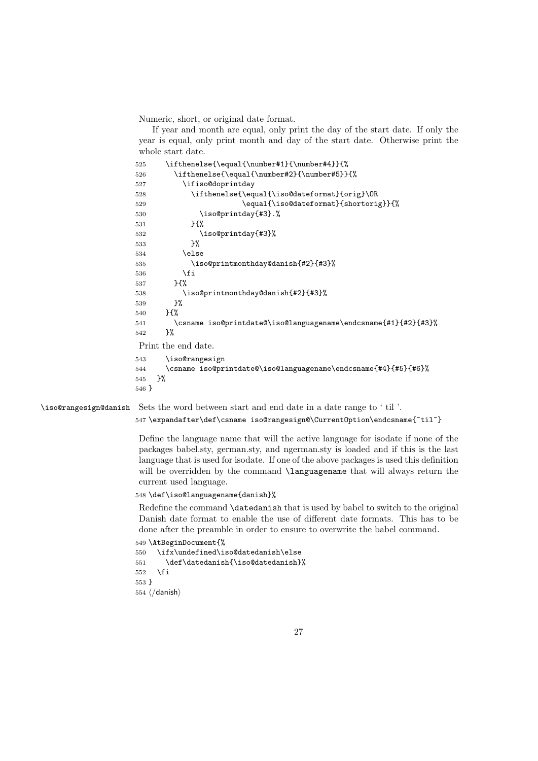Numeric, short, or original date format.

If year and month are equal, only print the day of the start date. If only the year is equal, only print month and day of the start date. Otherwise print the whole start date.

| 525 | \ifthenelse{\equal{\number#1}{\number#4}}{%                     |
|-----|-----------------------------------------------------------------|
| 526 | \ifthenelse{\equal{\number#2}{\number#5}}{%                     |
| 527 | \ifiso@doprintday                                               |
| 528 | \ifthenelse{\equal{\iso@dateformat}{orig}\OR                    |
| 529 | \equal{\iso@dateformat}{shortorig}}{%                           |
| 530 | \iso@printday{#3}.%                                             |
| 531 | $H^{\prime}$                                                    |
| 532 | \iso@printday{#3}%                                              |
| 533 | }‰                                                              |
| 534 | \else                                                           |
| 535 | \iso@printmonthday@danish{#2}{#3}%                              |
| 536 | \fi                                                             |
| 537 | $H^{\prime\prime}$                                              |
| 538 | \iso@printmonthday@danish{#2}{#3}%                              |
| 539 | }%                                                              |
| 540 | $H^{\prime}$                                                    |
| 541 | \csname iso@printdate@\iso@languagename\endcsname{#1}{#2}{#3}%  |
| 542 | }‰                                                              |
|     | Print the end date.                                             |
| 543 | \iso@rangesign                                                  |
| 544 | \csname iso@printdate@\iso@languagename\endcsname{#4}{#5}{#6}%\ |

 }% }

\iso@rangesign@danish Sets the word between start and end date in a date range to ' til '.

\expandafter\def\csname iso@rangesign@\CurrentOption\endcsname{~til~}

Define the language name that will the active language for isodate if none of the packages babel.sty, german.sty, and ngerman.sty is loaded and if this is the last language that is used for isodate. If one of the above packages is used this definition will be overridden by the command **\languagename** that will always return the current used language.

\def\iso@languagename{danish}%

Redefine the command \datedanish that is used by babel to switch to the original Danish date format to enable the use of different date formats. This has to be done after the preamble in order to ensure to overwrite the babel command.

```
549 \AtBeginDocument{%
```

```
550 \ifx\undefined\iso@datedanish\else
551 \def\datedanish{\iso@datedanish}%
552 \fi
553 }
554 \langle/danish\rangle
```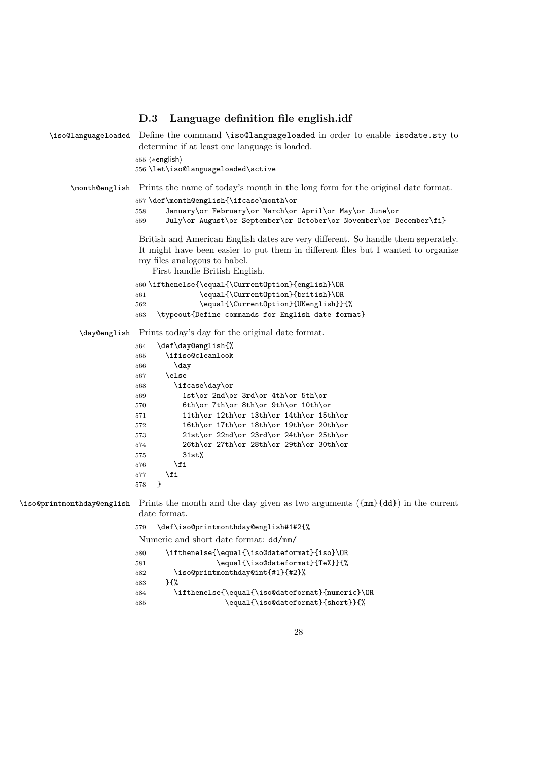|                     | D.3                            | Language definition file english.idf                                                                                                                                                                                                    |
|---------------------|--------------------------------|-----------------------------------------------------------------------------------------------------------------------------------------------------------------------------------------------------------------------------------------|
| \iso@languageloaded |                                | Define the command \iso@languageloaded in order to enable isodate.sty to<br>determine if at least one language is loaded.                                                                                                               |
|                     | 555 $\langle *english \rangle$ |                                                                                                                                                                                                                                         |
|                     |                                | 556 \let\iso@languageloaded\active                                                                                                                                                                                                      |
|                     |                                | \month@english Prints the name of today's month in the long form for the original date format.                                                                                                                                          |
|                     |                                | 557 \def\month@english{\ifcase\month\or                                                                                                                                                                                                 |
|                     | 558<br>559                     | January\or February\or March\or April\or May\or June\or<br>July\or August\or September\or October\or November\or December\fi}                                                                                                           |
|                     |                                | British and American English dates are very different. So handle them seperately.<br>It might have been easier to put them in different files but I wanted to organize<br>my files analogous to babel.<br>First handle British English. |
|                     |                                | 560 \ifthenelse{\equal{\CurrentOption}{english}\OR                                                                                                                                                                                      |
|                     | 561                            | \equal{\Current0ption}{british}\OR                                                                                                                                                                                                      |
|                     | 562<br>563                     | \equal{\Current0ption}{UKenglish}}{%<br>\typeout{Define commands for English date format}                                                                                                                                               |
|                     |                                |                                                                                                                                                                                                                                         |
| \day@english        |                                | Prints today's day for the original date format.                                                                                                                                                                                        |
|                     | 564                            | \def\day@english{%                                                                                                                                                                                                                      |
|                     | 565<br>566                     | \ifiso@cleanlook<br>\day                                                                                                                                                                                                                |
|                     | 567                            | \else                                                                                                                                                                                                                                   |
|                     | 568                            | \ifcase\day\or                                                                                                                                                                                                                          |
|                     | 569                            | 1st\or 2nd\or 3rd\or 4th\or 5th\or                                                                                                                                                                                                      |
|                     | 570                            | 6th\or 7th\or 8th\or 9th\or 10th\or                                                                                                                                                                                                     |
|                     | 571                            | 11th\or 12th\or 13th\or 14th\or 15th\or                                                                                                                                                                                                 |
|                     | 572                            | 16th\or 17th\or 18th\or 19th\or 20th\or                                                                                                                                                                                                 |
|                     | 573                            | 21st\or 22nd\or 23rd\or 24th\or 25th\or                                                                                                                                                                                                 |
|                     | 574                            | 26th\or 27th\or 28th\or 29th\or 30th\or                                                                                                                                                                                                 |
|                     | 575                            | 31st%                                                                                                                                                                                                                                   |
|                     | 576                            | \fi                                                                                                                                                                                                                                     |
|                     | 577                            | \fi                                                                                                                                                                                                                                     |
|                     | }<br>578                       |                                                                                                                                                                                                                                         |
|                     |                                | \iso@printmonthday@english Prints the month and the day given as two arguments ( ${mm}$ {dd}) in the current<br>date format.                                                                                                            |
|                     | 579                            | \def\iso@printmonthday@english#1#2{%                                                                                                                                                                                                    |
|                     |                                | Numeric and short date format: dd/mm/                                                                                                                                                                                                   |
|                     | 580                            | \ifthenelse{\equal{\iso@dateformat}{iso}\OR                                                                                                                                                                                             |
|                     | 581                            | \equal{\iso@dateformat}{TeX}}{%                                                                                                                                                                                                         |
|                     | 582                            | \iso@printmonthday@int{#1}{#2}%                                                                                                                                                                                                         |
|                     | 583                            | } {%                                                                                                                                                                                                                                    |
|                     | 584                            | \ifthenelse{\equal{\iso@dateformat}{numeric}\OR                                                                                                                                                                                         |
|                     | 585                            | \equal{\iso@dateformat}{short}}{%                                                                                                                                                                                                       |
|                     |                                |                                                                                                                                                                                                                                         |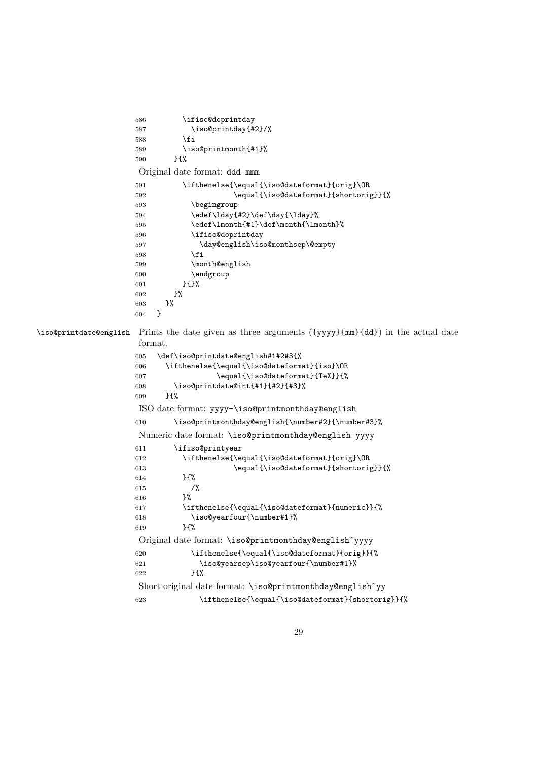```
586 \ifiso@doprintday
                  587 \iso@printday{#2}/%
                   588 \fi
                   589 \iso@printmonth{#1}%
                  590 }{%
                   Original date format: ddd mmm
                  591 \ifthenelse{\equal{\iso@dateformat}{orig}\OR
                  592 \equal{\iso@dateformat}{shortorig}}{%
                  593 \begingroup
                   594 \edef\lday{#2}\def\day{\lday}%
                  595 \edef\lmonth{#1}\def\month{\lmonth}%
                  596 \ifiso@doprintday
                  597 \day@english\iso@monthsep\@empty
                  598 \fi
                  599 \month@english
                  600 \endgroup
                  601 }{}%
                  602 }%
                  603 }%
                   604 }
\iso@printdate@english Prints the date given as three arguments ({yyyy}{mm}{dd}) in the actual date
                   format.
                  605 \def\iso@printdate@english#1#2#3{%
                  606 \ifthenelse{\equal{\iso@dateformat}{iso}\OR
                  607 \equal{\iso@dateformat}{TeX}}{%
                  608 \iso@printdate@int{#1}{#2}{#3}%
                  609 }{%
                   ISO date format: yyyy-\iso@printmonthday@english
                  610 \iso@printmonthday@english{\number#2}{\number#3}%
                   Numeric date format: \iso@printmonthday@english yyyy
                  611 \ifiso@printyear
                  612 \ifthenelse{\equal{\iso@dateformat}{orig}\OR
                  613 \equal{\iso@dateformat}{shortorig}}{%
                  614 }{%
                  615 /%
                  616 }%
                  617 \ifthenelse{\equal{\iso@dateformat}{numeric}}{%
                  618 \iso@yearfour{\number#1}%
                  619 }{%
                   Original date format: \iso@printmonthday@english~yyyy
                  620 \ifthenelse{\equal{\iso@dateformat}{orig}}{%
                  621 \iso@yearsep\iso@yearfour{\number#1}%
                  622 }{%
                   Short original date format: \iso@printmonthday@english~yy
                  623 \ifthenelse{\equal{\iso@dateformat}{shortorig}}{%
```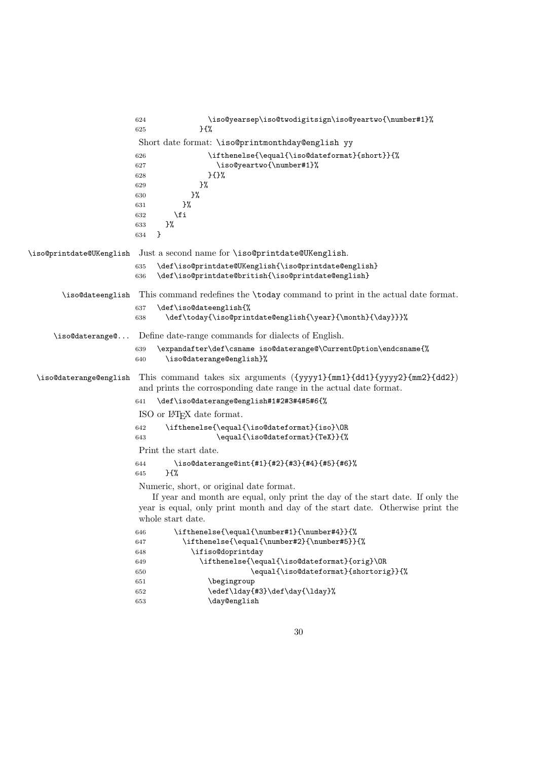|                          | \iso@yearsep\iso@twodigitsign\iso@yeartwo{\number#1}%<br>624<br>$}$<br>625                                                                                                                                                                                                                                 |
|--------------------------|------------------------------------------------------------------------------------------------------------------------------------------------------------------------------------------------------------------------------------------------------------------------------------------------------------|
|                          | Short date format: \iso@printmonthday@english yy                                                                                                                                                                                                                                                           |
|                          | \ifthenelse{\equal{\iso@dateformat}{short}}{%<br>626<br>\iso@yeartwo{\number#1}%<br>627<br>}{}%<br>628<br>}%<br>629<br>}%<br>630<br>}%<br>631<br>\fi<br>632<br>}%<br>633<br>}<br>634                                                                                                                       |
| \iso@printdate@UKenglish | Just a second name for \iso@printdate@UKenglish.                                                                                                                                                                                                                                                           |
|                          | \def\iso@printdate@UKenglish{\iso@printdate@english}<br>635<br>\def\iso@printdate@british{\iso@printdate@english}<br>636                                                                                                                                                                                   |
| \iso@dateenglish         | This command redefines the \today command to print in the actual date format.                                                                                                                                                                                                                              |
|                          | \def\iso@dateenglish{%<br>637<br>\def\today{\iso@printdate@english{\year}{\month}{\day}}}%<br>638                                                                                                                                                                                                          |
| \iso@daterange@          | Define date-range commands for dialects of English.                                                                                                                                                                                                                                                        |
|                          | \expandafter\def\csname iso@daterange@\CurrentOption\endcsname{%<br>639<br>\iso@daterange@english}%<br>640                                                                                                                                                                                                 |
| \iso@daterange@english   | This command takes six arguments ({yyyy1}{mm1}{dd1}{yyyy2}{mm2}{dd2})<br>and prints the corrosponding date range in the actual date format.                                                                                                                                                                |
|                          | \def\iso@daterange@english#1#2#3#4#5#6{%<br>641                                                                                                                                                                                                                                                            |
|                          | ISO or IAT <sub>EX</sub> date format.                                                                                                                                                                                                                                                                      |
|                          | \ifthenelse{\equal{\iso@dateformat}{iso}\OR<br>642<br>\equal{\iso@dateformat}{TeX}}{%<br>643                                                                                                                                                                                                               |
|                          | Print the start date.                                                                                                                                                                                                                                                                                      |
|                          | \iso@daterange@int{#1}{#2}{#3}{#4}{#5}{#6}%<br>644<br>$}$<br>645                                                                                                                                                                                                                                           |
|                          | Numeric, short, or original date format.<br>If year and month are equal, only print the day of the start date. If only the<br>year is equal, only print month and day of the start date. Otherwise print the<br>whole start date.                                                                          |
|                          | \ifthenelse{\equal{\number#1}{\number#4}}{%<br>646<br>\ifthenelse{\equal{\number#2}{\number#5}}{%<br>647<br>\ifiso@doprintday<br>648<br>\ifthenelse{\equal{\iso@dateformat}{orig}\OR<br>649<br>\equal{\iso@dateformat}{shortorig}}{%<br>650<br>\begingroup<br>651<br>\edef\lday{#3}\def\day{\lday}%<br>652 |
|                          | \day@english<br>653                                                                                                                                                                                                                                                                                        |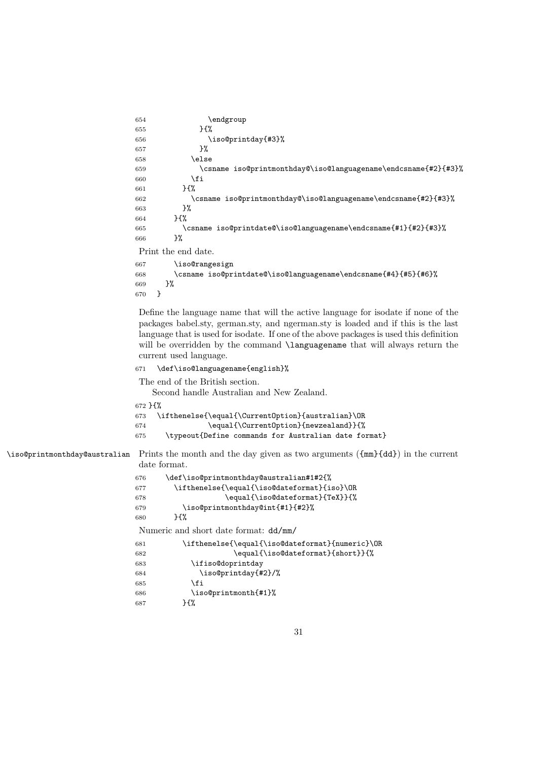```
654 \endgroup
655 }{%
656 \iso@printday{#3}%
657 }%
658 \else
659 \csname iso@printmonthday@\iso@languagename\endcsname{#2}{#3}%
660 \quad \text{If}661 }{%
662 \csname iso@printmonthday@\iso@languagename\endcsname{#2}{#3}%<br>663 }%
663664 }{%
665 \csname iso@printdate@\iso@languagename\endcsname{#1}{#2}{#3}%
666 }%
Print the end date.
667 \iso@rangesign
668 \csname iso@printdate@\iso@languagename\endcsname{#4}{#5}{#6}%
669 }%
670 }
```
Define the language name that will the active language for isodate if none of the packages babel.sty, german.sty, and ngerman.sty is loaded and if this is the last language that is used for isodate. If one of the above packages is used this definition will be overridden by the command **\languagename** that will always return the current used language.

```
671 \def\iso@languagename{english}%
```
The end of the British section.

Second handle Australian and New Zealand.

}{%

```
673 \ifthenelse{\equal{\CurrentOption}{australian}\OR
674 \equal{\CurrentOption}{newzealand}}{%
675 \typeout{Define commands for Australian date format}
```
\iso@printmonthday@australian Prints the month and the day given as two arguments ({mm}{dd}) in the current date format.

| 676 | \def\iso@printmonthday@australian#1#2{%         |
|-----|-------------------------------------------------|
| 677 | \ifthenelse{\equal{\iso@dateformat}{iso}\OR     |
| 678 | \equal{\iso@dateformat}{TeX}}{%                 |
| 679 | \iso@printmonthday@int{#1}{#2}%                 |
| 680 | $H^{\prime\prime}$                              |
|     | Numeric and short date format: $dd/mm/$         |
| 681 | \ifthenelse{\equal{\iso@dateformat}{numeric}\OR |
| 682 | \equal{\iso@dateformat}{short}}{%               |
| 683 | \ifiso@doprintday                               |
| 684 | \iso@printday{#2}/%                             |
| 685 | \fi                                             |
| 686 | \iso@printmonth{#1}%                            |
| 687 | }{%                                             |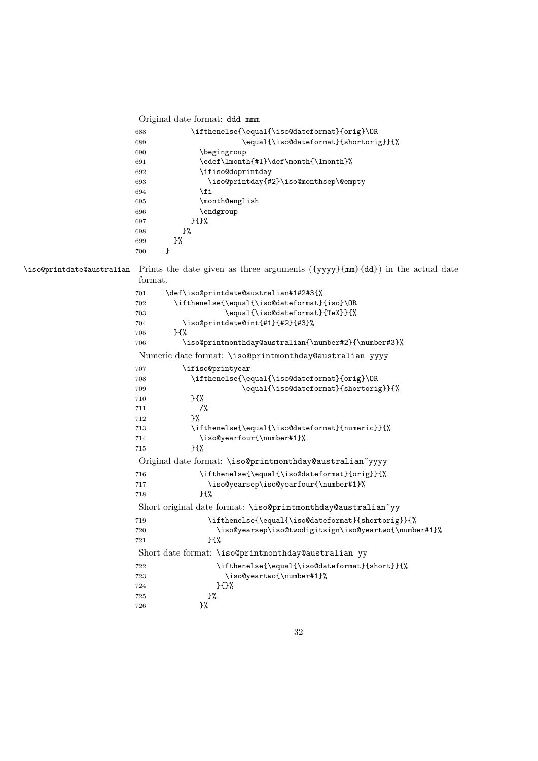Original date format: ddd mmm

| 688 | \ifthenelse{\equal{\iso@dateformat}{orig}\OR |
|-----|----------------------------------------------|
| 689 | \equal{\iso@dateformat}{shortorig}}{%        |
| 690 | \begingroup                                  |
| 691 | \edef\lmonth{#1}\def\month{\lmonth}%         |
| 692 | \ifiso@doprintday                            |
| 693 | \iso@printday{#2}\iso@monthsep\@empty        |
| 694 | \fi                                          |
| 695 | \month@english                               |
| 696 | \endgroup                                    |
| 697 | $}$                                          |
| 698 | ጉ%                                           |
| 699 | }‰                                           |
| 700 |                                              |

\iso@printdate@australian Prints the date given as three arguments ({yyyy}{mm}{dd}) in the actual date format.

| 701 | \def\iso@printdate@australian#1#2#3{%                        |  |  |
|-----|--------------------------------------------------------------|--|--|
| 702 | \ifthenelse{\equal{\iso@dateformat}{iso}\OR                  |  |  |
| 703 | \equal{\iso@dateformat}{TeX}}{%                              |  |  |
| 704 | \iso@printdate@int{#1}{#2}{#3}%                              |  |  |
| 705 | $H^{\prime\prime}$                                           |  |  |
| 706 | \iso@printmonthday@australian{\number#2}{\number#3}%         |  |  |
|     | Numeric date format: \iso@printmonthday@australian yyyy      |  |  |
| 707 | \ifiso@printyear                                             |  |  |
| 708 | \ifthenelse{\equal{\iso@dateformat}{orig}\OR                 |  |  |
| 709 | \equal{\iso@dateformat}{shortorig}}{%                        |  |  |
| 710 | }{%                                                          |  |  |
| 711 | $/$ %                                                        |  |  |
| 712 | }%                                                           |  |  |
| 713 | \ifthenelse{\equal{\iso@dateformat}{numeric}}{%              |  |  |
| 714 | \iso@yearfour{\number#1}%                                    |  |  |
| 715 | 35%                                                          |  |  |
|     | Original date format: \iso@printmonthday@australian~yyyy     |  |  |
| 716 | \ifthenelse{\equal{\iso@dateformat}{orig}}{%                 |  |  |
| 717 | \iso@yearsep\iso@yearfour{\number#1}%                        |  |  |
| 718 | H%                                                           |  |  |
|     | Short original date format: \iso@printmonthday@australian~yy |  |  |
| 719 | \ifthenelse{\equal{\iso@dateformat}{shortorig}}{%            |  |  |
| 720 | \iso@yearsep\iso@twodigitsign\iso@yeartwo{\number#1}%        |  |  |
| 721 | }{%                                                          |  |  |
|     | Short date format: \iso@printmonthday@australian yy          |  |  |
| 722 | \ifthenelse{\equal{\iso@dateformat}{short}}{%                |  |  |
| 723 | \iso@yeartwo{\number#1}%                                     |  |  |
| 724 | $}$                                                          |  |  |
| 725 | }%                                                           |  |  |
| 726 | }‰                                                           |  |  |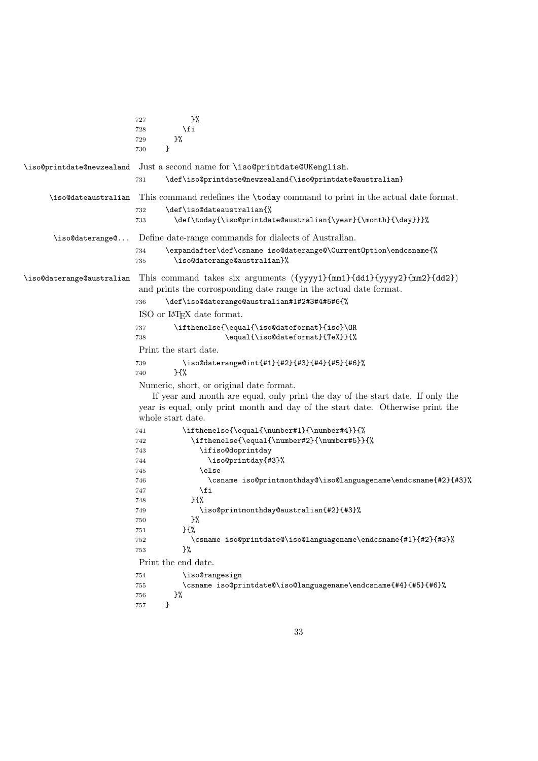|                           | }%<br>727                                                                                                                                   |
|---------------------------|---------------------------------------------------------------------------------------------------------------------------------------------|
|                           | \fi<br>728                                                                                                                                  |
|                           | }%<br>729                                                                                                                                   |
|                           | }<br>730                                                                                                                                    |
| \iso@printdate@newzealand | Just a second name for \iso@printdate@UKenglish.                                                                                            |
|                           | \def\iso@printdate@newzealand{\iso@printdate@australian}<br>731                                                                             |
| \iso@dateaustralian       | This command redefines the \today command to print in the actual date format.                                                               |
|                           | \def\iso@dateaustralian{%<br>732                                                                                                            |
|                           | \def\today{\iso@printdate@australian{\year}{\month}{\day}}}%<br>733                                                                         |
| \iso@daterange@           | Define date-range commands for dialects of Australian.                                                                                      |
|                           | \expandafter\def\csname iso@daterange@\CurrentOption\endcsname{%<br>734<br>\iso@daterange@australian}%<br>735                               |
| \iso@daterange@australian | This command takes six arguments ({yyyy1}{mm1}{dd1}{yyyy2}{mm2}{dd2})<br>and prints the corrosponding date range in the actual date format. |
|                           | \def\iso@daterange@australian#1#2#3#4#5#6{%<br>736                                                                                          |
|                           | ISO or IT <sub>F</sub> X date format.                                                                                                       |
|                           | \ifthenelse{\equal{\iso@dateformat}{iso}\OR<br>737                                                                                          |
|                           | \equal{\iso@dateformat}{TeX}}{%<br>738                                                                                                      |
|                           | Print the start date.                                                                                                                       |
|                           | \iso@daterange@int{#1}{#2}{#3}{#4}{#5}{#6}%<br>739<br>H<br>740                                                                              |
|                           | Numeric, short, or original date format.                                                                                                    |
|                           | If year and month are equal, only print the day of the start date. If only the                                                              |
|                           | year is equal, only print month and day of the start date. Otherwise print the                                                              |
|                           | whole start date.                                                                                                                           |
|                           | \ifthenelse{\equal{\number#1}{\number#4}}{%<br>741                                                                                          |
|                           | \ifthenelse{\equal{\number#2}{\number#5}}{%<br>742                                                                                          |
|                           | \ifiso@doprintday<br>743                                                                                                                    |
|                           | \iso@printday{#3}%<br>744                                                                                                                   |
|                           | \else<br>745                                                                                                                                |
|                           | \csname iso@printmonthday@\iso@languagename\endcsname{#2}{#3}%<br>746                                                                       |
|                           | \fi<br>747                                                                                                                                  |
|                           | H%<br>748                                                                                                                                   |
|                           | \iso@printmonthday@australian{#2}{#3}%<br>749                                                                                               |
|                           | }‰<br>750                                                                                                                                   |
|                           | $}$<br>751                                                                                                                                  |
|                           | \csname iso@printdate@\iso@languagename\endcsname{#1}{#2}{#3}%<br>752<br>}%                                                                 |
|                           | 753                                                                                                                                         |
|                           | Print the end date.                                                                                                                         |
|                           | \iso@rangesign<br>754                                                                                                                       |
|                           | \csname iso@printdate@\iso@languagename\endcsname{#4}{#5}{#6}%<br>755                                                                       |
|                           | }%<br>756<br>}<br>757                                                                                                                       |
|                           |                                                                                                                                             |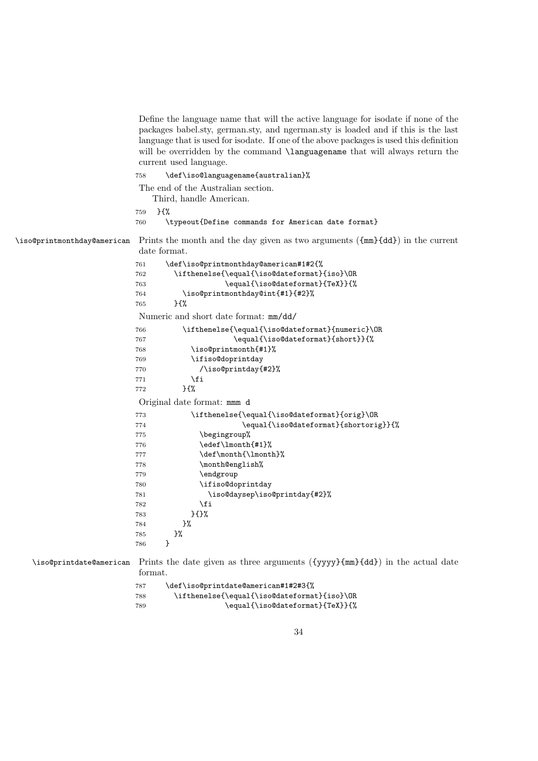Define the language name that will the active language for isodate if none of the packages babel.sty, german.sty, and ngerman.sty is loaded and if this is the last language that is used for isodate. If one of the above packages is used this definition will be overridden by the command **\languagename** that will always return the current used language.

```
758 \def\iso@languagename{australian}%
```
The end of the Australian section.

Third, handle American.

```
759 }{%
```
760 \typeout{Define commands for American date format}

\iso@printmonthday@american Prints the month and the day given as two arguments ({mm}{dd}) in the current date format.

```
761 \def\iso@printmonthday@american#1#2{%
762 \ifthenelse{\equal{\iso@dateformat}{iso}\OR
763 \equal{\iso@dateformat}{TeX}}{%
764 \iso@printmonthday@int{#1}{#2}%
765 }{%
Numeric and short date format: mm/dd/
766 \ifthenelse{\equal{\iso@dateformat}{numeric}\OR
767 \equal{\iso@dateformat}{short}}{%
768 \iso@printmonth{#1}%
769 \ifiso@doprintday
770 /\iso@printday{#2}%
771 \fi
772 }{%
Original date format: mmm d
773 \ifthenelse{\equal{\iso@dateformat}{orig}\OR
774 \equal{\iso@dateformat}{shortorig}}{%
775 \begingroup%
776 \edef\lmonth{#1}%
777 \def\month{\lmonth}%
778 \month@english%
779 \endgroup
780 \ifiso@doprintday
781 \iso@daysep\iso@printday{#2}%
782 \qquad \qquad \text{if}783 }{}%
784 }%
785 }%
786 }
```
\iso@printdate@american Prints the date given as three arguments ({yyyy}{mm}{dd}) in the actual date format.

| 787 | \def\iso@printdate@american#1#2#3{%         |
|-----|---------------------------------------------|
| 788 | \ifthenelse{\equal{\iso@dateformat}{iso}\OR |
| 789 | \equal{\iso@dateformat}{TeX}}{%             |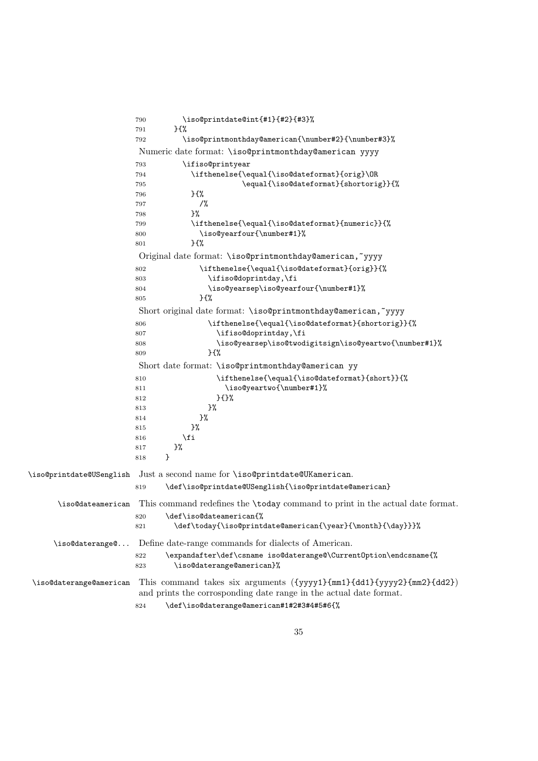|                          | 790                                               | \iso@printdate@int{#1}{#2}{#3}%<br>$H^{\prime}$                                                                                             |  |
|--------------------------|---------------------------------------------------|---------------------------------------------------------------------------------------------------------------------------------------------|--|
|                          | 791<br>792                                        | \iso@printmonthday@american{\number#2}{\number#3}%                                                                                          |  |
|                          |                                                   |                                                                                                                                             |  |
|                          |                                                   | Numeric date format: \iso@printmonthday@american yyyy                                                                                       |  |
|                          | 793                                               | \ifiso@printyear                                                                                                                            |  |
|                          | 794<br>795                                        | \ifthenelse{\equal{\iso@dateformat}{orig}\OR<br>\equal{\iso@dateformat}{shortorig}}{%                                                       |  |
|                          | 796                                               | }{%                                                                                                                                         |  |
|                          | 797                                               | $/$ %                                                                                                                                       |  |
|                          | 798                                               | }‰                                                                                                                                          |  |
|                          | 799                                               | \ifthenelse{\equal{\iso@dateformat}{numeric}}{%                                                                                             |  |
|                          | 800                                               | \iso@yearfour{\number#1}%                                                                                                                   |  |
|                          | 801                                               | }{%                                                                                                                                         |  |
|                          |                                                   | Original date format: \iso@printmonthday@american,~yyyy                                                                                     |  |
|                          | 802                                               | \ifthenelse{\equal{\iso@dateformat}{orig}}{%                                                                                                |  |
|                          | 803                                               | \ifiso@doprintday,\fi                                                                                                                       |  |
|                          | 804                                               | \iso@yearsep\iso@yearfour{\number#1}%                                                                                                       |  |
|                          | 805                                               | }{%                                                                                                                                         |  |
|                          |                                                   | Short original date format: \iso@printmonthday@american,~yyyy                                                                               |  |
|                          | 806                                               | \ifthenelse{\equal{\iso@dateformat}{shortorig}}{%                                                                                           |  |
|                          | 807                                               | \ifiso@doprintday,\fi                                                                                                                       |  |
|                          | 808                                               | \iso@yearsep\iso@twodigitsign\iso@yeartwo{\number#1}%                                                                                       |  |
|                          | 809                                               | }{%                                                                                                                                         |  |
|                          | Short date format: \iso@printmonthday@american yy |                                                                                                                                             |  |
|                          | 810                                               | \ifthenelse{\equal{\iso@dateformat}{short}}{%                                                                                               |  |
|                          | 811                                               | \iso@yeartwo{\number#1}%                                                                                                                    |  |
|                          | 812                                               | $}$                                                                                                                                         |  |
|                          | 813                                               | }%                                                                                                                                          |  |
|                          | 814                                               | }%                                                                                                                                          |  |
|                          | 815                                               | }%<br>\fi                                                                                                                                   |  |
|                          | 816<br>817                                        | }%                                                                                                                                          |  |
|                          | 818                                               | }                                                                                                                                           |  |
|                          |                                                   |                                                                                                                                             |  |
| \iso@printdate@USenglish |                                                   | Just a second name for \iso@printdate@UKamerican.                                                                                           |  |
|                          | 819                                               | \def\iso@printdate@USenglish{\iso@printdate@american}                                                                                       |  |
| \iso@dateamerican        |                                                   | This command redefines the \today command to print in the actual date format.                                                               |  |
|                          | 820                                               | \def\iso@dateamerican{%                                                                                                                     |  |
|                          | 821                                               | \def\today{\iso@printdate@american{\year}{\month}{\day}}}%                                                                                  |  |
| \iso@daterange@          |                                                   | Define date-range commands for dialects of American.                                                                                        |  |
|                          | 822                                               | \expandafter\def\csname iso@daterange@\CurrentOption\endcsname{%                                                                            |  |
|                          | 823                                               | \iso@daterange@american}%                                                                                                                   |  |
| \iso@daterange@american  |                                                   | This command takes six arguments ({yyyy1}{mm1}{dd1}{yyyy2}{mm2}{dd2})<br>and prints the corrosponding date range in the actual date format. |  |
|                          | 824                                               | \def\iso@daterange@american#1#2#3#4#5#6{%                                                                                                   |  |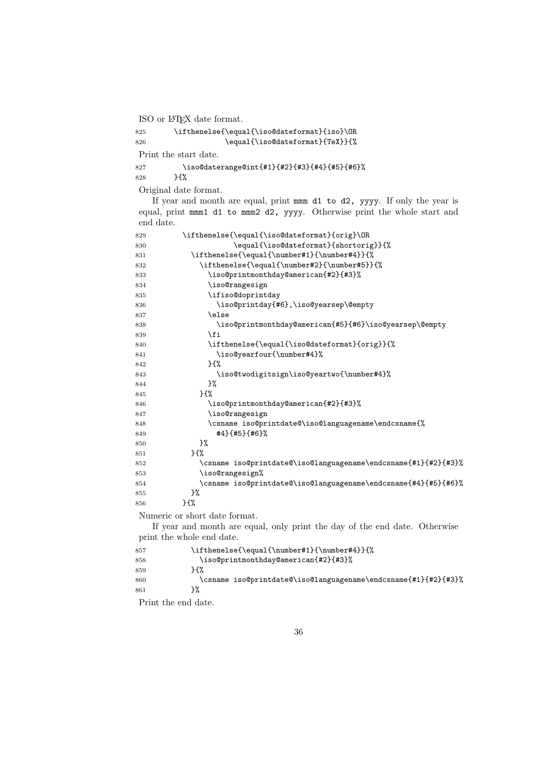ISO or LATEX date format.

 \ifthenelse{\equal{\iso@dateformat}{iso}\OR 826 \equal{\iso@dateformat}{TeX}}{%

Print the start date.

 \iso@daterange@int{#1}{#2}{#3}{#4}{#5}{#6}% }{%

Original date format.

If year and month are equal, print mmm d1 to d2, yyyy. If only the year is equal, print mmm1 d1 to mmm2 d2, yyyy. Otherwise print the whole start and end date.

| 829 | \ifthenelse{\equal{\iso@dateformat}{orig}\OR                               |  |  |
|-----|----------------------------------------------------------------------------|--|--|
| 830 | \equal{\iso@dateformat}{shortorig}}{%                                      |  |  |
| 831 | \ifthenelse{\equal{\number#1}{\number#4}}{%                                |  |  |
| 832 | \ifthenelse{\equal{\number#2}{\number#5}}{%                                |  |  |
| 833 | \iso@printmonthday@american{#2}{#3}%                                       |  |  |
| 834 | \iso@rangesign                                                             |  |  |
| 835 | \ifiso@doprintday                                                          |  |  |
| 836 | \iso@printday{#6},\iso@yearsep\@empty                                      |  |  |
| 837 | \else                                                                      |  |  |
| 838 | \iso@printmonthday@american{#5}{#6}\iso@yearsep\@empty                     |  |  |
| 839 | \fi                                                                        |  |  |
| 840 | \ifthenelse{\equal{\iso@dateformat}{orig}}{%                               |  |  |
| 841 | \iso@yearfour{\number#4}%                                                  |  |  |
| 842 | ን የአ                                                                       |  |  |
| 843 | \iso@twodigitsign\iso@yeartwo{\number#4}%                                  |  |  |
| 844 | }‰                                                                         |  |  |
| 845 | $H^{\prime\prime}$                                                         |  |  |
| 846 | \iso@printmonthday@american{#2}{#3}%                                       |  |  |
| 847 | \iso@rangesign                                                             |  |  |
| 848 | \csname iso@printdate@\iso@languagename\endcsname{%                        |  |  |
| 849 | #4}{#5}{#6}%                                                               |  |  |
| 850 | }%                                                                         |  |  |
| 851 | ን የአ                                                                       |  |  |
| 852 | \csname iso@printdate@\iso@languagename\endcsname{#1}{#2}{#3}%             |  |  |
| 853 | \iso@rangesign%                                                            |  |  |
| 854 | \csname iso@printdate@\iso@languagename\endcsname{#4}{#5}{#6}%             |  |  |
| 855 | }‰                                                                         |  |  |
| 856 | }{%                                                                        |  |  |
|     | Numeric or short date format.                                              |  |  |
|     | If year and month are equal, only print the day of the end date. Otherwise |  |  |
|     |                                                                            |  |  |

print the whole end date.  $\ifthenelse{\eq{\\number#1}{\number#4}}{\%$  \iso@printmonthday@american{#2}{#3}% }{% 860 \csname iso@printdate@\iso@languagename\endcsname{#1}{#2}{#3}%<br>861 }% 

Print the end date.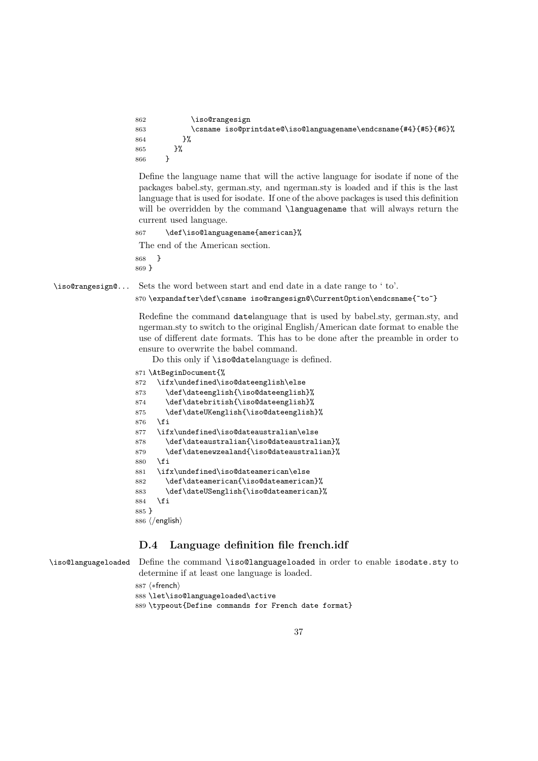```
862 \iso@rangesign
863 \csname iso@printdate@\iso@languagename\endcsname{#4}{#5}{#6}%
864 }%
865 }%
866 }
```
Define the language name that will the active language for isodate if none of the packages babel.sty, german.sty, and ngerman.sty is loaded and if this is the last language that is used for isodate. If one of the above packages is used this definition will be overridden by the command **\languagename** that will always return the current used language.

```
867 \def\iso@languagename{american}%
The end of the American section.
```
868 } 869 }

\iso@rangesign@... Sets the word between start and end date in a date range to ' to'.

870 \expandafter\def\csname iso@rangesign@\CurrentOption\endcsname{~to~}

Redefine the command datelanguage that is used by babel.sty, german.sty, and ngerman.sty to switch to the original English/American date format to enable the use of different date formats. This has to be done after the preamble in order to ensure to overwrite the babel command.

Do this only if \iso@datelanguage is defined.

```
871 \AtBeginDocument{%
872 \ifx\undefined\iso@dateenglish\else
873 \def\dateenglish{\iso@dateenglish}%
874 \def\datebritish{\iso@dateenglish}%
875 \def\dateUKenglish{\iso@dateenglish}%
876 \fi
877 \ifx\undefined\iso@dateaustralian\else
878 \def\dateaustralian{\iso@dateaustralian}%
879 \def\datenewzealand{\iso@dateaustralian}%
880 \fi
881 \ifx\undefined\iso@dateamerican\else
882 \def\dateamerican{\iso@dateamerican}%
883 \def\dateUSenglish{\iso@dateamerican}%
884 \fi
885 }
886 \langle/english\rangle
```
### D.4 Language definition file french.idf

\iso@languageloaded Define the command \iso@languageloaded in order to enable isodate.sty to determine if at least one language is loaded.

887 (\*french)

888 \let\iso@languageloaded\active

889 \typeout{Define commands for French date format}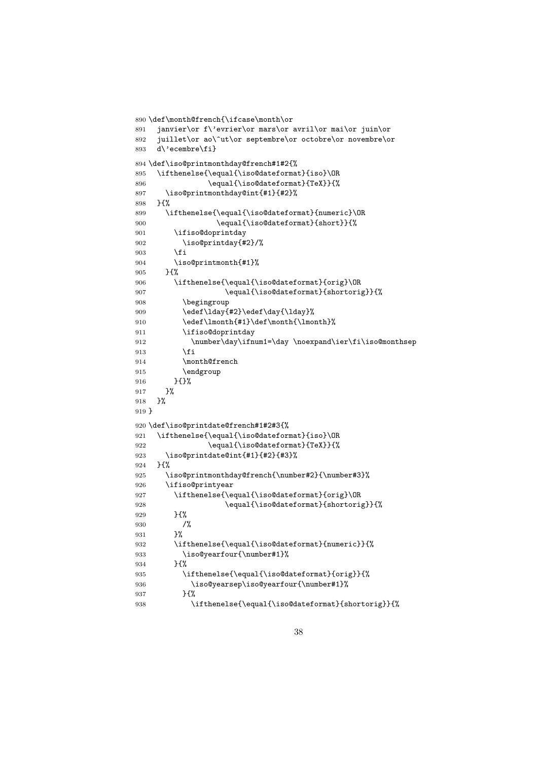```
890 \def\month@french{\ifcase\month\or
891 janvier\or f\'evrier\or mars\or avril\or mai\or juin\or
892 juillet\or ao\^ut\or septembre\or octobre\or novembre\or
893 d\'ecembre\fi}
894 \def\iso@printmonthday@french#1#2{%
895 \ifthenelse{\equal{\iso@dateformat}{iso}\OR
896 \equal{\iso@dateformat}{TeX}}{%
897 \iso@printmonthday@int{#1}{#2}%
898 }{%
899 \ifthenelse{\equal{\iso@dateformat}{numeric}\OR
900 \equal{\iso@dateformat}{short}}{%
901 \ifiso@doprintday
902 \iso@printday{#2}/%
903 \fi
904 \iso@printmonth{#1}%
905 }{%
906 \ifthenelse{\equal{\iso@dateformat}{orig}\OR
907 \equal{\iso@dateformat}{shortorig}}{%
908 \begingroup
909 \edef\lday{#2}\edef\day{\lday}%
910 \edef\lmonth{#1}\def\month{\lmonth}911 \ifiso@doprintday
912 \number\day\ifnum1=\day \noexpand\ier\fi\iso@monthsep
913 \qquad \qquad \int fi
914 \month@french
915 \endgroup
916 }{}%
917 }%
918 }%
919 }
920 \def\iso@printdate@french#1#2#3{%
921 \ifthenelse{\equal{\iso@dateformat}{iso}\OR
922 \equal{\iso@dateformat}{TeX}}{%
923 \iso@printdate@int{#1}{#2}{#3}%
924 }{%
925 \iso@printmonthday@french{\number#2}{\number#3}%
926 \ifiso@printyear
927 \ifthenelse{\equal{\iso@dateformat}{orig}\OR
928 \equal{\iso@dateformat}{shortorig}}{%
929 }{%
930 /%
931 }%
932 \ifthenelse{\equal{\iso@dateformat}{numeric}}{%
933 \iso@yearfour{\number#1}%
934 }{%
935 \ifthenelse{\equal{\iso@dateformat}{orig}}{%
936 \iso@yearsep\iso@yearfour{\number#1}%
937 }{%
938 \ifthenelse{\equal{\iso@dateformat}{shortorig}}{%
```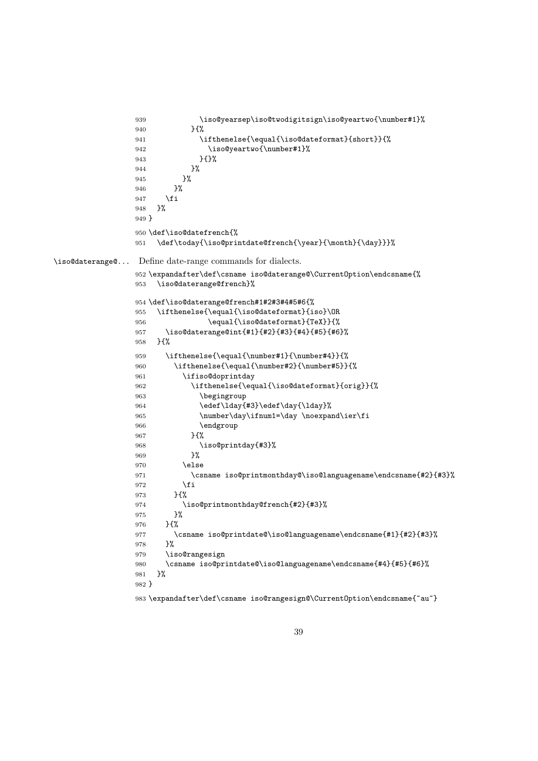```
939 \iso@yearsep\iso@twodigitsign\iso@yeartwo{\number#1}%
                940 }{%
                941 \ifthenelse{\equal{\iso@dateformat}{short}}{%
                942 \iso@yeartwo{\number#1}%
                943 }{}%
                944 }%
                945 }%
                946 }%
                947 \fi
                948 }%
                949 }
                950 \def\iso@datefrench{%
                951 \def\today{\iso@printdate@french{\year}{\month}{\day}}}%
\iso@daterange@... Define date-range commands for dialects.
                952 \expandafter\def\csname iso@daterange@\CurrentOption\endcsname{%
                953 \iso@daterange@french}%
                954 \def\iso@daterange@french#1#2#3#4#5#6{%
                955 \ifthenelse{\equal{\iso@dateformat}{iso}\OR
                956 \equal{\iso@dateformat}{TeX}}{%
                957 \iso@daterange@int{#1}{#2}{#3}{#4}{#5}{#6}%
                958 }{%
                959 \ifthenelse{\equal{\number#1}{\number#4}}{%
                960 \ifthenelse{\equal{\number#2}{\number#5}}{%
                961 \ifiso@doprintday
                962 \ifthenelse{\equal{\iso@dateformat}{orig}}{%
                963 \begingroup
                964 \edef\ld{#3}\edef\day{\day{\ld{y}\}\965 \number\day\ifnum1=\day \noexpand\ier\fi
                966 \endgroup
                967 }{%
                968 \iso@printday{#3}%
                969 }%
                970 \else
                971 \csname iso@printmonthday@\iso@languagename\endcsname{#2}{#3}%
                972 \fi
                973 }{%
                974 \iso@printmonthday@french{#2}{#3}%
                975 }%
                976 }{%
                977 \csname iso@printdate@\iso@languagename\endcsname{#1}{#2}{#3}%
                978 }%
                979 \iso@rangesign
                980 \csname iso@printdate@\iso@languagename\endcsname{#4}{#5}{#6}%
                981 }%
                982 }
                983 \expandafter\def\csname iso@rangesign@\CurrentOption\endcsname{~au~}
```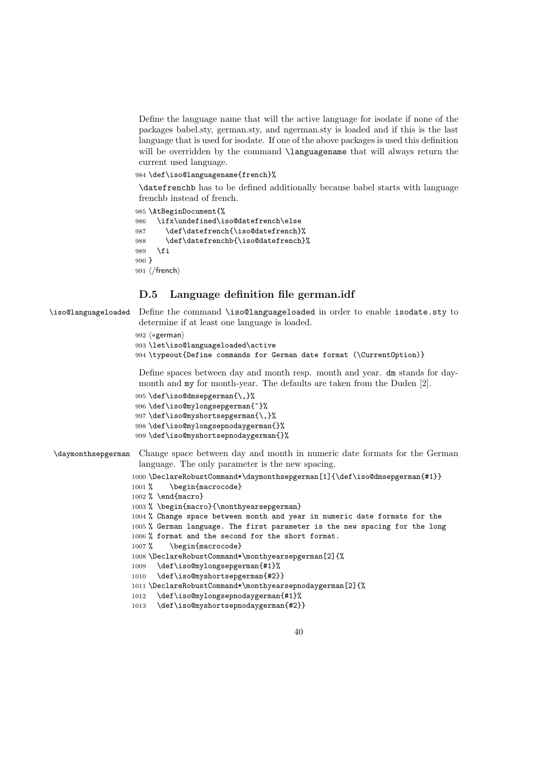Define the language name that will the active language for isodate if none of the packages babel.sty, german.sty, and ngerman.sty is loaded and if this is the last language that is used for isodate. If one of the above packages is used this definition will be overridden by the command **\languagename** that will always return the current used language.

984 \def\iso@languagename{french}%

\datefrenchb has to be defined additionally because babel starts with language frenchb instead of french.

985 \AtBeginDocument{%

```
986 \ifx\undefined\iso@datefrench\else
987 \def\datefrench{\iso@datefrench}%
988 \def\datefrenchb{\iso@datefrench}%
989 \fi
990 }
991 \langle /french)
```
### D.5 Language definition file german.idf

\iso@languageloaded Define the command \iso@languageloaded in order to enable isodate.sty to determine if at least one language is loaded.

```
992 (*german)
```

```
993 \let\iso@languageloaded\active
```
994 \typeout{Define commands for German date format (\CurrentOption)}

Define spaces between day and month resp. month and year. dm stands for daymonth and my for month-year. The defaults are taken from the Duden [2].

```
995 \def\iso@dmsepgerman{\,}%
```

```
996 \def\iso@mylongsepgerman{~}%
```

```
997 \def\iso@myshortsepgerman{\,}%
```

```
998 \def\iso@mylongsepnodaygerman{}%
999 \def\iso@myshortsepnodaygerman{}%
```
\daymonthsepgerman Change space between day and month in numeric date formats for the German language. The only parameter is the new spacing.

```
1000 \DeclareRobustCommand*\daymonthsepgerman[1]{\def\iso@dmsepgerman{#1}}
1001 % \begin{macrocode}
```

```
1002 % \end{macro}
```

```
1003 % \begin{macro}{\monthyearsepgerman}
```
- 1004 % Change space between month and year in numeric date formats for the
- 1005 % German language. The first parameter is the new spacing for the long

```
1006 % format and the second for the short format.
```
1007% \begin{macrocode}

```
1008 \DeclareRobustCommand*\monthyearsepgerman[2]{%
```

```
1009 \def\iso@mylongsepgerman{#1}%
```

```
1010 \def\iso@myshortsepgerman{#2}}
```

```
1011 \DeclareRobustCommand*\monthyearsepnodaygerman[2]{%
```

```
1012 \def\iso@mylongsepnodaygerman{#1}%
```

```
1013 \def\iso@myshortsepnodaygerman{#2}}
```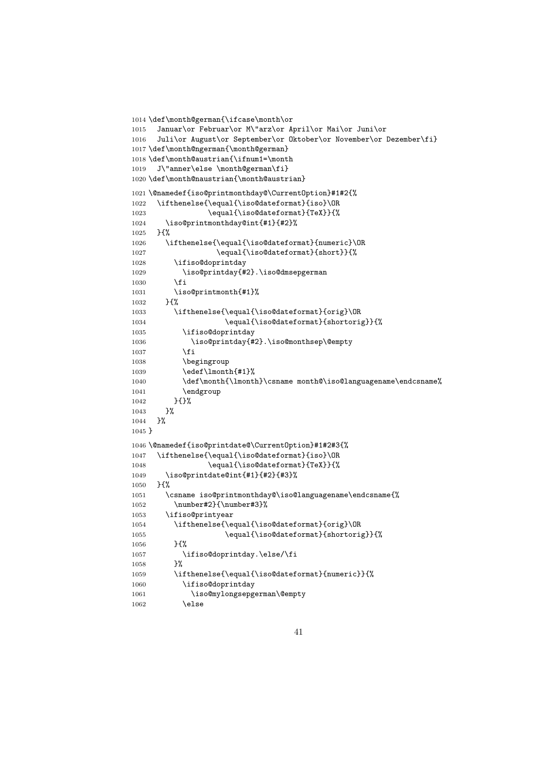```
1014 \def\month@german{\ifcase\month\or
1015 Januar\or Februar\or M\"arz\or April\or Mai\or Juni\or
1016 Juli\or August\or September\or Oktober\or November\or Dezember\fi}
1017 \def\month@ngerman{\month@german}
1018 \def\month@austrian{\ifnum1=\month
1019 J\"anner\else \month@german\fi}
1020 \def\month@naustrian{\month@austrian}
1021 \@namedef{iso@printmonthday@\CurrentOption}#1#2{%
1022 \ifthenelse{\equal{\iso@dateformat}{iso}\OR
1023 \equal{\iso@dateformat}{TeX}}{%
1024 \iso@printmonthday@int{#1}{#2}%
1025 }{%
1026 \ifthenelse{\equal{\iso@dateformat}{numeric}\OR
1027 \equal{\iso@dateformat}{short}}{%
1028 \ifiso@doprintday
1029 \iso@printday{#2}.\iso@dmsepgerman
1030 \fi
1031 \iso@printmonth{#1}%
1032 }{%
1033 \ifthenelse{\equal{\iso@dateformat}{orig}\OR
1034 \equal{\iso@dateformat}{shortorig}}{%
1035 \ifiso@doprintday
1036 \iso@printday{#2}.\iso@monthsep\@empty
1037 \fi
1038 \begingroup
1039 \edef\lmonth{#1}%
1040 \def\month{\lmonth}\csname month@\iso@languagename\endcsname%
1041 \endgroup
1042 }{}%
1043 }%
1044 }%
1045 }
1046 \@namedef{iso@printdate@\CurrentOption}#1#2#3{%
1047 \ifthenelse{\equal{\iso@dateformat}{iso}\OR
1048 \equal{\iso@dateformat}{TeX}}{%
1049 \iso@printdate@int{#1}{#2}{#3}%
1050 }{%
1051 \csname iso@printmonthday@\iso@languagename\endcsname{%
1052 \number#2}{\number#3}%
1053 \ifiso@printyear
1054 \ifthenelse{\equal{\iso@dateformat}{orig}\OR
1055 \equal{\iso@dateformat}{shortorig}}{%
1056 }{%
1057 \ifiso@doprintday.\else/\fi
1058 }%
1059 \ifthenelse{\equal{\iso@dateformat}{numeric}}{%
1060 \ifiso@doprintday
1061 \iso@mylongsepgerman\@empty
1062 \else
```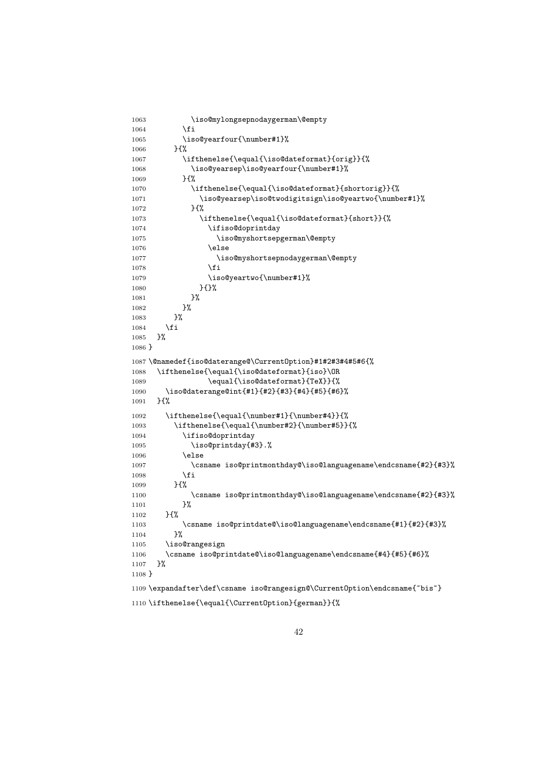```
1063 \iso@mylongsepnodaygerman\@empty
1064 \fi
1065 \iso@yearfour{\number#1}%
1066 }{%
1067 \ifthenelse{\equal{\iso@dateformat}{orig}}{%
1068 \iso@yearsep\iso@yearfour{\number#1}%
1069 }{%
1070 \ifthenelse{\equal{\iso@dateformat}{shortorig}}{%
1071 \iso@yearsep\iso@twodigitsign\iso@yeartwo{\number#1}%
1072 }{%
1073 \ifthenelse{\equal{\iso@dateformat}{short}}{%
1074 \ifiso@doprintday
1075 \iso@myshortsepgerman\@empty
1076 \else
1077 \iso@myshortsepnodaygerman\@empty
1078 \fi
1079 \iso@yeartwo{\number#1}%
1080 } {}
1081 }%
1082 }%
1083    }%
1084 \fi<br>1085 }%
1085
1086 }
1087 \@namedef{iso@daterange@\CurrentOption}#1#2#3#4#5#6{%
1088 \ifthenelse{\equal{\iso@dateformat}{iso}\OR
1089 \equal{\iso@dateformat}{TeX}}{%
1090 \iso@daterange@int{#1}{#2}{#3}{#4}{#5}{#6}%
1091 }{%
1092 \ifthenelse{\equal{\number#1}{\number#4}}{%
1093 \ifthenelse{\equal{\number#2}{\number#5}}{%
1094 \ifiso@doprintday
1095 \iso@printday{#3}.%
1096 \else
1097 \csname iso@printmonthday@\iso@languagename\endcsname{#2}{#3}%
1098 \fi
1099 }{%
1100 \csname iso@printmonthday@\iso@languagename\endcsname{#2}{#3}%
1101 }%
1102 }{%
1103 \csname iso@printdate@\iso@languagename\endcsname{#1}{#2}{#3}%<br>1104 }%
1104
1105 \iso@rangesign
1106 \csname iso@printdate@\iso@languagename\endcsname{#4}{#5}{#6}%
1107 }%
1108 }
1109 \expandafter\def\csname iso@rangesign@\CurrentOption\endcsname{~bis~}
```

```
1110 \ifthenelse{\equal{\CurrentOption}{german}}{%
```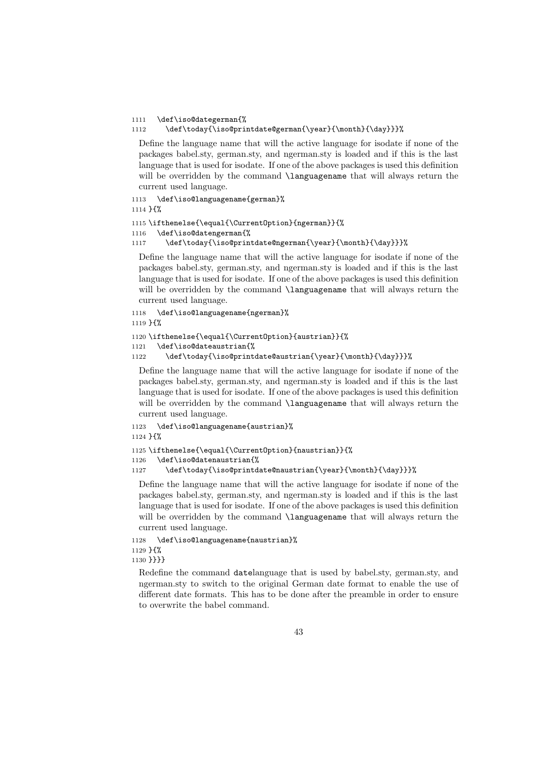#### 1111 \def\iso@dategerman{%

#### 1112 \def\today{\iso@printdate@german{\year}{\month}{\day}}}%

Define the language name that will the active language for isodate if none of the packages babel.sty, german.sty, and ngerman.sty is loaded and if this is the last language that is used for isodate. If one of the above packages is used this definition will be overridden by the command **\languagename** that will always return the current used language.

```
1113 \def\iso@languagename{german}%
```
1114 }{%

```
1115 \ifthenelse{\equal{\CurrentOption}{ngerman}}{%
```

```
1116 \def\iso@datengerman{%
```
1117 \def\today{\iso@printdate@ngerman{\year}{\month}{\day}}}%

Define the language name that will the active language for isodate if none of the packages babel.sty, german.sty, and ngerman.sty is loaded and if this is the last language that is used for isodate. If one of the above packages is used this definition will be overridden by the command **\languagename** that will always return the current used language.

```
1118 \def\iso@languagename{ngerman}%
1119 }{%
1120 \ifthenelse{\equal{\CurrentOption}{austrian}}{%
```

```
1121 \def\iso@dateaustrian{%
```
1122 \def\today{\iso@printdate@austrian{\year}{\month}{\day}}}%

Define the language name that will the active language for isodate if none of the packages babel.sty, german.sty, and ngerman.sty is loaded and if this is the last language that is used for isodate. If one of the above packages is used this definition will be overridden by the command **\languagename** that will always return the current used language.

```
1123 \def\iso@languagename{austrian}%
1124 }{%
```

```
1125 \ifthenelse{\equal{\CurrentOption}{naustrian}}{%
1126 \def\iso@datenaustrian{%
1127 \def\today{\iso@printdate@naustrian{\year}{\month}{\day}}}%
```
Define the language name that will the active language for isodate if none of the packages babel.sty, german.sty, and ngerman.sty is loaded and if this is the last language that is used for isodate. If one of the above packages is used this definition will be overridden by the command **\languagename** that will always return the current used language.

```
1128 \def\iso@languagename{naustrian}%
1129 }{%
1130 }}}}
```
Redefine the command datelanguage that is used by babel.sty, german.sty, and ngerman.sty to switch to the original German date format to enable the use of different date formats. This has to be done after the preamble in order to ensure to overwrite the babel command.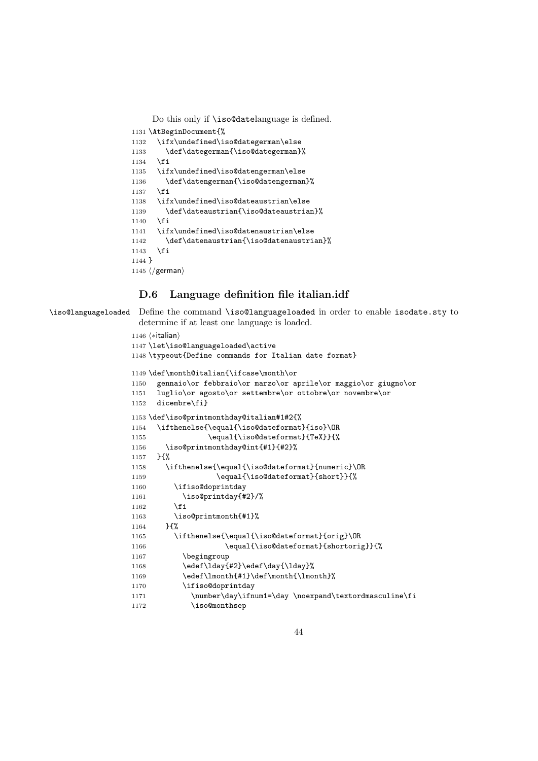Do this only if \iso@datelanguage is defined.

```
1131 \AtBeginDocument{%
```

```
1132 \ifx\undefined\iso@dategerman\else
1133 \def\dategerman{\iso@dategerman}%
1134 \fi
1135 \ifx\undefined\iso@datengerman\else
1136 \def\datengerman{\iso@datengerman}%
1137 \fi
1138 \ifx\undefined\iso@dateaustrian\else
1139 \def\dateaustrian{\iso@dateaustrian}%
1140 \, \text{Vfi}1141 \ifx\undefined\iso@datenaustrian\else
1142 \def\datenaustrian{\iso@datenaustrian}%
1143 \fi
1144 }
1145 \langle/german\rangle
```
### D.6 Language definition file italian.idf

\iso@languageloaded Define the command \iso@languageloaded in order to enable isodate.sty to determine if at least one language is loaded.

```
1146 (*italian)
1147 \let\iso@languageloaded\active
1148 \typeout{Define commands for Italian date format}
1149 \def\month@italian{\ifcase\month\or
1150 gennaio\or febbraio\or marzo\or aprile\or maggio\or giugno\or
1151 luglio\or agosto\or settembre\or ottobre\or novembre\or
1152 dicembre\fi}
1153 \def\iso@printmonthday@italian#1#2{%
1154 \ifthenelse{\equal{\iso@dateformat}{iso}\OR
1155 \equal{\iso@dateformat}{TeX}}{%
1156 \iso@printmonthday@int{#1}{#2}%
1157 }{%
1158 \ifthenelse{\equal{\iso@dateformat}{numeric}\OR
1159 \equal{\iso@dateformat}{short}}{%
1160 \ifiso@doprintday
1161 \iso@printday{#2}/%
1162 \fi
1163 \iso@printmonth{#1}%
1164 }{%
1165 \ifthenelse{\equal{\iso@dateformat}{orig}\OR
1166 \equal{\iso@dateformat}{shortorig}}{%
1167 \begingroup
1168 \edef\lday{#2}\edef\day{\lday}%
1169 \edef\lmonth{#1}\def\month{\lmonth}%
1170 \ifiso@doprintday
1171 \number\day\ifnum1=\day \noexpand\textordmasculine\fi
1172 \iso@monthsep
```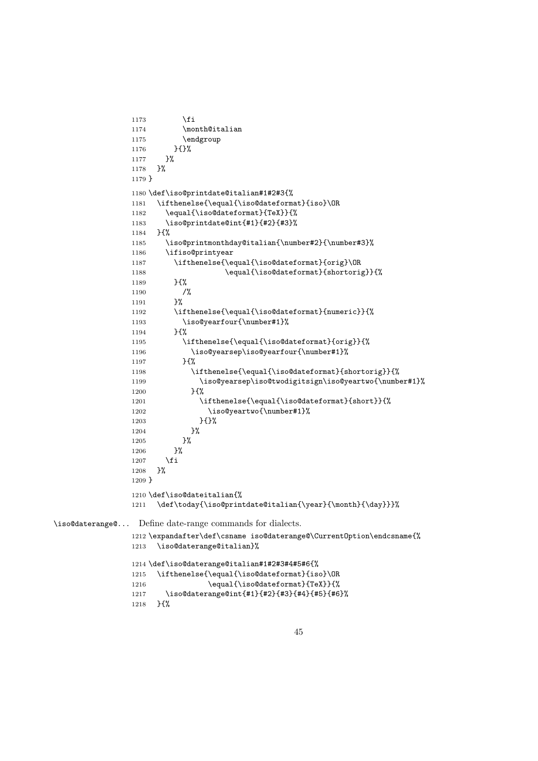```
1173 \overline{1173}1174 \month@italian
                1175 \endgroup
                1176 }{}%
                1177 }%
                1178 }%
                1179 }
                1180 \def\iso@printdate@italian#1#2#3{%
                1181 \ifthenelse{\equal{\iso@dateformat}{iso}\OR
                1182 \equal{\iso@dateformat}{TeX}}{%
                1183 \iso@printdate@int{#1}{#2}{#3}%
                1184 }{%
                1185 \iso@printmonthday@italian{\number#2}{\number#3}%
                1186 \ifiso@printyear
                1187 \ifthenelse{\equal{\iso@dateformat}{orig}\OR
                1188 \equal{\iso@dateformat}{shortorig}}{%
                1189 }{%
                1190 /%<br>1191 }%
                11911192 \ifthenelse{\equal{\iso@dateformat}{numeric}}{%
                1193 \iso@yearfour{\number#1}%
                1194 }{%
                1195 \ifthenelse{\equal{\iso@dateformat}{orig}}{%
                1196 \iso@yearsep\iso@yearfour{\number#1}%
                1197 }{%
                1198 \ifthenelse{\equal{\iso@dateformat}{shortorig}}{%
                1199 \iso@yearsep\iso@twodigitsign\iso@yeartwo{\number#1}%
                1200 } {%
                1201 \ifthenelse{\equal{\iso@dateformat}{short}}{%
                1202 \iso@yeartwo{\number#1}%
                1203 }{}',
                1204 }%
                1205 }%
                1206 }%
                1207 \fi
                1208 }%
                1209 }
                1210 \def\iso@dateitalian{%
                1211 \def\today{\iso@printdate@italian{\year}{\month}{\day}}}%
\iso@daterange@... Define date-range commands for dialects.
                1212 \expandafter\def\csname iso@daterange@\CurrentOption\endcsname{%
                1213 \iso@daterange@italian}%
                1214 \def\iso@daterange@italian#1#2#3#4#5#6{%
                1215 \ifthenelse{\equal{\iso@dateformat}{iso}\OR
                1216 \equal{\iso@dateformat}{TeX}}{%
                1217 \iso@daterange@int{#1}{#2}{#3}{#4}{#5}{#6}%
                1218 }{%
```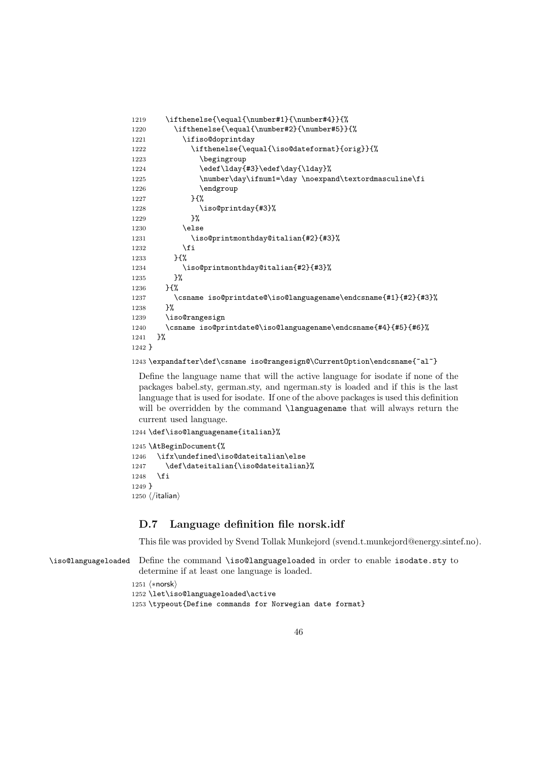```
1219 \ifthenelse{\equal{\number#1}{\number#4}}{%
1220 \ifthenelse{\equal{\number#2}{\number#5}}{%
1221 \ifiso@doprintday
1222 \ifthenelse{\equal{\iso@dateformat}{orig}}{%
1223 \begingroup
1224 \edef\lday{#3}\edef\day{\lday}%
1225 \number\day\ifnum1=\day \noexpand\textordmasculine\fi
1226 \endgroup
1227 } {%
1228 \iso@printday{#3}%
1229 }%
1230 \else
1231 \iso@printmonthday@italian{#2}{#3}%
1232 \overrightarrow{fi}1233 H%
1234 \iso@printmonthday@italian{#2}{#3}%
1235 }%
1236 75%1237 \csname iso@printdate@\iso@languagename\endcsname{#1}{#2}{#3}%
1238 }%
1239 \iso@rangesign
1240 \csname iso@printdate@\iso@languagename\endcsname{#4}{#5}{#6}%
1241 }%
1242 }
```
#### 1243 \expandafter\def\csname iso@rangesign@\CurrentOption\endcsname{~al~}

Define the language name that will the active language for isodate if none of the packages babel.sty, german.sty, and ngerman.sty is loaded and if this is the last language that is used for isodate. If one of the above packages is used this definition will be overridden by the command **\languagename** that will always return the current used language.

```
1244 \def\iso@languagename{italian}%
```

```
1245 \AtBeginDocument{%
1246 \ifx\undefined\iso@dateitalian\else
1247 \def\dateitalian{\iso@dateitalian}%
1248 \fi
1249 }
1250 \langle/italian\rangle
```
### D.7 Language definition file norsk.idf

This file was provided by Svend Tollak Munkejord (svend.t.munkejord@energy.sintef.no).

```
\iso@languageloaded Define the command \iso@languageloaded in order to enable isodate.sty to
                     determine if at least one language is loaded.
```

```
1251 (*norsk)
1252 \let\iso@languageloaded\active
1253 \typeout{Define commands for Norwegian date format}
```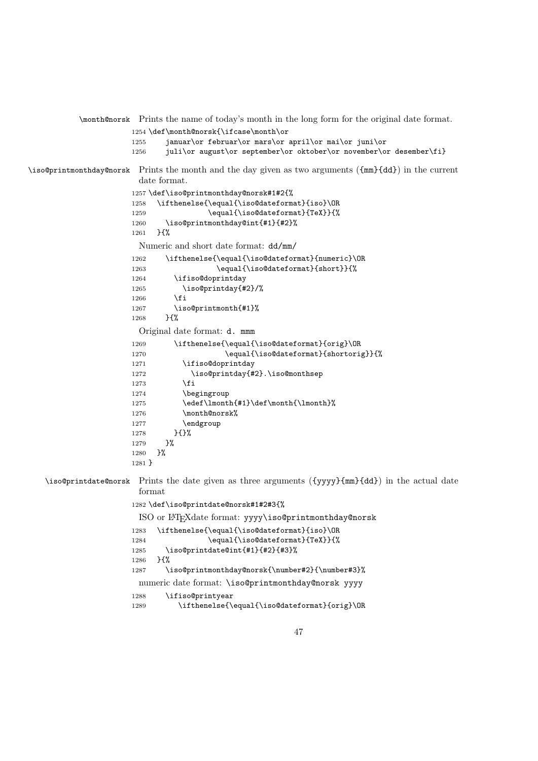\month@norsk Prints the name of today's month in the long form for the original date format. 1254 \def\month@norsk{\ifcase\month\or 1255 januar\or februar\or mars\or april\or mai\or juni\or 1256 juli\or august\or september\or oktober\or november\or desember\fi} \iso@printmonthday@norsk Prints the month and the day given as two arguments ({mm}{dd}) in the current date format. 1257 \def\iso@printmonthday@norsk#1#2{% 1258 \ifthenelse{\equal{\iso@dateformat}{iso}\OR 1259 \equal{\iso@dateformat}{TeX}}{% 1260 \iso@printmonthday@int{#1}{#2}% 1261 }{% Numeric and short date format: dd/mm/ 1262 \ifthenelse{\equal{\iso@dateformat}{numeric}\OR 1263 \equal{\iso@dateformat}{short}}{% 1264 \ifiso@doprintday 1265 \iso@printday{#2}/%  $1266$  \fi 1267 \iso@printmonth{#1}% 1268 }{% Original date format: d. mmm 1269 \ifthenelse{\equal{\iso@dateformat}{orig}\OR 1270 \equal{\iso@dateformat}{shortorig}}{% 1271 \ifiso@doprintday 1272 \iso@printday{#2}.\iso@monthsep 1273  $\ifmmode{\big\vert} \else{$  1273  $\fi$  \fi 1274 \begingroup 1275 \edef\lmonth{#1}\def\month{\lmonth}% 1276 \month@norsk% 1277 \endgroup 1278 }{}%  $1279$   $\frac{19}{2}$ 1280 }% 1281 } \iso@printdate@norsk Prints the date given as three arguments ({yyyy}{mm}{dd}) in the actual date format 1282 \def\iso@printdate@norsk#1#2#3{% ISO or LATEXdate format: yyyy\iso@printmonthday@norsk 1283 \ifthenelse{\equal{\iso@dateformat}{iso}\OR 1284 \equal{\iso@dateformat}{TeX}}{% 1285 \iso@printdate@int{#1}{#2}{#3}% 1286 }{% 1287 \iso@printmonthday@norsk{\number#2}{\number#3}% numeric date format: \iso@printmonthday@norsk yyyy 1288 \ifiso@printyear 1289 \ifthenelse{\equal{\iso@dateformat}{orig}\OR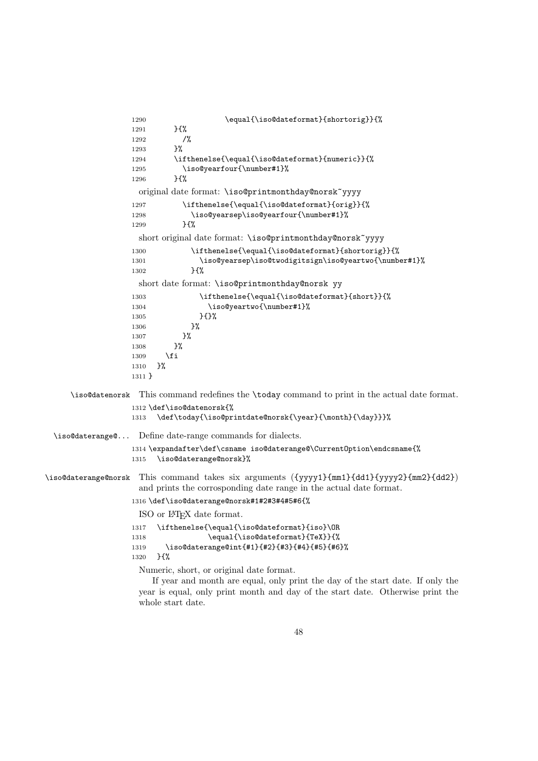```
1290 \equal{\iso@dateformat}{shortorig}}{%
                  1291 }{%
                  1292 /%
                  1293 }%
                  1294 \ifthenelse{\equal{\iso@dateformat}{numeric}}{%
                  1295 \iso@yearfour{\number#1}%
                  1296 }{%
                    original date format: \iso@printmonthday@norsk~yyyy
                  1297 \ifthenelse{\equal{\iso@dateformat}{orig}}{%
                  1298 \iso@yearsep\iso@yearfour{\number#1}%
                  1299 }{%
                    short original date format: \iso@printmonthday@norsk~yyyy
                  1300 \ifthenelse{\equal{\iso@dateformat}{shortorig}}{%
                  1301 \iso@yearsep\iso@twodigitsign\iso@yeartwo{\number#1}%
                  1302 }{%
                    short date format: \iso@printmonthday@norsk yy
                  1303 \ifthenelse{\equal{\iso@dateformat}{short}}{%
                  1304 \iso@yeartwo{\number#1}%
                  1305 }{}%
                  1306 }%
                  1307 }%
                  1308 }%
                  1309 \fi
                  1310 }%
                  1311 }
     \iso@datenorsk This command redefines the \today command to print in the actual date format.
                  1312 \def\iso@datenorsk{%
                  1313 \def\today{\iso@printdate@norsk{\year}{\month}{\day}}}%
 \iso@daterange@... Define date-range commands for dialects.
                  1314 \expandafter\def\csname iso@daterange@\CurrentOption\endcsname{%
                  1315 \iso@daterange@norsk}%
\iso@daterange@norsk This command takes six arguments ({yyyy1}{mm1}{dd1}{yyyy2}{mm2}{dd2})
                    and prints the corrosponding date range in the actual date format.
                  1316 \def\iso@daterange@norsk#1#2#3#4#5#6{%
                    ISO or LATEX date format.
                  1317 \ifthenelse{\equal{\iso@dateformat}{iso}\OR
                  1318 \equal{\iso@dateformat}{TeX}}{%
                  1319 \iso@daterange@int{#1}{#2}{#3}{#4}{#5}{#6}%
                  1320 }{%
                    Numeric, short, or original date format.
                       If year and month are equal, only print the day of the start date. If only the
                    year is equal, only print month and day of the start date. Otherwise print the
```
whole start date.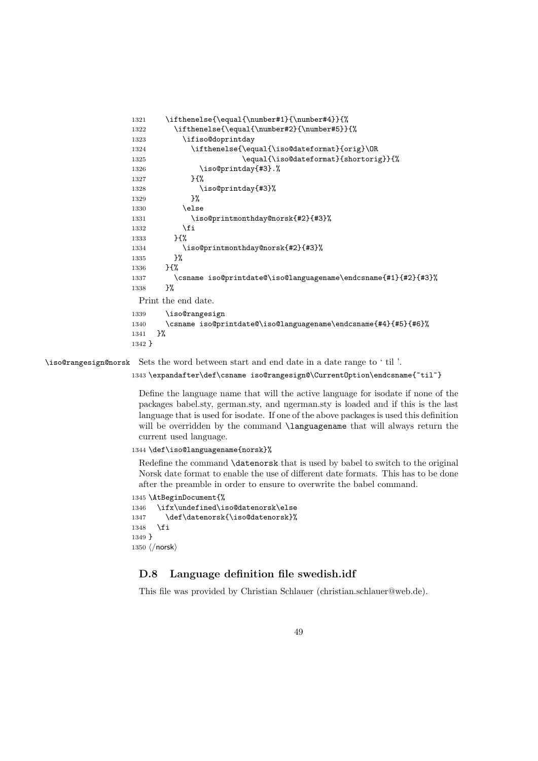```
1321 \ifthenelse{\equal{\number#1}{\number#4}}{%
1322 \ifthenelse{\equal{\number#2}{\number#5}}{%
1323 \ifiso@doprintday
1324 \ifthenelse{\equal{\iso@dateformat}{orig}\OR
1325 \equal{\iso@dateformat}{shortorig}}{%
1326 \iso@printday{#3}.%
1327 }{%
1328 \iso@printday{#3}%
1329 }%
1330 \else
1331 \iso@printmonthday@norsk{#2}{#3}%
1332 \fi
1333 }{%
1334 \iso@printmonthday@norsk{#2}{#3}%<br>1335 }%
1335
1336 }\{%
1337 \csname iso@printdate@\iso@languagename\endcsname{#1}{#2}{#3}%
1338 }%
 Print the end date.
1339 \iso@rangesign
1340 \csname iso@printdate@\iso@languagename\endcsname{#4}{#5}{#6}%
1341 }%
1342 }
```
\iso@rangesign@norsk Sets the word between start and end date in a date range to ' til '.

```
1343 \expandafter\def\csname iso@rangesign@\CurrentOption\endcsname{~til~}
```
Define the language name that will the active language for isodate if none of the packages babel.sty, german.sty, and ngerman.sty is loaded and if this is the last language that is used for isodate. If one of the above packages is used this definition will be overridden by the command **\languagename** that will always return the current used language.

1344 \def\iso@languagename{norsk}%

Redefine the command \datenorsk that is used by babel to switch to the original Norsk date format to enable the use of different date formats. This has to be done after the preamble in order to ensure to overwrite the babel command.

```
1345 \AtBeginDocument{%
1346 \ifx\undefined\iso@datenorsk\else
1347 \def\datenorsk{\iso@datenorsk}%
1348 \fi
1349 }
1350 \langle /norsk\rangle
```
### D.8 Language definition file swedish.idf

This file was provided by Christian Schlauer (christian.schlauer@web.de).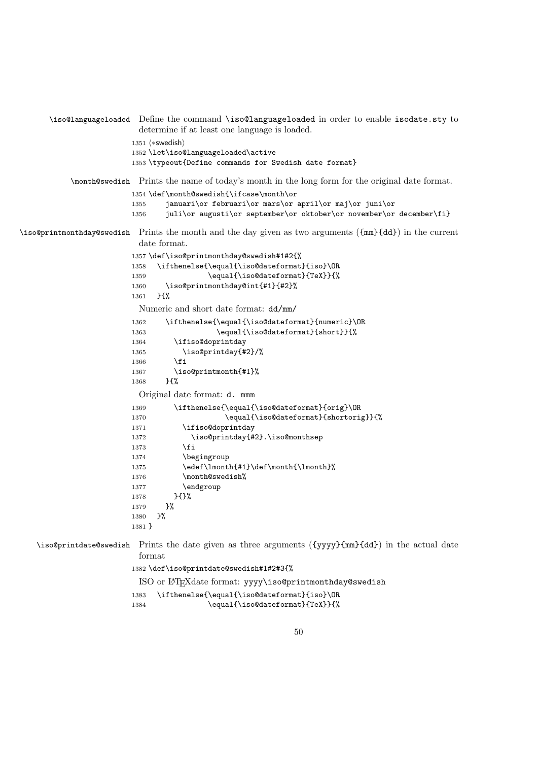```
\iso@languageloaded Define the command \iso@languageloaded in order to enable isodate.sty to
                         determine if at least one language is loaded.
                        1351 (*swedish)
                        1352 \let\iso@languageloaded\active
                        1353 \typeout{Define commands for Swedish date format}
           \month@swedish Prints the name of today's month in the long form for the original date format.
                        1354 \def\month@swedish{\ifcase\month\or
                        1355 januari\or februari\or mars\or april\or maj\or juni\or
                        1356 juli\or augusti\or september\or oktober\or november\or december\fi}
\iso@printmonthday@swedish Prints the month and the day given as two arguments ({mm}{dd}) in the current
                         date format.
                        1357 \def\iso@printmonthday@swedish#1#2{%
                        1358 \ifthenelse{\equal{\iso@dateformat}{iso}\OR
                        1359 \equal{\iso@dateformat}{TeX}}{%
                        1360 \iso@printmonthday@int{#1}{#2}%
                        1361 }{%
                         Numeric and short date format: dd/mm/
                        1362 \ifthenelse{\equal{\iso@dateformat}{numeric}\OR
                        1363 \equal{\iso@dateformat}{short}}{%
                        1364 \ifiso@doprintday
                        1365 \iso@printday{#2}/%
                        1366 \fi
                        1367 \iso@printmonth{#1}%
                        1368 }{%
                         Original date format: d. mmm
                        1369 \ifthenelse{\equal{\iso@dateformat}{orig}\OR
                        1370 \equal{\iso@dateformat}{shortorig}}{%
                        1371 \ifiso@doprintday
                        1372 \iso@printday{#2}.\iso@monthsep
                        1373 \fi
                        1374 \begingroup
                        1375 \edef\lmonth{#1}\def\month{\lmonth}%
                        1376 \month@swedish%
                        1377 \endgroup
                        1378 }{}%
                        1379 }%
                        1380 }%
                        1381 }
   \iso@printdate@swedish Prints the date given as three arguments ({yyyy}{mm}{dd}) in the actual date
                         format
                        1382 \def\iso@printdate@swedish#1#2#3{%
                         ISO or LATEXdate format: yyyy\iso@printmonthday@swedish
                        1383 \ifthenelse{\equal{\iso@dateformat}{iso}\OR
                        1384 \equal{\iso@dateformat}{TeX}}{%
```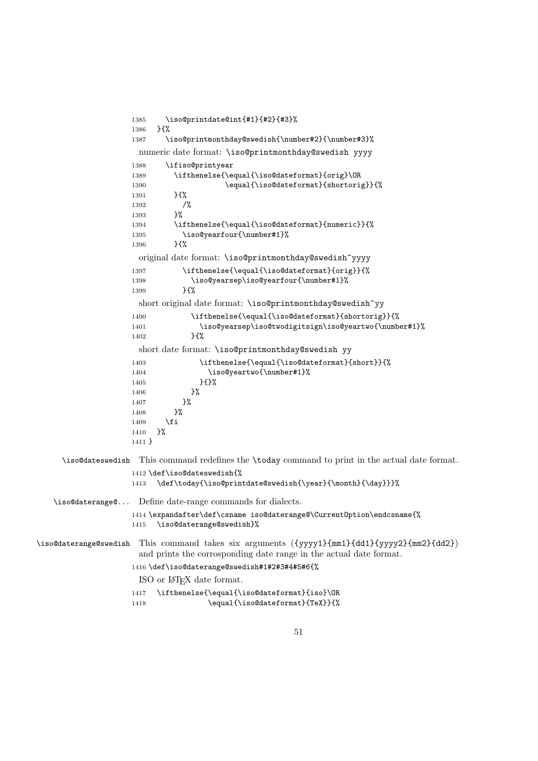```
1385 \iso@printdate@int{#1}{#2}{#3}%
                    1386 }{%
                    1387 \iso@printmonthday@swedish{\number#2}{\number#3}%
                      numeric date format: \iso@printmonthday@swedish yyyy
                    1388 \ifiso@printyear
                    1389 \ifthenelse{\equal{\iso@dateformat}{orig}\OR
                    1390 \equal{\iso@dateformat}{shortorig}}{%
                    1391 }{%
                    1392 /%
                    1393 }%
                    1394 \ifthenelse{\equal{\iso@dateformat}{numeric}}{%
                    1395 \iso@yearfour{\number#1}%<br>1396 }{%
                    1396
                      original date format: \iso@printmonthday@swedish~yyyy
                    1397 \ifthenelse{\equal{\iso@dateformat}{orig}}{%
                    1398 \iso@yearsep\iso@yearfour{\number#1}%
                    1399 }{%
                      short original date format: \iso@printmonthday@swedish~yy
                    1400 \ifthenelse{\equal{\iso@dateformat}{shortorig}}{%
                    1401 \iso@yearsep\iso@twodigitsign\iso@yeartwo{\number#1}%
                    1402 }{%
                      short date format: \iso@printmonthday@swedish yy
                    1403 \ifthenelse{\equal{\iso@dateformat}{short}}{%
                    1404 \iso@yeartwo{\number#1}%
                    1405 } {}
                    1406 }%
                    1407 }%
                    1408 }%
                    1409 \fi
                    1410 \frac{1}{6}1411 }
     \iso@dateswedish This command redefines the \today command to print in the actual date format.
                    1412 \def\iso@dateswedish{%
                    1413 \def\today{\iso@printdate@swedish{\year}{\month}{\day}}}%
   \iso@daterange@... Define date-range commands for dialects.
                    1414 \expandafter\def\csname iso@daterange@\CurrentOption\endcsname{%
                    1415 \iso@daterange@swedish}%
\iso@daterange@swedish This command takes six arguments ({yyyy1}{mm1}{dd1}{yyyy2}{mm2}{dd2})
                      and prints the corrosponding date range in the actual date format.
                    1416 \def\iso@daterange@swedish#1#2#3#4#5#6{%
                      ISO or LATEX date format.
                    1417 \ifthenelse{\equal{\iso@dateformat}{iso}\OR
                    1418 \equal{\iso@dateformat}{TeX}}{%
```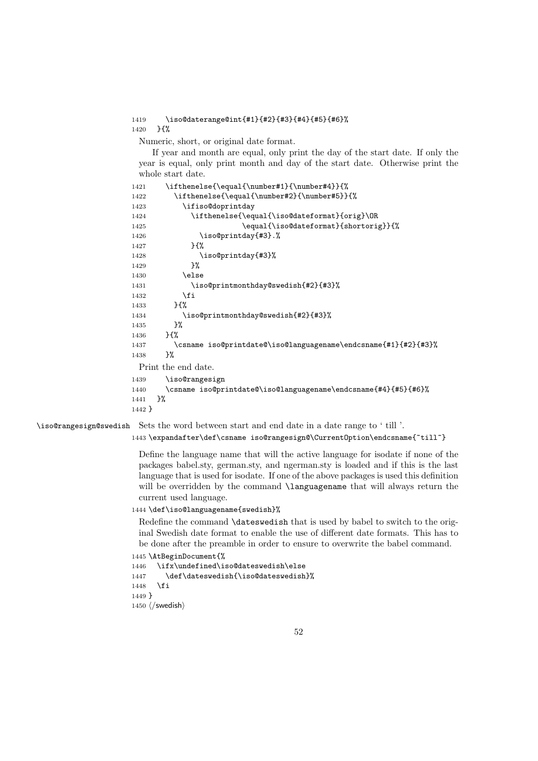1419 \iso@daterange@int{#1}{#2}{#3}{#4}{#5}{#6}% 1420 }{%

Numeric, short, or original date format.

If year and month are equal, only print the day of the start date. If only the year is equal, only print month and day of the start date. Otherwise print the whole start date.

```
1421 \ifthenelse{\equal{\number#1}{\number#4}}{%
1422 \ifthenelse{\equal{\number#2}{\number#5}}{%
1423 \ifiso@doprintday
1424 \ifthenelse{\equal{\iso@dateformat}{orig}\OR
1425 \equal{\iso@dateformat}{shortorig}}{%
1426 \iso@printday{#3}.%
1427 }{%
1428 \iso@printday{#3}%
1429 }%
1430 \qquad \qquad \lambdaelse
1431 \iso@printmonthday@swedish{#2}{#3}%
1432 \fi
1433 H%1434 \iso@printmonthday@swedish{#2}{#3}%
1435 \frac{19}{2}1436 }{%
1437 \csname iso@printdate@\iso@languagename\endcsname{#1}{#2}{#3}%
1438 }%
 Print the end date.
1439 \iso@rangesign
1440 \csname iso@printdate@\iso@languagename\endcsname{#4}{#5}{#6}%
```
1441 }%

```
1442 }
```
\iso@rangesign@swedish Sets the word between start and end date in a date range to ' till '.

1443 \expandafter\def\csname iso@rangesign@\CurrentOption\endcsname{~till~}

Define the language name that will the active language for isodate if none of the packages babel.sty, german.sty, and ngerman.sty is loaded and if this is the last language that is used for isodate. If one of the above packages is used this definition will be overridden by the command **\languagename** that will always return the current used language.

1444 \def\iso@languagename{swedish}%

Redefine the command \dateswedish that is used by babel to switch to the original Swedish date format to enable the use of different date formats. This has to be done after the preamble in order to ensure to overwrite the babel command.

```
1445 \AtBeginDocument{%
```

```
1446 \ifx\undefined\iso@dateswedish\else
1447 \def\dateswedish{\iso@dateswedish}%
1448 \fi
```
1449 }

```
1450 \langle/swedish\rangle
```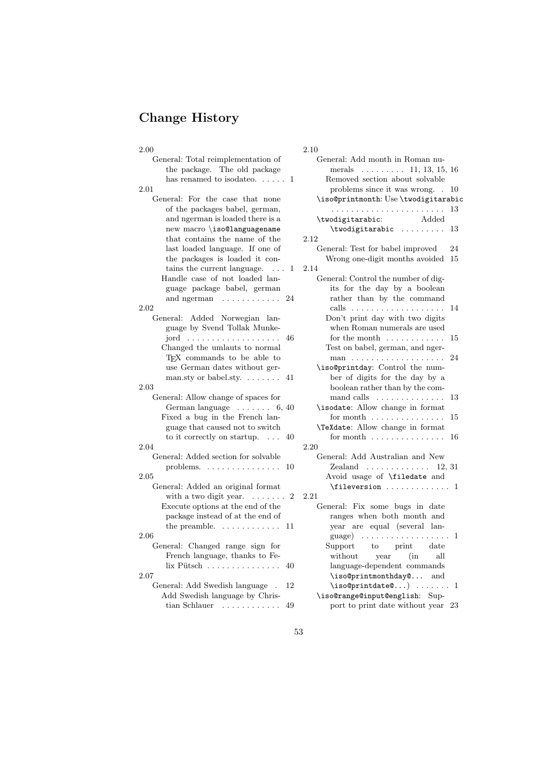# Change History

| 2.00                                          | 2.10                                            |
|-----------------------------------------------|-------------------------------------------------|
| General: Total reimplementation of            | General: Add month in Roman nu-                 |
| the package. The old package                  | merals $\ldots \ldots \ldots 11, 13, 15, 16$    |
| has renamed to isodate<br>o. $\dots$ . 1      | Removed section about solvable                  |
| 2.01                                          | problems since it was wrong. . 10               |
| General: For the case that none               | \iso@printmonth: Use \twodigitarabic            |
| of the packages babel, german,                | 13                                              |
| and ngerman is loaded there is a              | \twodigitarabic:<br>Added                       |
| new macro \iso@languagename                   | \twodigitarabic<br>-13                          |
| that contains the name of the                 | 2.12                                            |
| last loaded language. If one of               | General: Test for babel improved<br>24          |
| the packages is loaded it con-                | Wrong one-digit months avoided<br>15            |
| tains the current language. $\dots$<br>1      | 2.14                                            |
| Handle case of not loaded lan-                | General: Control the number of dig-             |
| guage package babel, german                   | its for the day by a boolean                    |
| and ngerman<br>24                             | rather than by the command                      |
| 2.02                                          |                                                 |
| General: Added Norwegian lan-                 | Don't print day with two digits                 |
| guage by Svend Tollak Munke-                  | when Roman numerals are used                    |
|                                               | for the month $\dots\dots\dots\dots$<br>-15     |
| Changed the umlauts to normal                 | Test on babel, german, and nger-                |
| TEX commands to be able to                    | 24                                              |
| use German dates without ger-                 | \iso@printday: Control the num-                 |
| man.sty or babel.sty. $\dots \dots$<br>41     | ber of digits for the day by a                  |
| $2.03\,$                                      | boolean rather than by the com-                 |
| General: Allow change of spaces for           | mand calls $\dots\dots\dots\dots\dots$<br>13    |
| German language $\dots \dots 6, 40$           | \isodate: Allow change in format                |
| Fixed a bug in the French lan-                | for month $\dots \dots \dots \dots \dots$<br>15 |
| guage that caused not to switch               | <b>\TeXdate:</b> Allow change in format         |
| to it correctly on startup. $\dots$<br>40     | for month $\dots\dots\dots\dots\dots$<br>16     |
| 2.04                                          | 2.20                                            |
| General: Added section for solvable           | General: Add Australian and New                 |
| problems. $\ldots \ldots \ldots \ldots$<br>10 | Zealand $\ldots \ldots \ldots \ldots 12, 31$    |
| 2.05                                          | Avoid usage of <b>\filedate</b> and             |
| General: Added an original format             | $\setminus$ fileversion  1                      |
| with a two digit year. $\dots \dots$<br>2     | 2.21                                            |
| Execute options at the end of the             | General: Fix some bugs in date                  |
| package instead of at the end of              | ranges when both month and                      |
| the preamble. $\dots \dots \dots$<br>11       | year are equal (several lan-                    |
| $2.06\,$                                      | guage) $\ldots \ldots \ldots \ldots \ldots 1$   |
| General: Changed range sign for               | Support to print date                           |
| French language, thanks to Fe-                | without<br>year<br>(in<br>all                   |
| $\lim$ Pütsch<br>40                           | language-dependent commands                     |
| 2.07                                          | \iso@printmonthday@<br>and                      |
| General: Add Swedish language .<br>12         | $\text{isocprintdate@} \dots 1$                 |
| Add Swedish language by Chris-                | \iso@range@input@english: Sup-                  |
| tian Schlauer $\dots \dots \dots$<br>49       | port to print date without year 23              |
|                                               |                                                 |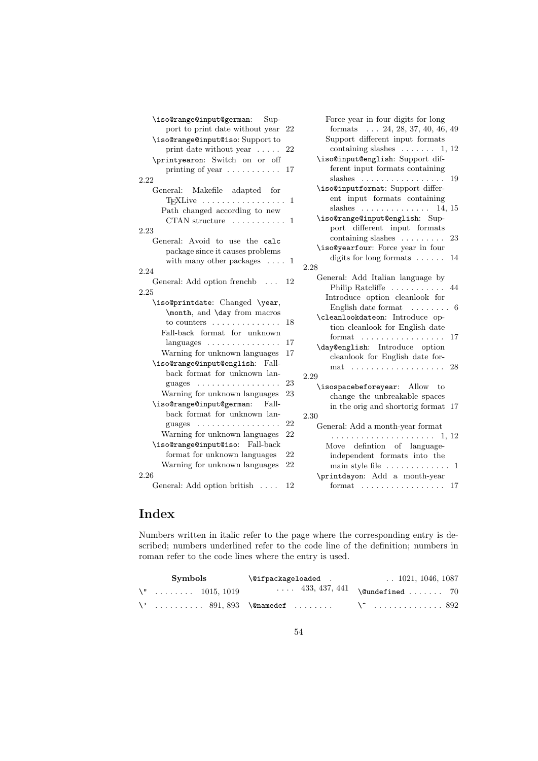| \iso@range@input@german: Sup-          |    |      |
|----------------------------------------|----|------|
| port to print date without year        | 22 |      |
| \iso@range@input@iso: Support to       |    |      |
| print date without year $\dots$ .      | 22 |      |
| \printyearon: Switch on or off         |    |      |
| printing of year                       | 17 |      |
| 2.22                                   |    |      |
| General: Makefile adapted for          |    |      |
|                                        | 1  |      |
| Path changed according to new          |    |      |
| CTAN structure $\dots\dots\dots\dots$  | 1  |      |
| 2.23                                   |    |      |
| General: Avoid to use the calc         |    |      |
| package since it causes problems       |    |      |
| with many other packages $\ldots$ 1    |    |      |
| 2.24                                   |    | 2.28 |
| General: Add option frenchb            | 12 |      |
| 2.25                                   |    |      |
| \iso@printdate: Changed \year,         |    |      |
| \month, and \day from macros           |    |      |
| to counters $\dots \dots \dots$        | 18 |      |
| Fall-back format for unknown           |    |      |
|                                        | 17 |      |
| Warning for unknown languages          | 17 |      |
| \iso@range@input@english: Fall-        |    |      |
| back format for unknown lan-           |    |      |
| .<br>guages                            | 23 | 2.29 |
| Warning for unknown languages          | 23 |      |
| \iso@range@input@german: Fall-         |    |      |
| back format for unknown lan-           |    | 2.30 |
| guages $\dots \dots \dots \dots \dots$ | 22 |      |
| Warning for unknown languages          | 22 |      |
| \iso@range@input@iso: Fall-back        |    |      |
| format for unknown languages           | 22 |      |
| Warning for unknown languages          | 22 |      |
| 2.26                                   |    |      |
| General: Add option british            | 12 |      |
|                                        |    |      |

Force year in four digits for long formats . . . 24, 28, 37, 40, 46, 49 Support different input formats containing slashes  $\dots \dots 1, 12$ \iso@input@english: Support different input formats containing slashes . . . . . . . . . . . . . . . . . 19 \iso@inputformat: Support different input formats containing slashes . . . . . . . . . . . . . . 14, 15 \iso@range@input@english: Support different input formats containing slashes . . . . . . . . . 23 \iso@yearfour: Force year in four digits for long formats  $\dots \dots$  14 2.28 General: Add Italian language by Philip Ratcliffe . . . . . . . . . . . 44 Introduce option cleanlook for English date format . . . . . . . . 6 \cleanlookdateon: Introduce option cleanlook for English date format . . . . . . . . . . . . . . . . . 17 \day@english: Introduce option cleanlook for English date format . . . . . . . . . . . . . . . . . . . 28 2.29 \isospacebeforeyear: Allow to change the unbreakable spaces in the orig and shortorig format 17  $\overline{a}$ General: Add a month-year format . . . . . . . . . . . . . . . . . . . . . 1, 12 Move defintion of languageindependent formats into the main style file  $\dots \dots \dots \dots 1$ \printdayon: Add a month-year format . . . . . . . . . . . . . . . . . 17

# Index

Numbers written in italic refer to the page where the corresponding entry is described; numbers underlined refer to the code line of the definition; numbers in roman refer to the code lines where the entry is used.

| Symbols                                          | \@ifpackageloaded . | $\ldots$ 1021, 1046, 1087              |
|--------------------------------------------------|---------------------|----------------------------------------|
| $\{\mathbf{u} \in \{0.1, 1, \ldots, 101, 1019\}$ |                     | $\cdots$ 433, 437, 441 \@undefined  70 |
|                                                  |                     |                                        |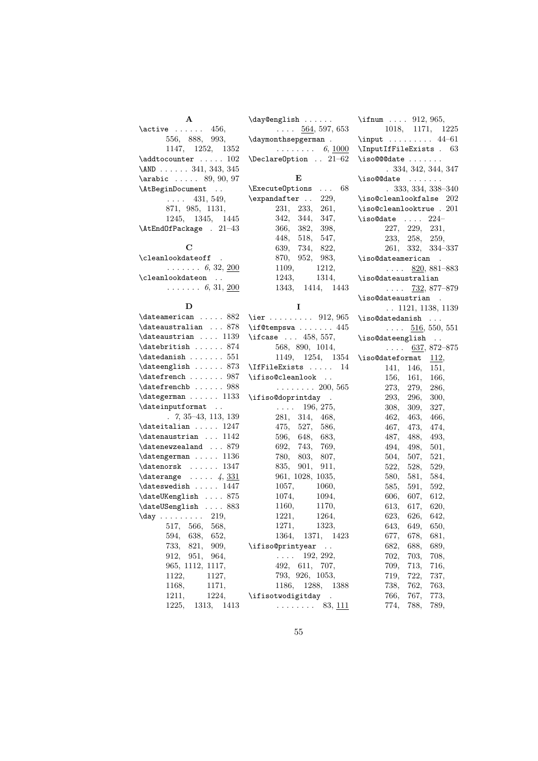| A                                            | \day@english                       | \ifnum $912, 965,$                                 |
|----------------------------------------------|------------------------------------|----------------------------------------------------|
| $\text{active}$ 456,                         | $\ldots$ 564, 597, 653             | 1018, 1171, 1225                                   |
| 556, 888, 993,                               | \daymonthsepgerman .               | $\input$ 44-61                                     |
| 1147, 1252, 1352                             | $\ldots \ldots \ldots 6, 1000$     | \InputIfFileExists . 63                            |
| $\Delta t$ ocounter  102                     | $\Delta$ PeclareOption  21-62      | $\iota$ so@@@date                                  |
| \AND 341, 343, 345                           |                                    | .334, 342, 344, 347                                |
| \arabic  89, 90, 97                          | Е                                  | $\iota$ so@@date                                   |
| \AtBeginDocument                             | $\ldots$ 68<br>\ExecuteOptions     | $.333, 334, 338 - 340$                             |
| $\ldots$ 431, 549,                           | $\expandafter \dots$<br>229,       | $\backslash$ iso@cleanlookfalse $202$              |
| 871, 985, 1131,                              | 231, 233,<br>261,                  | $\iota$ so@cleanlooktrue . $201$                   |
| 1245, 1345, 1445                             | 342, 344,<br>347,                  | \iso@date $\ldots$ 224-                            |
| \AtEndOfPackage . 21-43                      | 366, 382,<br>398,                  | 227, 229, 231,                                     |
|                                              | 448,<br>518,<br>547,               | 233, 258, 259,                                     |
| C                                            | 639,<br>734,<br>822,               | 261, 332, 334-337                                  |
| \cleanlookdateoff .                          | 870, 952, 983,                     | \iso@dateamerican .                                |
| $\ldots \ldots 6, 32, 200$                   | 1109,<br>1212,                     | $\ldots$ 820, 881–883                              |
| \cleanlookdateon                             | 1243,<br>1314,                     | \iso@dateaustralian                                |
| $\ldots \ldots 6, 31, 200$                   | 1343, 1414, 1443                   | $\mathbf{1}$ , and $\mathbf{1}$<br>$732,877 - 879$ |
|                                              |                                    | \iso@dateaustrian .                                |
| D                                            | 1                                  | $\ldots$ 1121, 1138, 1139                          |
| $\lambda$ :  882                             | \ier 912, 965                      | $\iota$ : \iso@datedanish                          |
| \dateaustralian  878                         | $\iota$ if@tempswa  445            | $\ldots$ 516, 550, 551                             |
| $\lambda$ 1139                               | \ifcase $ 458, 557,$               | \iso@dateenglish                                   |
| \datebritish  874                            | 568, 890, 1014,                    | $\ldots$ 637, 872–875                              |
| $\lambda$ 551                                | 1149, 1254, 1354                   | \iso@dateformat<br>112,                            |
| \dateenglish  873                            | \IfFileExists  14                  | 141, 146,<br>151,                                  |
| \datefrench  987                             | \ifiso@cleanlook                   | 156, 161,<br>166,                                  |
| \datefrenchb  988                            | . 200, 565                         | 273,<br>279,<br>286,                               |
| \dategerman  1133                            | \ifiso@doprintday<br>$\sim$ $\sim$ | 293,<br>296,<br>300,                               |
| \dateinputformat                             | $\ldots$ 196, 275,                 | 308,<br>309,<br>327,                               |
| $\ldots$ 7, 35–43, 113, 139                  | 281, 314, 468,                     | 462,<br>463,<br>466,                               |
| $\delta$ 1247                                | 475, 527,<br>586,                  | 467,<br>473,<br>474,                               |
| $\lambda$ 1142                               | 596, 648,<br>683,                  | 487,<br>488,<br>493,                               |
| $\lambda$ 879                                | 692, 743,<br>769,                  | 501,<br>494,<br>498,                               |
| $\lambda$ : $\ldots$ 1136                    | 780, 803,<br>807,                  | 504,<br>521,<br>507,                               |
| $\dagger$ 1347                               | 835,<br>901,<br>911,               | 522, 528,<br>529,                                  |
| $\text{daterange } \ldots 4, \frac{331}{33}$ | 961, 1028, 1035,                   | 580,<br>581,<br>584,                               |
| $\lambda$ ateswedish  1447                   | 1057,<br>1060,                     | 585,<br>591,<br>592,                               |
| \dateUKenglish  875                          | 1074,<br>1094,                     | 612,<br>606,<br>607,                               |
| \dateUSenglish  883                          | 1160,<br>1170,                     | 613,<br>617,<br>620,                               |
| $\text{day} \ldots \ldots 219,$              | 1221,<br>1264,                     | 623,<br>626,<br>642,                               |
| 517, 566,<br>568,                            | 1271,<br>1323,                     | 643,<br>649,<br>650,                               |

> 594, 638, 652, 733, 821, 909, 912, 951, 964, 965, 1112, 1117, 1122, 1127, 1168, 1171, 1211, 1224, 1225, 1313, 1413

> > 55

1364, 1371, 1423

677, 678, 681, 682, 688, 689, 702, 703, 708, 709, 713, 716, 719, 722, 737, 738, 762, 763, 766, 767, 773, 774, 788, 789,

 $\ldots \ldots$  . 83, <u>111</u>

 $\ldots$  192, 292, 492, 611, 707, 793, 926, 1053, 1186, 1288, 1388

\ifiso@printyear ..

\ifisotwodigitday .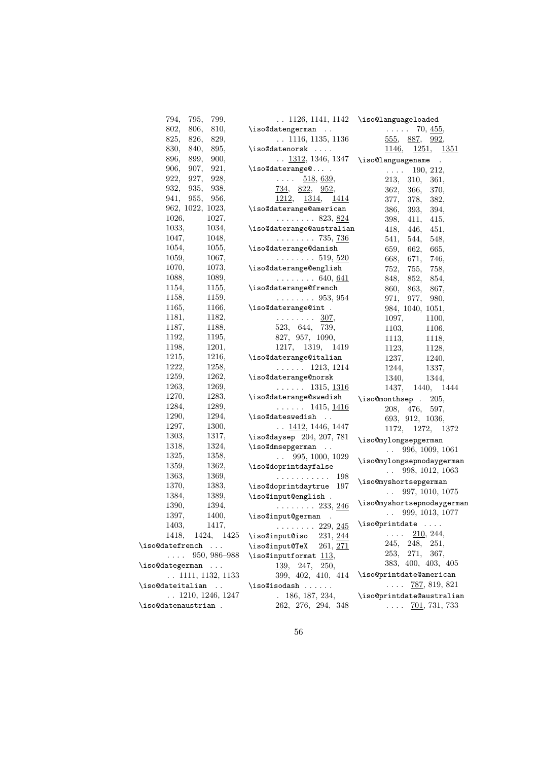| 795,<br>794,<br>799,      |                                                                                                                                    | $\ldots$ 1126, 1141, 1142 \iso@languageloaded    |
|---------------------------|------------------------------------------------------------------------------------------------------------------------------------|--------------------------------------------------|
| 802,<br>806,<br>810,      | \iso@datengerman                                                                                                                   | $\ldots$ 70, $455,$                              |
| 825,<br>826,<br>829,      | $\ldots$ 1116, 1135, 1136                                                                                                          | 555, 887, 992,                                   |
| 830,<br>840,<br>895,      | \iso@datenorsk                                                                                                                     | 1146, 1251, 1351                                 |
| 896,<br>899,<br>900,      | $\ldots$ 1312, 1346, 1347                                                                                                          | \iso@languagename .                              |
| 907.<br>921,<br>906,      | \iso@daterange@ .                                                                                                                  |                                                  |
| 922,<br>927,<br>928,      | 518, 639,<br>$\mathcal{L}^{\mathcal{A}}$ , $\mathcal{L}^{\mathcal{A}}$ , $\mathcal{L}^{\mathcal{A}}$ , $\mathcal{L}^{\mathcal{A}}$ | 190, 212,<br>$\mathbb{Z}^2$ . The $\mathbb{Z}^2$ |
| 932,<br>935,<br>938,      |                                                                                                                                    | 213,<br>310,<br>361,                             |
| 955,<br>941,<br>956,      | $\frac{734}{952}$ , $\frac{822}{952}$<br>1212, 1314, 1414                                                                          | 362,<br>366,<br>370,                             |
| 962, 1022, 1023,          | \iso@daterange@american                                                                                                            | 377,<br>378,<br>382,                             |
| 1026.<br>1027,            | $\ldots \ldots 823, \underline{824}$                                                                                               | 386,<br>393,<br>394,                             |
| 1033,<br>1034,            |                                                                                                                                    | 398,<br>411,<br>415,                             |
| 1047,                     | \iso@daterange@australian                                                                                                          | 418,<br>446,<br>451,                             |
| 1048,                     | $\ldots \ldots 735,736$                                                                                                            | 541,<br>544,<br>548,                             |
| 1054,<br>1055,            | \iso@daterange@danish                                                                                                              | 659,<br>662,<br>665,                             |
| 1059,<br>1067,            | $\ldots \ldots 519, 520$                                                                                                           | 668,<br>671,<br>746,                             |
| 1073,<br>1070,            | \iso@daterange@english                                                                                                             | 752,<br>755,<br>758,                             |
| 1088,<br>1089,            | $\ldots \ldots 640, 641$                                                                                                           | 848,<br>852,<br>854,                             |
| 1154,<br>1155,            | \iso@daterange@french                                                                                                              | 860,<br>863, 867,                                |
| 1158,<br>1159,            | $\ldots \ldots 953, 954$                                                                                                           | 971,<br>977,<br>980,                             |
| 1165,<br>1166,            | \iso@daterange@int .                                                                                                               | 984, 1040, 1051,                                 |
| 1181,<br>1182,            | $\ldots \ldots 307$                                                                                                                | 1097,<br>1100,                                   |
| 1187,<br>1188,            | 523, 644, 739,                                                                                                                     | 1103,<br>1106,                                   |
| 1192,<br>1195,            | 827, 957, 1090,                                                                                                                    | 1113,<br>1118,                                   |
| 1198,<br>1201,            | 1217, 1319, 1419                                                                                                                   | 1123,<br>1128,                                   |
| 1215,<br>1216,            | \iso@daterange@italian                                                                                                             | 1237,<br>1240,                                   |
| 1222,<br>1258,            | $\ldots$ . 1213, 1214                                                                                                              | 1244,<br>1337,                                   |
| 1259,<br>1262,            | \iso@daterange@norsk                                                                                                               | 1340,<br>1344,                                   |
| 1263,<br>1269,            | $\ldots$ . 1315, $\frac{1316}{1316}$                                                                                               | 1437, 1440, 1444                                 |
| 1270,<br>1283,            | \iso@daterange@swedish                                                                                                             | \iso@monthsep . 205,                             |
| 1284,<br>1289,            | $\ldots$ . 1415, 1416                                                                                                              | 208, 476, 597,                                   |
| 1290,<br>1294,            | \iso@dateswedish<br>$\sim$ $\sim$                                                                                                  | 693, 912, 1036,                                  |
| 1297,<br>1300,            | $\ldots$ 1412, 1446, 1447                                                                                                          | 1172, 1272, 1372                                 |
| 1303,<br>1317,            | \iso@daysep 204, 207, 781                                                                                                          | \iso@mylongsepgerman                             |
| 1318,<br>1324,            | \iso@dmsepgerman                                                                                                                   | 996, 1009, 1061<br>$\mathbf{L}$                  |
| 1325,<br>1358,            | 995, 1000, 1029<br>$\ddot{\phantom{a}}$                                                                                            | \iso@mylongsepnodaygerman                        |
| 1359,<br>1362,            | \iso@doprintdayfalse                                                                                                               | 998, 1012, 1063<br>$\mathbf{L}$                  |
| 1363,<br>1369,            | . 198                                                                                                                              |                                                  |
| 1370,<br>1383,            | \iso@doprintdaytrue<br>197                                                                                                         | \iso@myshortsepgerman<br>997, 1010, 1075         |
| 1384,<br>1389,            | \iso@input@english .                                                                                                               | $\mathcal{L}(\mathcal{L})$ .                     |
| 1390,<br>1394,            | $\ldots \ldots 233, \frac{246}{2}$                                                                                                 | \iso@myshortsepnodaygerman                       |
| 1397,<br>$1400, \,$       | \iso@input@german .                                                                                                                | $\ldots$ 999, 1013, 1077                         |
| 1403,<br>1417,            | $\ldots \ldots 229, 245$                                                                                                           | \iso@printdate                                   |
| 1418,<br>1424, 1425       | \iso@input@iso<br>231, 244                                                                                                         | 210, 244,<br>$\ldots$ .                          |
| \iso@datefrench           | \iso@input@TeX<br>261, 271                                                                                                         | 245, 248, 251,                                   |
| $\ldots$ 950, 986–988     | \iso@inputformat 113,                                                                                                              | 253,<br>271, 367,                                |
| \iso@dategerman           | $\frac{139}{247}$ ,<br>250,                                                                                                        | 383, 400, 403, 405                               |
| $\ldots$ 1111, 1132, 1133 | 399, 402, 410, 414                                                                                                                 | \iso@printdate@american                          |
| \iso@dateitalian          | \iso@isodash                                                                                                                       | $\ldots$ 787, 819, 821                           |
| $\ldots$ 1210, 1246, 1247 | . 186, 187, 234,                                                                                                                   | \iso@printdate@australian                        |
| \iso@datenaustrian .      | 262, 276, 294, 348                                                                                                                 | $\ldots$ 701, 731, 733                           |

56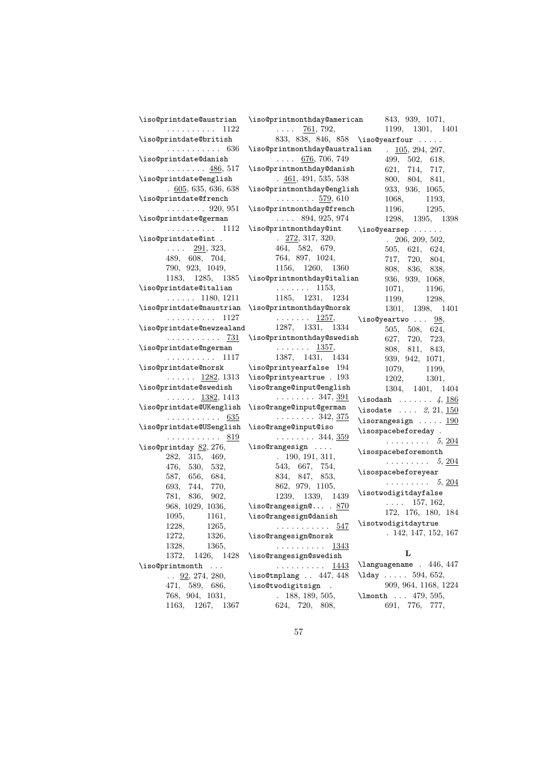| \iso@printdate@austrian<br>. 1122                   | \iso@printmonthday@american<br>$\cdots$ 761, 792,               | 843, 939, 1071,<br>1199, 1301, 1401       |
|-----------------------------------------------------|-----------------------------------------------------------------|-------------------------------------------|
| \iso@printdate@british                              |                                                                 | 833, 838, 846, 858 \iso@yearfour          |
| . 636                                               | \iso@printmonthday@australian                                   | $\frac{105}{294}$ , 294, 297,             |
| \iso@printdate@danish                               | $\ldots$ 676, 706, 749                                          | 499, 502, 618,                            |
| $\ldots \ldots \ldots$ 486, 517                     | \iso@printmonthday@danish                                       | 621, 714, 717,                            |
| \iso@printdate@english                              | $\frac{461}{100}$ , 491, 535, 538                               | 800, 804, 841,                            |
| .605,635,636,638                                    | \iso@printmonthday@english                                      | 933, 936, 1065,                           |
| \iso@printdate@french                               | $\ldots \ldots 579,610$                                         | 1068, 1193,                               |
| $\ldots \ldots 920, 951$                            | \iso@printmonthday@french                                       | 1196, 1295,                               |
| \iso@printdate@german                               | $\ldots$ 894, 925, 974                                          | 1298, 1395, 1398                          |
| $\ldots \ldots \ldots 1112$                         | \iso@printmonthday@int \iso@yearsep                             |                                           |
| \iso@printdate@int .                                | $\frac{272}{317}$ , 320,                                        | . 206, 209, 502,                          |
| $\ldots$ 291, 323,                                  | 464, 582, 679,                                                  | 505, 621, 624,                            |
| 489, 608, 704,                                      | 764, 897, 1024,                                                 | 717, 720, 804,                            |
| 790, 923, 1049,                                     | 1156, 1260, 1360                                                | 808, 836, 838,                            |
|                                                     | 1183, 1285, 1385 \iso@printmonthday@italian                     | 936, 939, 1068,                           |
| \iso@printdate@italian                              | $\cdots \cdots 1153,$                                           | 1071, 1196,                               |
|                                                     | $\ldots$ 1180, 1211 1185, 1231, 1234                            | 1199,<br>1298,                            |
| \iso@printdate@naustrian \iso@printmonthday@norsk   |                                                                 | 1301, 1398, 1401                          |
|                                                     | $\cdots \cdots \cdots 1127$ $\cdots \cdots \cdots 1257$         | $\lambda$ iso@yeartwo $\ldots$ $98,$      |
| $\verb \iso@printdate@newzealand 1287, 1331, 1334 $ |                                                                 | 505, 508, 624,                            |
|                                                     | $\ldots \ldots \quad \frac{731}{33}$ \iso@printmonthday@swedish | 627, 720, 723,                            |
| \iso@printdate@ngerman                              | $\cdots \cdots \frac{1357}{2},$                                 | 808, 811, 843,                            |
| $\cdots \cdots \cdots \cdots$ 1117                  | 1387, 1431, 1434                                                | 939, 942, 1071,                           |
| \iso@printdate@norsk \iso@printyearfalse 194        |                                                                 | 1079, 1199,                               |
|                                                     | $\ldots$ 1282, 1313 \iso@printyeartrue . 193                    | 1202, 1301,                               |
| \iso@printdate@swedish                              | \iso@range@input@english                                        | 1304, 1401, 1404                          |
| $\ldots \ldots$ 1382, 1413                          | $\ldots \ldots 347, \underline{391}$                            | \isodash $4, \underline{186}$             |
| \iso@printdate@UKenglish                            | \iso@range@input@german                                         | \isodate $2, 21, \underline{150}$         |
| . 635                                               | $\ldots \ldots 342, \frac{375}{2}$                              | \isorangesign $\ldots$ . 190              |
| \iso@printdate@USenglish                            | \iso@range@input@iso                                            | \isospacebeforeday.                       |
| . 819                                               | $\ldots \ldots 344, \underline{359}$                            | $\ldots \ldots \ldots 5, \underline{204}$ |
| \iso@printday $\underline{82}$ , 276,               | $\iota$ iso@rangesign                                           | $\verb \isspace  of or  $                 |
| 282, 315, 469,                                      | .190, 191, 311,                                                 | $\cdots \cdots \cdots 5, \underline{204}$ |
| 476, 530, 532,                                      | 543, 667, 754,                                                  | $\verb \isspace  before year$             |
| 587, 656, 684,                                      | 834, 847, 853,                                                  | $\cdots \cdots \cdots 5, \underline{204}$ |
| 693, 744, 770,                                      | 862, 979, 1105,                                                 | \isotwodigitdayfalse                      |
| 781,<br>836, 902,                                   | 1239, 1339, 1439                                                | $\ldots$ 157, 162,                        |
| 968, 1029, 1036,                                    | \iso@rangesign@ . $870$                                         | 172, 176, 180, 184                        |
| 1095, 1161,                                         | \iso@rangesign@danish                                           | \isotwodigitdaytrue                       |
| 1228.<br>1265,                                      | . <u>547</u>                                                    | . 142, 147, 152, 167                      |
| 1272,<br>1326,                                      | \iso@rangesign@norsk                                            |                                           |
| 1328,<br>1365,                                      | 1343<br>.                                                       | L                                         |
| 1372,<br>1426, 1428                                 | \iso@rangesign@swedish                                          |                                           |
| \iso@printmonth                                     | .<br><u>1443</u>                                                | \languagename . 446, 447                  |
| $\ldots$ 92, 274, 280,                              | \iso@tmplang  447, 448                                          | $\lambda$ lday  594, 652,                 |
| 471, 589, 686,                                      | \iso@twodigitsign                                               | 909, 964, 1168, 1224                      |
| 768, 904, 1031,                                     | .188, 189, 505,                                                 | \lmonth  479, 595,                        |
| 1367<br>1163,<br>1267,                              | 624, 720, 808,                                                  | 691, 776,<br>777,                         |